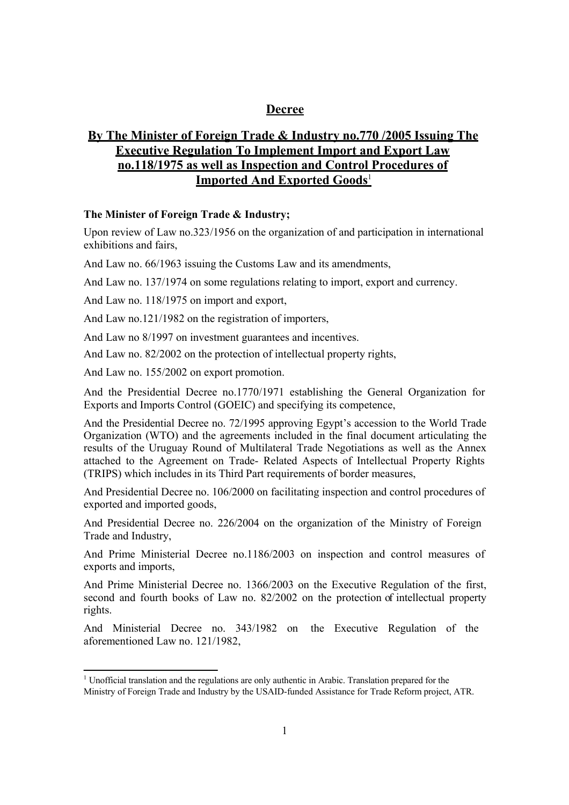#### **Decree**

## **By The Minister of Foreign Trade & Industry no.770 /2005 Issuing The Executive Regulation To Implement Import and Export Law no.118/1975 as well as Inspection and Control Procedures of Imported And Exported Goods**<sup>1</sup>

#### **The Minister of Foreign Trade & Industry;**

Upon review of Law no.323/1956 on the organization of and participation in international exhibitions and fairs,

And Law no. 66/1963 issuing the Customs Law and its amendments,

And Law no. 137/1974 on some regulations relating to import, export and currency.

And Law no. 118/1975 on import and export,

And Law no.121/1982 on the registration of importers,

And Law no 8/1997 on investment guarantees and incentives.

And Law no. 82/2002 on the protection of intellectual property rights,

And Law no. 155/2002 on export promotion.

And the Presidential Decree no.1770/1971 establishing the General Organization for Exports and Imports Control (GOEIC) and specifying its competence,

And the Presidential Decree no. 72/1995 approving Egypt's accession to the World Trade Organization (WTO) and the agreements included in the final document articulating the results of the Uruguay Round of Multilateral Trade Negotiations as well as the Annex attached to the Agreement on Trade- Related Aspects of Intellectual Property Rights (TRIPS) which includes in its Third Part requirements of border measures,

And Presidential Decree no. 106/2000 on facilitating inspection and control procedures of exported and imported goods,

And Presidential Decree no. 226/2004 on the organization of the Ministry of Foreign Trade and Industry,

And Prime Ministerial Decree no.1186/2003 on inspection and control measures of exports and imports,

And Prime Ministerial Decree no. 1366/2003 on the Executive Regulation of the first, second and fourth books of Law no. 82/2002 on the protection of intellectual property rights.

And Ministerial Decree no. 343/1982 on the Executive Regulation of the aforementioned Law no. 121/1982,

<sup>&</sup>lt;sup>1</sup> Unofficial translation and the regulations are only authentic in Arabic. Translation prepared for the Ministry of Foreign Trade and Industry by the USAID-funded Assistance for Trade Reform project, ATR.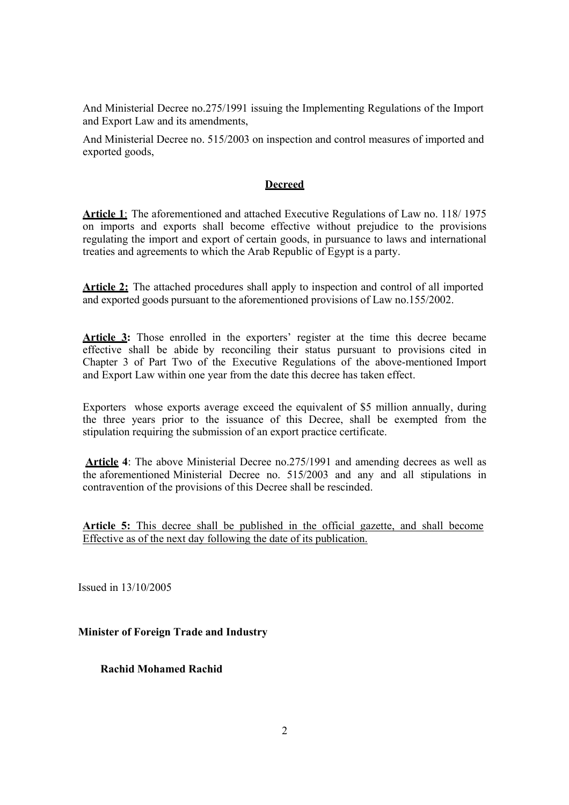And Ministerial Decree no.275/1991 issuing the Implementing Regulations of the Import and Export Law and its amendments,

And Ministerial Decree no. 515/2003 on inspection and control measures of imported and exported goods,

#### **Decreed**

**Article 1**: The aforementioned and attached Executive Regulations of Law no. 118/ 1975 on imports and exports shall become effective without prejudice to the provisions regulating the import and export of certain goods, in pursuance to laws and international treaties and agreements to which the Arab Republic of Egypt is a party.

Article 2: The attached procedures shall apply to inspection and control of all imported and exported goods pursuant to the aforementioned provisions of Law no.155/2002.

**Article 3:** Those enrolled in the exporters' register at the time this decree became effective shall be abide by reconciling their status pursuant to provisions cited in Chapter 3 of Part Two of the Executive Regulations of the above-mentioned Import and Export Law within one year from the date this decree has taken effect.

Exporters whose exports average exceed the equivalent of \$5 million annually, during the three years prior to the issuance of this Decree, shall be exempted from the stipulation requiring the submission of an export practice certificate.

 **Article 4**: The above Ministerial Decree no.275/1991 and amending decrees as well as the aforementioned Ministerial Decree no. 515/2003 and any and all stipulations in contravention of the provisions of this Decree shall be rescinded.

**Article 5:** This decree shall be published in the official gazette, and shall become Effective as of the next day following the date of its publication.

Issued in 13/10/2005

**Minister of Foreign Trade and Industry**

 **Rachid Mohamed Rachid**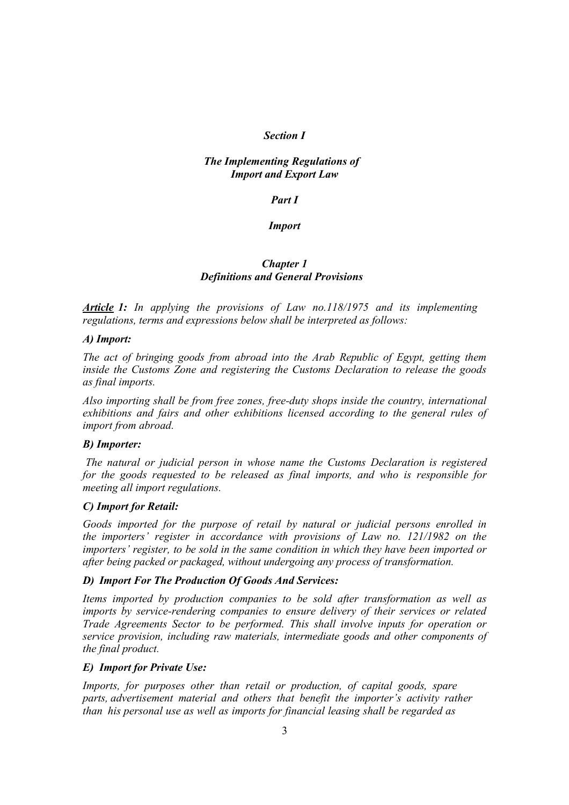#### *Section I*

#### *The Implementing Regulations of Import and Export Law*

#### *Part I*

#### *Import*

#### *Chapter 1 Definitions and General Provisions*

*Article 1: In applying the provisions of Law no.118/1975 and its implementing regulations, terms and expressions below shall be interpreted as follows:* 

#### *A) Import:*

*The act of bringing goods from abroad into the Arab Republic of Egypt, getting them inside the Customs Zone and registering the Customs Declaration to release the goods as final imports.* 

*Also importing shall be from free zones, free-duty shops inside the country, international exhibitions and fairs and other exhibitions licensed according to the general rules of import from abroad.* 

#### *B) Importer:*

*The natural or judicial person in whose name the Customs Declaration is registered for the goods requested to be released as final imports, and who is responsible for meeting all import regulations.* 

#### *C) Import for Retail:*

*Goods imported for the purpose of retail by natural or judicial persons enrolled in the importers' register in accordance with provisions of Law no. 121/1982 on the importers' register, to be sold in the same condition in which they have been imported or after being packed or packaged, without undergoing any process of transformation.* 

#### *D) Import For The Production Of Goods And Services:*

*Items imported by production companies to be sold after transformation as well as imports by service-rendering companies to ensure delivery of their services or related Trade Agreements Sector to be performed. This shall involve inputs for operation or service provision, including raw materials, intermediate goods and other components of the final product.* 

#### *E) Import for Private Use:*

*Imports, for purposes other than retail or production, of capital goods, spare parts, advertisement material and others that benefit the importer's activity rather than his personal use as well as imports for financial leasing shall be regarded as*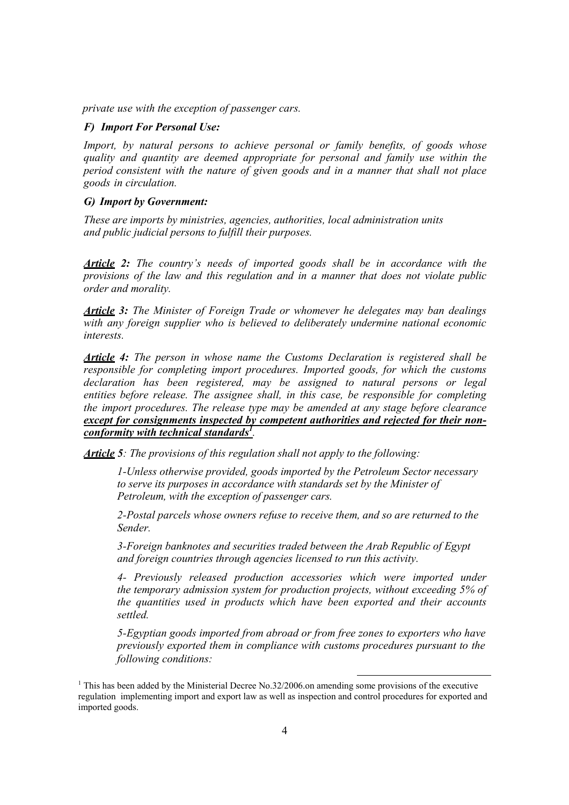*private use with the exception of passenger cars.* 

#### *F) Import For Personal Use:*

*Import, by natural persons to achieve personal or family benefits, of goods whose quality and quantity are deemed appropriate for personal and family use within the period consistent with the nature of given goods and in a manner that shall not place goods in circulation.* 

#### *G) Import by Government:*

*These are imports by ministries, agencies, authorities, local administration units and public judicial persons to fulfill their purposes.* 

*Article 2: The country's needs of imported goods shall be in accordance with the provisions of the law and this regulation and in a manner that does not violate public order and morality.* 

*Article 3: The Minister of Foreign Trade or whomever he delegates may ban dealings with any foreign supplier who is believed to deliberately undermine national economic interests.* 

*Article 4: The person in whose name the Customs Declaration is registered shall be responsible for completing import procedures. Imported goods, for which the customs declaration has been registered, may be assigned to natural persons or legal entities before release. The assignee shall, in this case, be responsible for completing the import procedures. The release type may be amended at any stage before clearance except for consignments inspected by competent authorities and rejected for their nonconformity with technical standards1 .* 

*Article 5: The provisions of this regulation shall not apply to the following:* 

*1-Unless otherwise provided, goods imported by the Petroleum Sector necessary to serve its purposes in accordance with standards set by the Minister of Petroleum, with the exception of passenger cars.* 

*2-Postal parcels whose owners refuse to receive them, and so are returned to the Sender.* 

*3-Foreign banknotes and securities traded between the Arab Republic of Egypt and foreign countries through agencies licensed to run this activity.* 

*4- Previously released production accessories which were imported under the temporary admission system for production projects, without exceeding 5% of the quantities used in products which have been exported and their accounts settled.* 

*5-Egyptian goods imported from abroad or from free zones to exporters who have previously exported them in compliance with customs procedures pursuant to the following conditions:* 

<sup>&</sup>lt;sup>1</sup> This has been added by the Ministerial Decree No.32/2006.on amending some provisions of the executive regulation implementing import and export law as well as inspection and control procedures for exported and imported goods.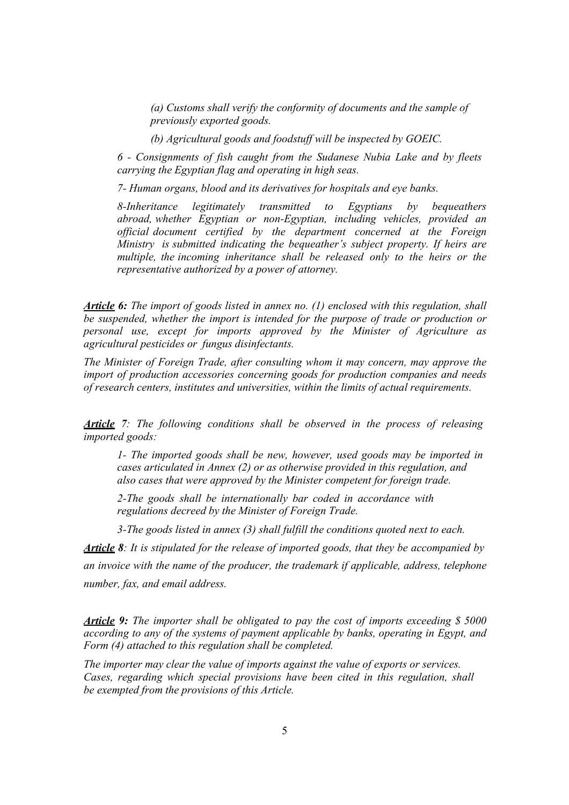*(a) Customs shall verify the conformity of documents and the sample of previously exported goods.* 

*(b) Agricultural goods and foodstuff will be inspected by GOEIC.* 

*6 - Consignments of fish caught from the Sudanese Nubia Lake and by fleets carrying the Egyptian flag and operating in high seas.* 

*7- Human organs, blood and its derivatives for hospitals and eye banks.* 

*8-Inheritance legitimately transmitted to Egyptians by bequeathers abroad, whether Egyptian or non-Egyptian, including vehicles, provided an official document certified by the department concerned at the Foreign Ministry is submitted indicating the bequeather's subject property. If heirs are multiple, the incoming inheritance shall be released only to the heirs or the representative authorized by a power of attorney.* 

*Article 6: The import of goods listed in annex no. (1) enclosed with this regulation, shall be suspended, whether the import is intended for the purpose of trade or production or personal use, except for imports approved by the Minister of Agriculture as agricultural pesticides or fungus disinfectants.* 

*The Minister of Foreign Trade, after consulting whom it may concern, may approve the import of production accessories concerning goods for production companies and needs of research centers, institutes and universities, within the limits of actual requirements.* 

*Article 7: The following conditions shall be observed in the process of releasing imported goods:* 

*1- The imported goods shall be new, however, used goods may be imported in cases articulated in Annex (2) or as otherwise provided in this regulation, and also cases that were approved by the Minister competent for foreign trade.* 

*2-The goods shall be internationally bar coded in accordance with regulations decreed by the Minister of Foreign Trade.* 

*3-The goods listed in annex (3) shall fulfill the conditions quoted next to each.* 

*Article 8: It is stipulated for the release of imported goods, that they be accompanied by an invoice with the name of the producer, the trademark if applicable, address, telephone number, fax, and email address.* 

*Article 9: The importer shall be obligated to pay the cost of imports exceeding \$ 5000 according to any of the systems of payment applicable by banks, operating in Egypt, and Form (4) attached to this regulation shall be completed.* 

*The importer may clear the value of imports against the value of exports or services. Cases, regarding which special provisions have been cited in this regulation, shall be exempted from the provisions of this Article.*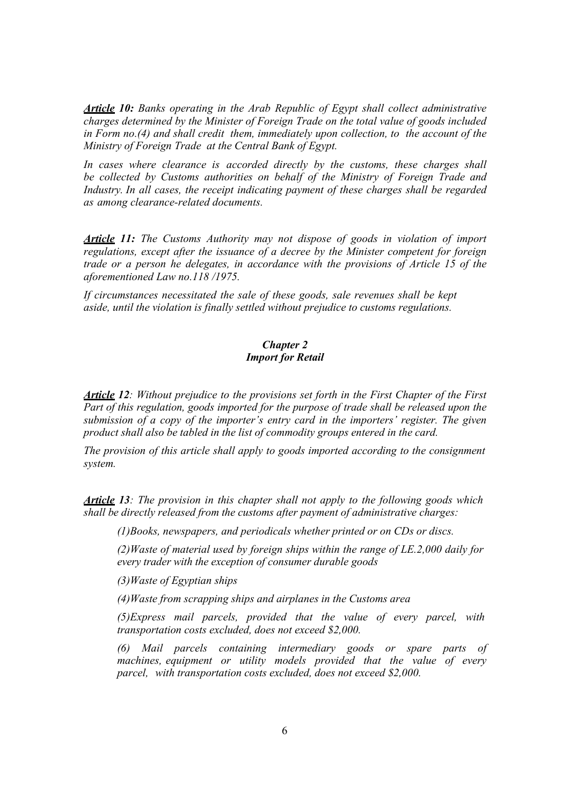*Article 10: Banks operating in the Arab Republic of Egypt shall collect administrative charges determined by the Minister of Foreign Trade on the total value of goods included in Form no.(4) and shall credit them, immediately upon collection, to the account of the Ministry of Foreign Trade at the Central Bank of Egypt.* 

*In cases where clearance is accorded directly by the customs, these charges shall be collected by Customs authorities on behalf of the Ministry of Foreign Trade and Industry. In all cases, the receipt indicating payment of these charges shall be regarded as among clearance-related documents.* 

*Article 11: The Customs Authority may not dispose of goods in violation of import regulations, except after the issuance of a decree by the Minister competent for foreign trade or a person he delegates, in accordance with the provisions of Article 15 of the aforementioned Law no.118 /1975.* 

*If circumstances necessitated the sale of these goods, sale revenues shall be kept aside, until the violation is finally settled without prejudice to customs regulations.* 

#### *Chapter 2 Import for Retail*

*Article 12: Without prejudice to the provisions set forth in the First Chapter of the First Part of this regulation, goods imported for the purpose of trade shall be released upon the submission of a copy of the importer's entry card in the importers' register. The given product shall also be tabled in the list of commodity groups entered in the card.* 

*The provision of this article shall apply to goods imported according to the consignment system.* 

*Article 13: The provision in this chapter shall not apply to the following goods which shall be directly released from the customs after payment of administrative charges:* 

*(1)Books, newspapers, and periodicals whether printed or on CDs or discs.* 

*(2)Waste of material used by foreign ships within the range of LE.2,000 daily for every trader with the exception of consumer durable goods* 

*(3)Waste of Egyptian ships* 

*(4)Waste from scrapping ships and airplanes in the Customs area* 

*(5)Express mail parcels, provided that the value of every parcel, with transportation costs excluded, does not exceed \$2,000.* 

*(6) Mail parcels containing intermediary goods or spare parts of machines, equipment or utility models provided that the value of every parcel, with transportation costs excluded, does not exceed \$2,000.*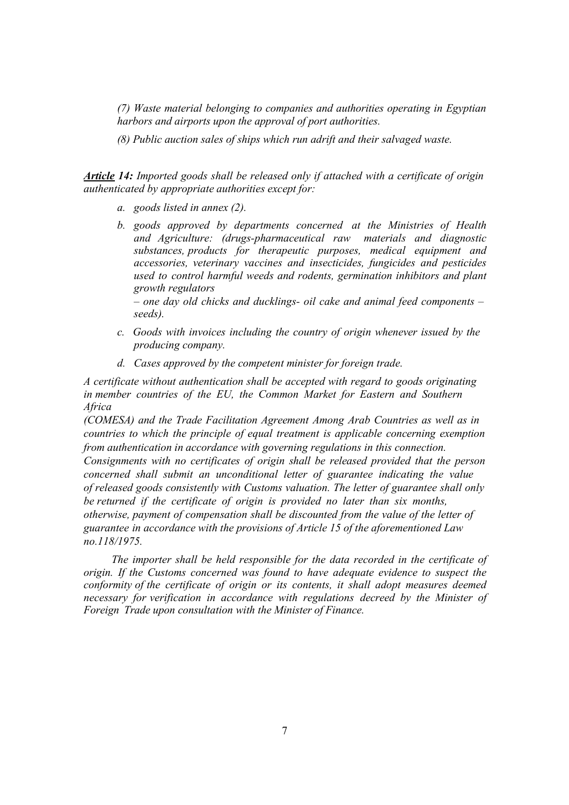*(7) Waste material belonging to companies and authorities operating in Egyptian harbors and airports upon the approval of port authorities.* 

*(8) Public auction sales of ships which run adrift and their salvaged waste.* 

*Article 14: Imported goods shall be released only if attached with a certificate of origin authenticated by appropriate authorities except for:* 

- *a. goods listed in annex (2).*
- *b. goods approved by departments concerned at the Ministries of Health and Agriculture: (drugs-pharmaceutical raw materials and diagnostic substances, products for therapeutic purposes, medical equipment and accessories, veterinary vaccines and insecticides, fungicides and pesticides used to control harmful weeds and rodents, germination inhibitors and plant growth regulators*

*– one day old chicks and ducklings- oil cake and animal feed components – seeds).* 

- *c. Goods with invoices including the country of origin whenever issued by the producing company.*
- *d. Cases approved by the competent minister for foreign trade.*

*A certificate without authentication shall be accepted with regard to goods originating in member countries of the EU, the Common Market for Eastern and Southern Africa* 

*(COMESA) and the Trade Facilitation Agreement Among Arab Countries as well as in countries to which the principle of equal treatment is applicable concerning exemption from authentication in accordance with governing regulations in this connection.* 

*Consignments with no certificates of origin shall be released provided that the person concerned shall submit an unconditional letter of guarantee indicating the value of released goods consistently with Customs valuation. The letter of guarantee shall only be returned if the certificate of origin is provided no later than six months, otherwise, payment of compensation shall be discounted from the value of the letter of guarantee in accordance with the provisions of Article 15 of the aforementioned Law no.118/1975.* 

*The importer shall be held responsible for the data recorded in the certificate of origin. If the Customs concerned was found to have adequate evidence to suspect the conformity of the certificate of origin or its contents, it shall adopt measures deemed necessary for verification in accordance with regulations decreed by the Minister of Foreign Trade upon consultation with the Minister of Finance.*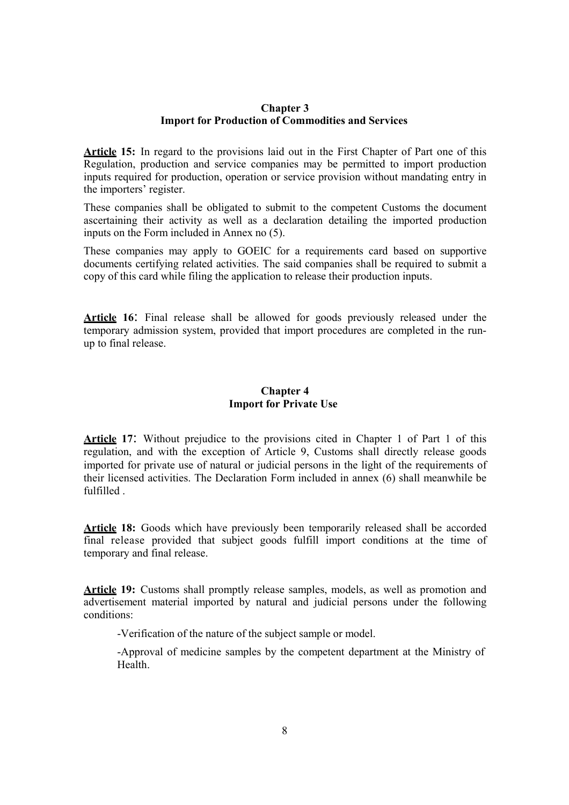#### **Chapter 3 Import for Production of Commodities and Services**

**Article 15:** In regard to the provisions laid out in the First Chapter of Part one of this Regulation, production and service companies may be permitted to import production inputs required for production, operation or service provision without mandating entry in the importers' register.

These companies shall be obligated to submit to the competent Customs the document ascertaining their activity as well as a declaration detailing the imported production inputs on the Form included in Annex no (5).

These companies may apply to GOEIC for a requirements card based on supportive documents certifying related activities. The said companies shall be required to submit a copy of this card while filing the application to release their production inputs.

**Article 16**: Final release shall be allowed for goods previously released under the temporary admission system, provided that import procedures are completed in the runup to final release.

#### **Chapter 4 Import for Private Use**

**Article 17**: Without prejudice to the provisions cited in Chapter 1 of Part 1 of this regulation, and with the exception of Article 9, Customs shall directly release goods imported for private use of natural or judicial persons in the light of the requirements of their licensed activities. The Declaration Form included in annex (6) shall meanwhile be fulfilled .

**Article 18:** Goods which have previously been temporarily released shall be accorded final release provided that subject goods fulfill import conditions at the time of temporary and final release.

Article 19: Customs shall promptly release samples, models, as well as promotion and advertisement material imported by natural and judicial persons under the following conditions:

-Verification of the nature of the subject sample or model.

-Approval of medicine samples by the competent department at the Ministry of Health.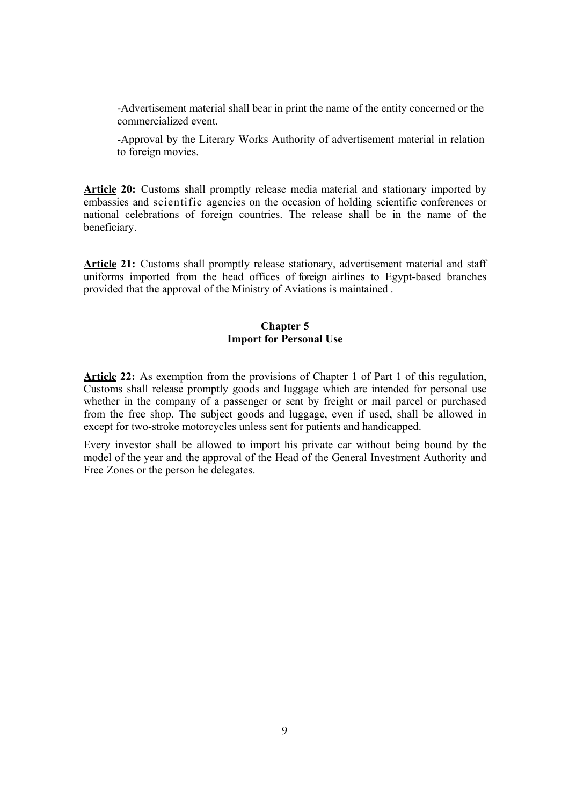-Advertisement material shall bear in print the name of the entity concerned or the commercialized event.

-Approval by the Literary Works Authority of advertisement material in relation to foreign movies.

Article 20: Customs shall promptly release media material and stationary imported by embassies and scientific agencies on the occasion of holding scientific conferences or national celebrations of foreign countries. The release shall be in the name of the beneficiary.

Article 21: Customs shall promptly release stationary, advertisement material and staff uniforms imported from the head offices of foreign airlines to Egypt-based branches provided that the approval of the Ministry of Aviations is maintained .

#### **Chapter 5 Import for Personal Use**

**Article 22:** As exemption from the provisions of Chapter 1 of Part 1 of this regulation, Customs shall release promptly goods and luggage which are intended for personal use whether in the company of a passenger or sent by freight or mail parcel or purchased from the free shop. The subject goods and luggage, even if used, shall be allowed in except for two-stroke motorcycles unless sent for patients and handicapped.

Every investor shall be allowed to import his private car without being bound by the model of the year and the approval of the Head of the General Investment Authority and Free Zones or the person he delegates.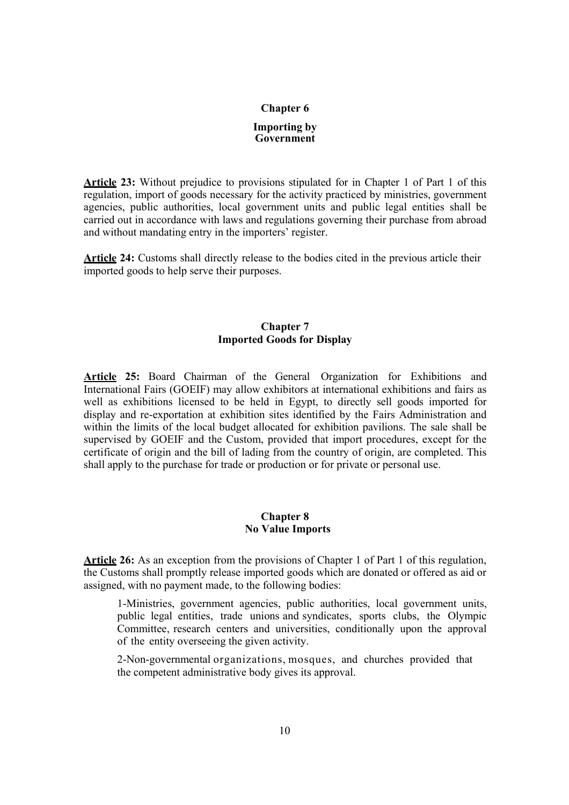## **Chapter 6 Importing by Government**

**Article 23:** Without prejudice to provisions stipulated for in Chapter 1 of Part 1 of this regulation, import of goods necessary for the activity practiced by ministries, government agencies, public authorities, local government units and public legal entities shall be carried out in accordance with laws and regulations governing their purchase from abroad and without mandating entry in the importers' register.

**Article 24:** Customs shall directly release to the bodies cited in the previous article their imported goods to help serve their purposes.

#### **Chapter 7 Imported Goods for Display**

**Article 25:** Board Chairman of the General Organization for Exhibitions and International Fairs (GOEIF) may allow exhibitors at international exhibitions and fairs as well as exhibitions licensed to be held in Egypt, to directly sell goods imported for display and re-exportation at exhibition sites identified by the Fairs Administration and within the limits of the local budget allocated for exhibition pavilions. The sale shall be supervised by GOEIF and the Custom, provided that import procedures, except for the certificate of origin and the bill of lading from the country of origin, are completed. This shall apply to the purchase for trade or production or for private or personal use.

#### **Chapter 8 No Value Imports**

**Article 26:** As an exception from the provisions of Chapter 1 of Part 1 of this regulation, the Customs shall promptly release imported goods which are donated or offered as aid or assigned, with no payment made, to the following bodies:

1-Ministries, government agencies, public authorities, local government units, public legal entities, trade unions and syndicates, sports clubs, the Olympic Committee, research centers and universities, conditionally upon the approval of the entity overseeing the given activity.

 2-Non-governmental organizations, mosques, and churches provided that the competent administrative body gives its approval.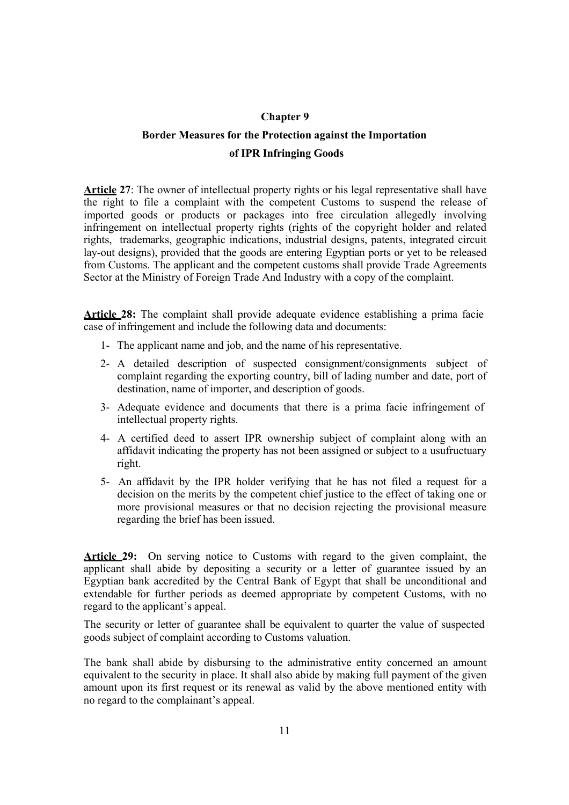#### **Chapter 9**

## **Border Measures for the Protection against the Importation of IPR Infringing Goods**

Article 27: The owner of intellectual property rights or his legal representative shall have the right to file a complaint with the competent Customs to suspend the release of imported goods or products or packages into free circulation allegedly involving infringement on intellectual property rights (rights of the copyright holder and related rights, trademarks, geographic indications, industrial designs, patents, integrated circuit lay-out designs), provided that the goods are entering Egyptian ports or yet to be released from Customs. The applicant and the competent customs shall provide Trade Agreements Sector at the Ministry of Foreign Trade And Industry with a copy of the complaint.

**Article 28:** The complaint shall provide adequate evidence establishing a prima facie case of infringement and include the following data and documents:

- 1- The applicant name and job, and the name of his representative.
- 2- A detailed description of suspected consignment/consignments subject of complaint regarding the exporting country, bill of lading number and date, port of destination, name of importer, and description of goods.
- 3- Adequate evidence and documents that there is a prima facie infringement of intellectual property rights.
- 4- A certified deed to assert IPR ownership subject of complaint along with an affidavit indicating the property has not been assigned or subject to a usufructuary right.
- 5- An affidavit by the IPR holder verifying that he has not filed a request for a decision on the merits by the competent chief justice to the effect of taking one or more provisional measures or that no decision rejecting the provisional measure regarding the brief has been issued.

**Article 29:** On serving notice to Customs with regard to the given complaint, the applicant shall abide by depositing a security or a letter of guarantee issued by an Egyptian bank accredited by the Central Bank of Egypt that shall be unconditional and extendable for further periods as deemed appropriate by competent Customs, with no regard to the applicant's appeal.

The security or letter of guarantee shall be equivalent to quarter the value of suspected goods subject of complaint according to Customs valuation.

The bank shall abide by disbursing to the administrative entity concerned an amount equivalent to the security in place. It shall also abide by making full payment of the given amount upon its first request or its renewal as valid by the above mentioned entity with no regard to the complainant's appeal.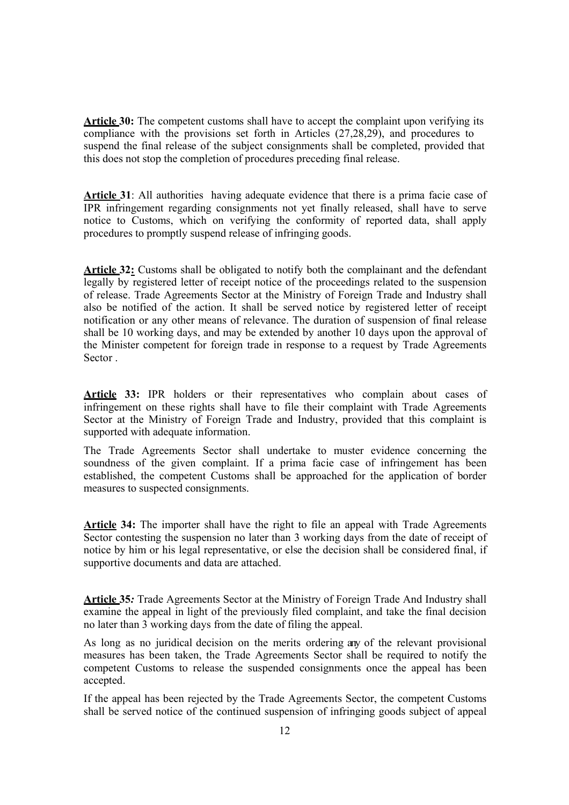**Article 30:** The competent customs shall have to accept the complaint upon verifying its compliance with the provisions set forth in Articles (27,28,29), and procedures to suspend the final release of the subject consignments shall be completed, provided that this does not stop the completion of procedures preceding final release.

**Article 31**: All authorities having adequate evidence that there is a prima facie case of IPR infringement regarding consignments not yet finally released, shall have to serve notice to Customs, which on verifying the conformity of reported data, shall apply procedures to promptly suspend release of infringing goods.

**Article 32:** Customs shall be obligated to notify both the complainant and the defendant legally by registered letter of receipt notice of the proceedings related to the suspension of release. Trade Agreements Sector at the Ministry of Foreign Trade and Industry shall also be notified of the action. It shall be served notice by registered letter of receipt notification or any other means of relevance. The duration of suspension of final release shall be 10 working days, and may be extended by another 10 days upon the approval of the Minister competent for foreign trade in response to a request by Trade Agreements Sector .

**Article 33:** IPR holders or their representatives who complain about cases of infringement on these rights shall have to file their complaint with Trade Agreements Sector at the Ministry of Foreign Trade and Industry, provided that this complaint is supported with adequate information.

The Trade Agreements Sector shall undertake to muster evidence concerning the soundness of the given complaint. If a prima facie case of infringement has been established, the competent Customs shall be approached for the application of border measures to suspected consignments.

**Article 34:** The importer shall have the right to file an appeal with Trade Agreements Sector contesting the suspension no later than 3 working days from the date of receipt of notice by him or his legal representative, or else the decision shall be considered final, if supportive documents and data are attached.

**Article 35***:* Trade Agreements Sector at the Ministry of Foreign Trade And Industry shall examine the appeal in light of the previously filed complaint, and take the final decision no later than 3 working days from the date of filing the appeal.

As long as no juridical decision on the merits ordering any of the relevant provisional measures has been taken, the Trade Agreements Sector shall be required to notify the competent Customs to release the suspended consignments once the appeal has been accepted.

If the appeal has been rejected by the Trade Agreements Sector, the competent Customs shall be served notice of the continued suspension of infringing goods subject of appeal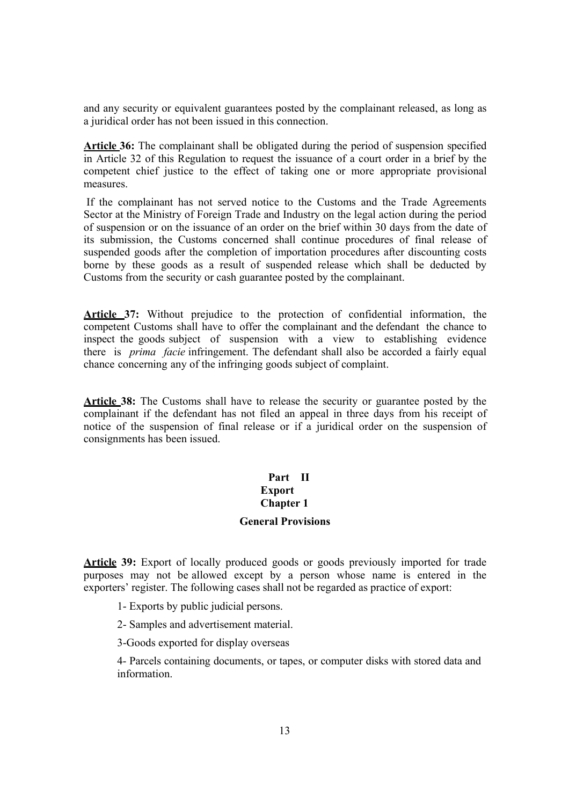and any security or equivalent guarantees posted by the complainant released, as long as a juridical order has not been issued in this connection.

**Article 36:** The complainant shall be obligated during the period of suspension specified in Article 32 of this Regulation to request the issuance of a court order in a brief by the competent chief justice to the effect of taking one or more appropriate provisional measures.

If the complainant has not served notice to the Customs and the Trade Agreements Sector at the Ministry of Foreign Trade and Industry on the legal action during the period of suspension or on the issuance of an order on the brief within 30 days from the date of its submission, the Customs concerned shall continue procedures of final release of suspended goods after the completion of importation procedures after discounting costs borne by these goods as a result of suspended release which shall be deducted by Customs from the security or cash guarantee posted by the complainant.

**Article 37:** Without prejudice to the protection of confidential information, the competent Customs shall have to offer the complainant and the defendant the chance to inspect the goods subject of suspension with a view to establishing evidence there is *prima facie* infringement. The defendant shall also be accorded a fairly equal chance concerning any of the infringing goods subject of complaint.

**Article 38:** The Customs shall have to release the security or guarantee posted by the complainant if the defendant has not filed an appeal in three days from his receipt of notice of the suspension of final release or if a juridical order on the suspension of consignments has been issued.

#### **Part II Export Chapter 1**

#### **General Provisions**

**Article 39:** Export of locally produced goods or goods previously imported for trade purposes may not be allowed except by a person whose name is entered in the exporters' register. The following cases shall not be regarded as practice of export:

- 1- Exports by public judicial persons.
- 2- Samples and advertisement material.
- 3-Goods exported for display overseas

4- Parcels containing documents, or tapes, or computer disks with stored data and information.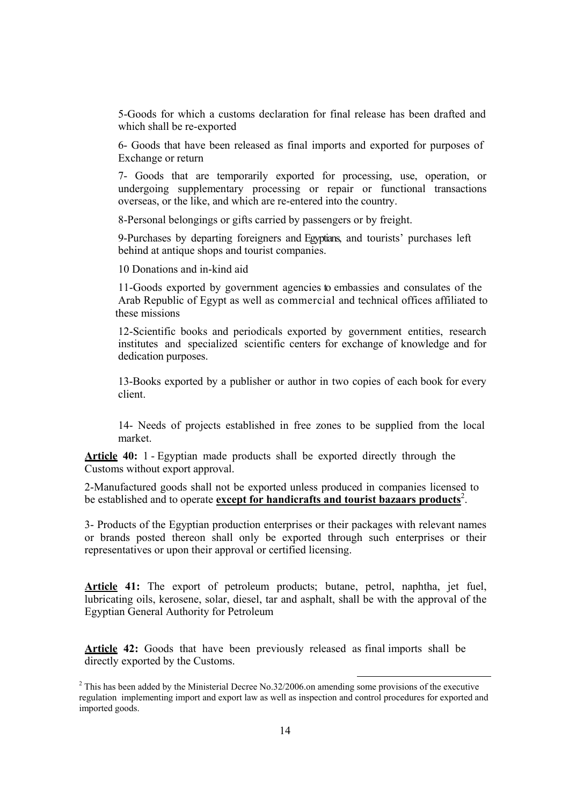5-Goods for which a customs declaration for final release has been drafted and which shall be re-exported

6- Goods that have been released as final imports and exported for purposes of Exchange or return

7- Goods that are temporarily exported for processing, use, operation, or undergoing supplementary processing or repair or functional transactions overseas, or the like, and which are re-entered into the country.

8-Personal belongings or gifts carried by passengers or by freight.

9-Purchases by departing foreigners and Egyptians, and tourists' purchases left behind at antique shops and tourist companies.

10 Donations and in-kind aid

11-Goods exported by government agencies to embassies and consulates of the Arab Republic of Egypt as well as commercial and technical offices affiliated to these missions

12-Scientific books and periodicals exported by government entities, research institutes and specialized scientific centers for exchange of knowledge and for dedication purposes.

13-Books exported by a publisher or author in two copies of each book for every client.

14- Needs of projects established in free zones to be supplied from the local market.

**Article 40:** 1 - Egyptian made products shall be exported directly through the Customs without export approval.

2-Manufactured goods shall not be exported unless produced in companies licensed to be established and to operate **except for handicrafts and tourist bazaars products**<sup>2</sup>.

3- Products of the Egyptian production enterprises or their packages with relevant names or brands posted thereon shall only be exported through such enterprises or their representatives or upon their approval or certified licensing.

Article 41: The export of petroleum products; butane, petrol, naphtha, jet fuel, lubricating oils, kerosene, solar, diesel, tar and asphalt, shall be with the approval of the Egyptian General Authority for Petroleum

**Article 42:** Goods that have been previously released as final imports shall be directly exported by the Customs.

<sup>&</sup>lt;sup>2</sup> This has been added by the Ministerial Decree No.32/2006.on amending some provisions of the executive regulation implementing import and export law as well as inspection and control procedures for exported and imported goods.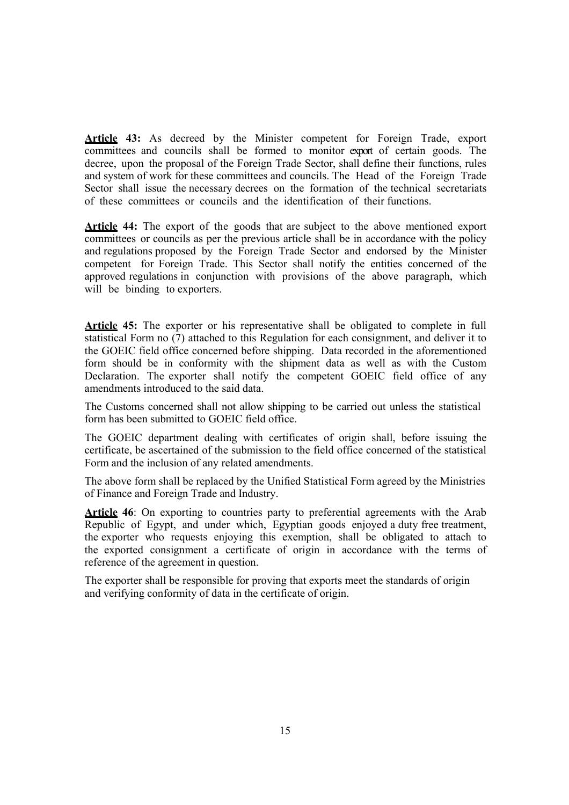**Article 43:** As decreed by the Minister competent for Foreign Trade, export committees and councils shall be formed to monitor export of certain goods. The decree, upon the proposal of the Foreign Trade Sector, shall define their functions, rules and system of work for these committees and councils. The Head of the Foreign Trade Sector shall issue the necessary decrees on the formation of the technical secretariats of these committees or councils and the identification of their functions.

**Article 44:** The export of the goods that are subject to the above mentioned export committees or councils as per the previous article shall be in accordance with the policy and regulations proposed by the Foreign Trade Sector and endorsed by the Minister competent for Foreign Trade. This Sector shall notify the entities concerned of the approved regulations in conjunction with provisions of the above paragraph, which will be binding to exporters.

**Article 45:** The exporter or his representative shall be obligated to complete in full statistical Form no (7) attached to this Regulation for each consignment, and deliver it to the GOEIC field office concerned before shipping. Data recorded in the aforementioned form should be in conformity with the shipment data as well as with the Custom Declaration. The exporter shall notify the competent GOEIC field office of any amendments introduced to the said data.

The Customs concerned shall not allow shipping to be carried out unless the statistical form has been submitted to GOEIC field office.

The GOEIC department dealing with certificates of origin shall, before issuing the certificate, be ascertained of the submission to the field office concerned of the statistical Form and the inclusion of any related amendments.

The above form shall be replaced by the Unified Statistical Form agreed by the Ministries of Finance and Foreign Trade and Industry.

Article 46: On exporting to countries party to preferential agreements with the Arab Republic of Egypt, and under which, Egyptian goods enjoyed a duty free treatment, the exporter who requests enjoying this exemption, shall be obligated to attach to the exported consignment a certificate of origin in accordance with the terms of reference of the agreement in question.

The exporter shall be responsible for proving that exports meet the standards of origin and verifying conformity of data in the certificate of origin.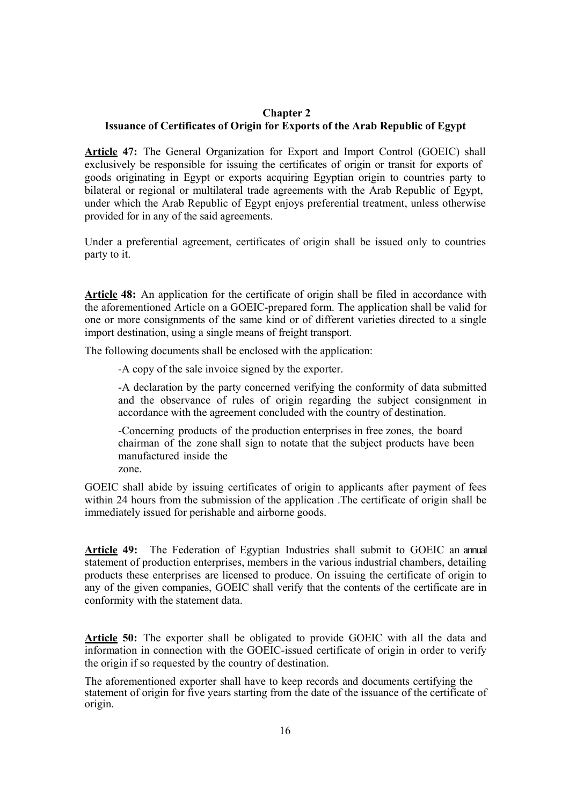#### **Chapter 2 Issuance of Certificates of Origin for Exports of the Arab Republic of Egypt**

**Article 47:** The General Organization for Export and Import Control (GOEIC) shall exclusively be responsible for issuing the certificates of origin or transit for exports of goods originating in Egypt or exports acquiring Egyptian origin to countries party to bilateral or regional or multilateral trade agreements with the Arab Republic of Egypt, under which the Arab Republic of Egypt enjoys preferential treatment, unless otherwise provided for in any of the said agreements.

Under a preferential agreement, certificates of origin shall be issued only to countries party to it.

Article 48: An application for the certificate of origin shall be filed in accordance with the aforementioned Article on a GOEIC-prepared form. The application shall be valid for one or more consignments of the same kind or of different varieties directed to a single import destination, using a single means of freight transport.

The following documents shall be enclosed with the application:

-A copy of the sale invoice signed by the exporter.

-A declaration by the party concerned verifying the conformity of data submitted and the observance of rules of origin regarding the subject consignment in accordance with the agreement concluded with the country of destination.

-Concerning products of the production enterprises in free zones, the board chairman of the zone shall sign to notate that the subject products have been manufactured inside the

zone.

GOEIC shall abide by issuing certificates of origin to applicants after payment of fees within 24 hours from the submission of the application .The certificate of origin shall be immediately issued for perishable and airborne goods.

**Article 49:** The Federation of Egyptian Industries shall submit to GOEIC an annual statement of production enterprises, members in the various industrial chambers, detailing products these enterprises are licensed to produce. On issuing the certificate of origin to any of the given companies, GOEIC shall verify that the contents of the certificate are in conformity with the statement data.

**Article 50:** The exporter shall be obligated to provide GOEIC with all the data and information in connection with the GOEIC-issued certificate of origin in order to verify the origin if so requested by the country of destination.

The aforementioned exporter shall have to keep records and documents certifying the statement of origin for five years starting from the date of the issuance of the certificate of origin.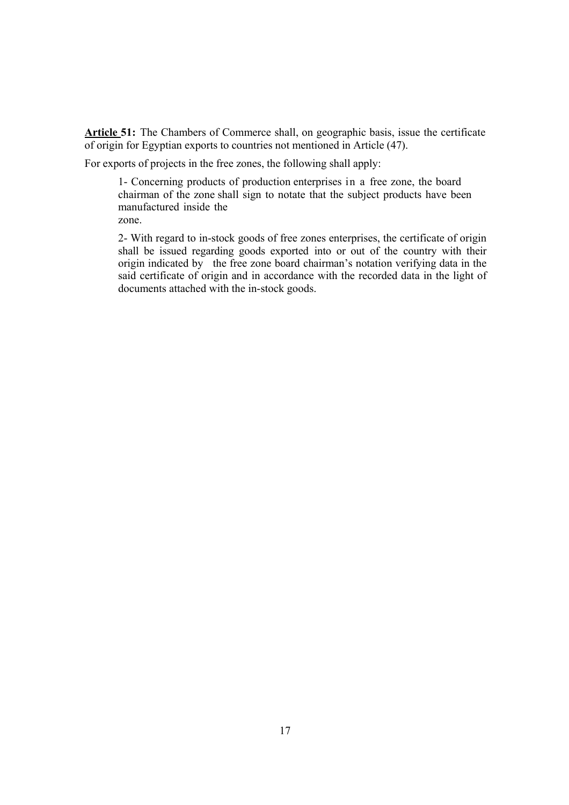**Article 51:** The Chambers of Commerce shall, on geographic basis, issue the certificate of origin for Egyptian exports to countries not mentioned in Article (47).

For exports of projects in the free zones, the following shall apply:

1- Concerning products of production enterprises in a free zone, the board chairman of the zone shall sign to notate that the subject products have been manufactured inside the

zone.

2- With regard to in-stock goods of free zones enterprises, the certificate of origin shall be issued regarding goods exported into or out of the country with their origin indicated by the free zone board chairman's notation verifying data in the said certificate of origin and in accordance with the recorded data in the light of documents attached with the in-stock goods.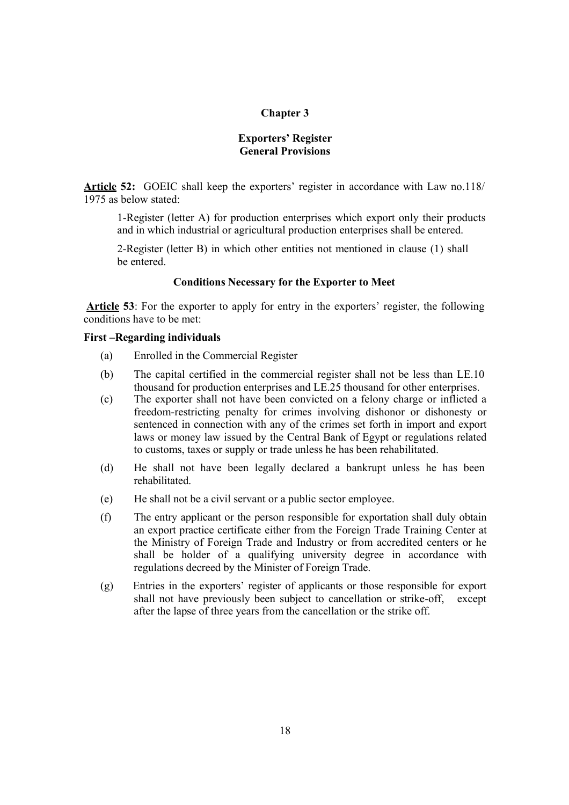#### **Chapter 3**

#### **Exporters' Register General Provisions**

**Article 52:** GOEIC shall keep the exporters' register in accordance with Law no.118/ 1975 as below stated:

1-Register (letter A) for production enterprises which export only their products and in which industrial or agricultural production enterprises shall be entered.

2-Register (letter B) in which other entities not mentioned in clause (1) shall be entered.

#### **Conditions Necessary for the Exporter to Meet**

 **Article 53**: For the exporter to apply for entry in the exporters' register, the following conditions have to be met:

#### **First –Regarding individuals**

- (a) Enrolled in the Commercial Register
- (b) The capital certified in the commercial register shall not be less than LE.10 thousand for production enterprises and LE.25 thousand for other enterprises.
- (c) The exporter shall not have been convicted on a felony charge or inflicted a freedom-restricting penalty for crimes involving dishonor or dishonesty or sentenced in connection with any of the crimes set forth in import and export laws or money law issued by the Central Bank of Egypt or regulations related to customs, taxes or supply or trade unless he has been rehabilitated.
- (d) He shall not have been legally declared a bankrupt unless he has been rehabilitated.
- (e) He shall not be a civil servant or a public sector employee.
- (f) The entry applicant or the person responsible for exportation shall duly obtain an export practice certificate either from the Foreign Trade Training Center at the Ministry of Foreign Trade and Industry or from accredited centers or he shall be holder of a qualifying university degree in accordance with regulations decreed by the Minister of Foreign Trade.
- (g) Entries in the exporters' register of applicants or those responsible for export shall not have previously been subject to cancellation or strike-off, except after the lapse of three years from the cancellation or the strike off.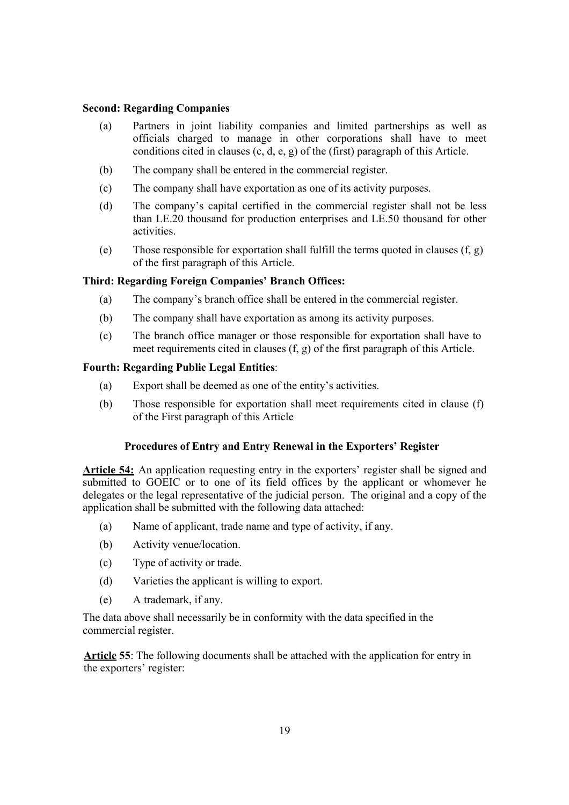#### **Second: Regarding Companies**

- (a) Partners in joint liability companies and limited partnerships as well as officials charged to manage in other corporations shall have to meet conditions cited in clauses (c, d, e, g) of the (first) paragraph of this Article.
- (b) The company shall be entered in the commercial register.
- (c) The company shall have exportation as one of its activity purposes.
- (d) The company's capital certified in the commercial register shall not be less than LE.20 thousand for production enterprises and LE.50 thousand for other activities.
- (e) Those responsible for exportation shall fulfill the terms quoted in clauses (f, g) of the first paragraph of this Article.

#### **Third: Regarding Foreign Companies' Branch Offices:**

- (a) The company's branch office shall be entered in the commercial register.
- (b) The company shall have exportation as among its activity purposes.
- (c) The branch office manager or those responsible for exportation shall have to meet requirements cited in clauses (f, g) of the first paragraph of this Article.

#### **Fourth: Regarding Public Legal Entities**:

- (a) Export shall be deemed as one of the entity's activities.
- (b) Those responsible for exportation shall meet requirements cited in clause (f) of the First paragraph of this Article

#### **Procedures of Entry and Entry Renewal in the Exporters' Register**

**Article 54:** An application requesting entry in the exporters' register shall be signed and submitted to GOEIC or to one of its field offices by the applicant or whomever he delegates or the legal representative of the judicial person. The original and a copy of the application shall be submitted with the following data attached:

- (a) Name of applicant, trade name and type of activity, if any.
- (b) Activity venue/location.
- (c) Type of activity or trade.
- (d) Varieties the applicant is willing to export.
- (e) A trademark, if any.

The data above shall necessarily be in conformity with the data specified in the commercial register.

**Article 55**: The following documents shall be attached with the application for entry in the exporters' register: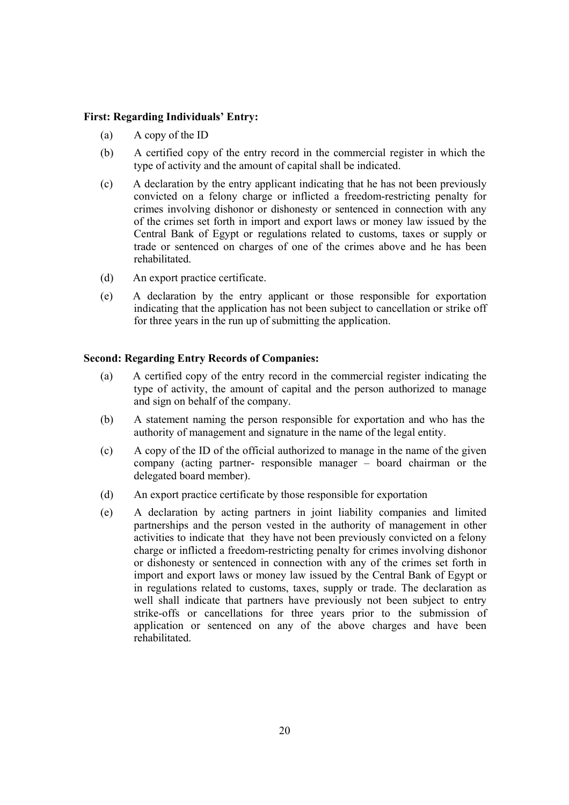#### **First: Regarding Individuals' Entry:**

- (a) A copy of the ID
- (b) A certified copy of the entry record in the commercial register in which the type of activity and the amount of capital shall be indicated.
- (c) A declaration by the entry applicant indicating that he has not been previously convicted on a felony charge or inflicted a freedom-restricting penalty for crimes involving dishonor or dishonesty or sentenced in connection with any of the crimes set forth in import and export laws or money law issued by the Central Bank of Egypt or regulations related to customs, taxes or supply or trade or sentenced on charges of one of the crimes above and he has been rehabilitated.
- (d) An export practice certificate.
- (e) A declaration by the entry applicant or those responsible for exportation indicating that the application has not been subject to cancellation or strike off for three years in the run up of submitting the application.

#### **Second: Regarding Entry Records of Companies:**

- (a) A certified copy of the entry record in the commercial register indicating the type of activity, the amount of capital and the person authorized to manage and sign on behalf of the company.
- (b) A statement naming the person responsible for exportation and who has the authority of management and signature in the name of the legal entity.
- (c) A copy of the ID of the official authorized to manage in the name of the given company (acting partner- responsible manager – board chairman or the delegated board member).
- (d) An export practice certificate by those responsible for exportation
- (e) A declaration by acting partners in joint liability companies and limited partnerships and the person vested in the authority of management in other activities to indicate that they have not been previously convicted on a felony charge or inflicted a freedom-restricting penalty for crimes involving dishonor or dishonesty or sentenced in connection with any of the crimes set forth in import and export laws or money law issued by the Central Bank of Egypt or in regulations related to customs, taxes, supply or trade. The declaration as well shall indicate that partners have previously not been subject to entry strike-offs or cancellations for three years prior to the submission of application or sentenced on any of the above charges and have been rehabilitated.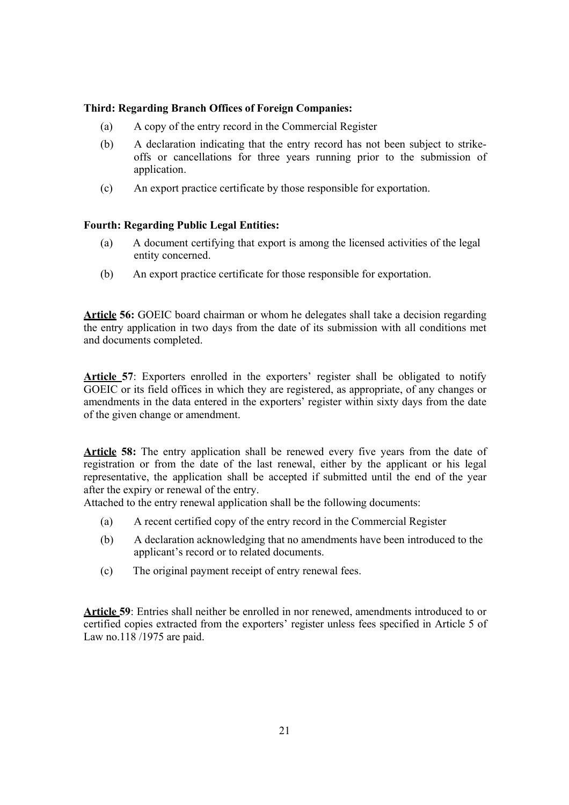#### **Third: Regarding Branch Offices of Foreign Companies:**

- (a) A copy of the entry record in the Commercial Register
- (b) A declaration indicating that the entry record has not been subject to strikeoffs or cancellations for three years running prior to the submission of application.
- (c) An export practice certificate by those responsible for exportation.

#### **Fourth: Regarding Public Legal Entities:**

- (a) A document certifying that export is among the licensed activities of the legal entity concerned.
- (b) An export practice certificate for those responsible for exportation.

**Article 56:** GOEIC board chairman or whom he delegates shall take a decision regarding the entry application in two days from the date of its submission with all conditions met and documents completed.

**Article 57**: Exporters enrolled in the exporters' register shall be obligated to notify GOEIC or its field offices in which they are registered, as appropriate, of any changes or amendments in the data entered in the exporters' register within sixty days from the date of the given change or amendment.

**Article 58:** The entry application shall be renewed every five years from the date of registration or from the date of the last renewal, either by the applicant or his legal representative, the application shall be accepted if submitted until the end of the year after the expiry or renewal of the entry.

Attached to the entry renewal application shall be the following documents:

- (a) A recent certified copy of the entry record in the Commercial Register
- (b) A declaration acknowledging that no amendments have been introduced to the applicant's record or to related documents.
- (c) The original payment receipt of entry renewal fees.

**Article 59**: Entries shall neither be enrolled in nor renewed, amendments introduced to or certified copies extracted from the exporters' register unless fees specified in Article 5 of Law no.118 /1975 are paid.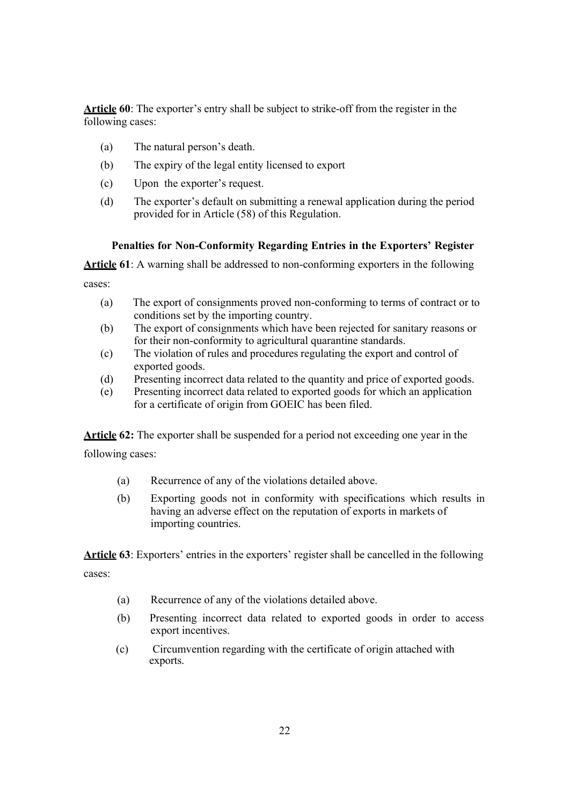**Article 60**: The exporter's entry shall be subject to strike-off from the register in the following cases:

- (a) The natural person's death.
- (b) The expiry of the legal entity licensed to export
- (c) Upon the exporter's request.
- (d) The exporter's default on submitting a renewal application during the period provided for in Article (58) of this Regulation.

#### **Penalties for Non-Conformity Regarding Entries in the Exporters' Register**

**Article 61**: A warning shall be addressed to non-conforming exporters in the following

cases:

- (a) The export of consignments proved non-conforming to terms of contract or to conditions set by the importing country.
- (b) The export of consignments which have been rejected for sanitary reasons or for their non-conformity to agricultural quarantine standards.
- (c) The violation of rules and procedures regulating the export and control of exported goods.
- (d) Presenting incorrect data related to the quantity and price of exported goods.
- (e) Presenting incorrect data related to exported goods for which an application for a certificate of origin from GOEIC has been filed.

**Article 62:** The exporter shall be suspended for a period not exceeding one year in the following cases:

- (a) Recurrence of any of the violations detailed above.
- (b) Exporting goods not in conformity with specifications which results in having an adverse effect on the reputation of exports in markets of importing countries.

**Article 63**: Exporters' entries in the exporters' register shall be cancelled in the following cases:

- (a) Recurrence of any of the violations detailed above.
- (b) Presenting incorrect data related to exported goods in order to access export incentives.
- (c) Circumvention regarding with the certificate of origin attached with exports.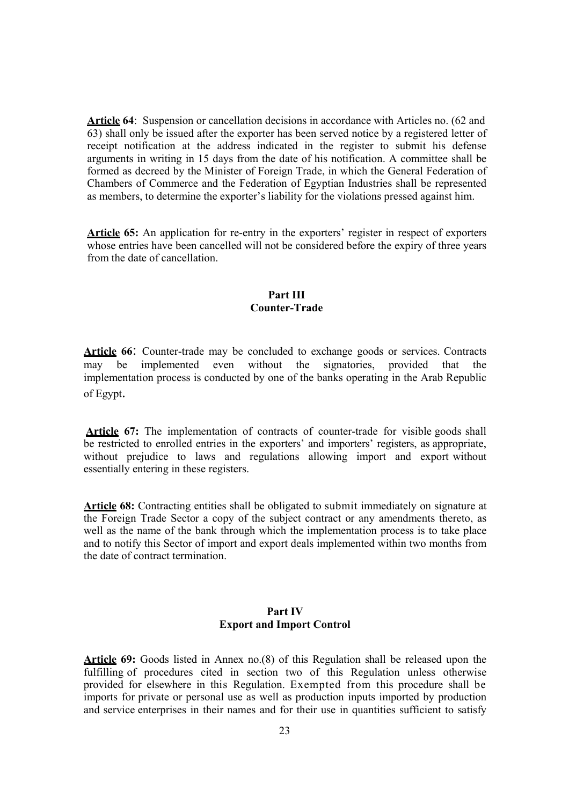Article 64: Suspension or cancellation decisions in accordance with Articles no. (62 and 63) shall only be issued after the exporter has been served notice by a registered letter of receipt notification at the address indicated in the register to submit his defense arguments in writing in 15 days from the date of his notification. A committee shall be formed as decreed by the Minister of Foreign Trade, in which the General Federation of Chambers of Commerce and the Federation of Egyptian Industries shall be represented as members, to determine the exporter's liability for the violations pressed against him.

Article 65: An application for re-entry in the exporters' register in respect of exporters whose entries have been cancelled will not be considered before the expiry of three years from the date of cancellation.

#### **Part III Counter-Trade**

**Article 66**: Counter-trade may be concluded to exchange goods or services. Contracts may be implemented even without the signatories, provided that the implementation process is conducted by one of the banks operating in the Arab Republic of Egypt.

**Article 67:** The implementation of contracts of counter-trade for visible goods shall be restricted to enrolled entries in the exporters' and importers' registers, as appropriate, without prejudice to laws and regulations allowing import and export without essentially entering in these registers.

**Article 68:** Contracting entities shall be obligated to submit immediately on signature at the Foreign Trade Sector a copy of the subject contract or any amendments thereto, as well as the name of the bank through which the implementation process is to take place and to notify this Sector of import and export deals implemented within two months from the date of contract termination.

#### **Part IV Export and Import Control**

**Article 69:** Goods listed in Annex no.(8) of this Regulation shall be released upon the fulfilling of procedures cited in section two of this Regulation unless otherwise provided for elsewhere in this Regulation. Exempted from this procedure shall be imports for private or personal use as well as production inputs imported by production and service enterprises in their names and for their use in quantities sufficient to satisfy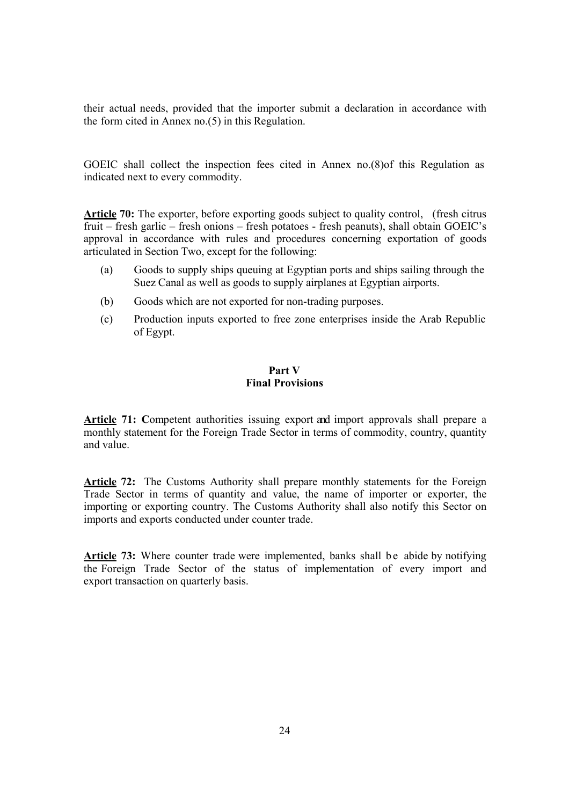their actual needs, provided that the importer submit a declaration in accordance with the form cited in Annex no.(5) in this Regulation.

GOEIC shall collect the inspection fees cited in Annex no.(8)of this Regulation as indicated next to every commodity.

**Article 70:** The exporter, before exporting goods subject to quality control, (fresh citrus fruit – fresh garlic – fresh onions – fresh potatoes - fresh peanuts), shall obtain GOEIC's approval in accordance with rules and procedures concerning exportation of goods articulated in Section Two, except for the following:

- (a) Goods to supply ships queuing at Egyptian ports and ships sailing through the Suez Canal as well as goods to supply airplanes at Egyptian airports.
- (b) Goods which are not exported for non-trading purposes.
- (c) Production inputs exported to free zone enterprises inside the Arab Republic of Egypt.

#### **Part V Final Provisions**

**Article 71: C**ompetent authorities issuing export and import approvals shall prepare a monthly statement for the Foreign Trade Sector in terms of commodity, country, quantity and value.

**Article 72:** The Customs Authority shall prepare monthly statements for the Foreign Trade Sector in terms of quantity and value, the name of importer or exporter, the importing or exporting country. The Customs Authority shall also notify this Sector on imports and exports conducted under counter trade.

Article 73: Where counter trade were implemented, banks shall be abide by notifying the Foreign Trade Sector of the status of implementation of every import and export transaction on quarterly basis.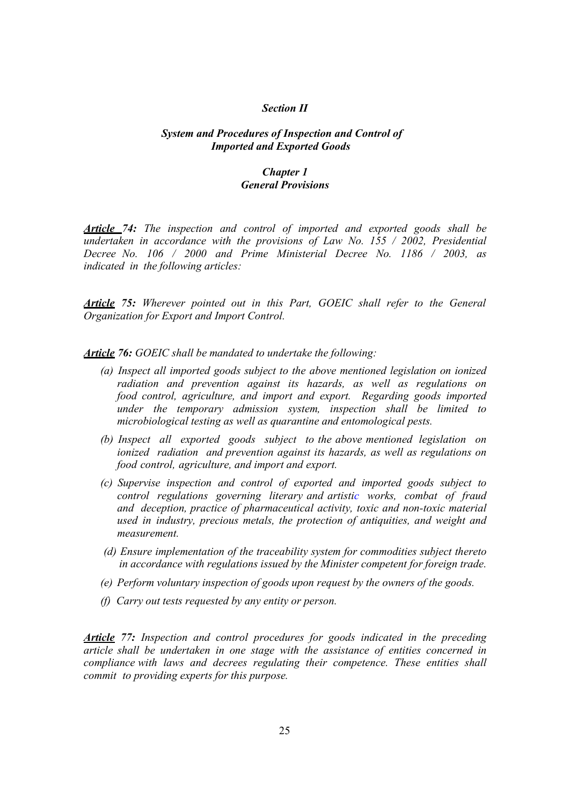#### *Section II*

#### *System and Procedures of Inspection and Control of Imported and Exported Goods*

#### *Chapter 1 General Provisions*

*Article 74: The inspection and control of imported and exported goods shall be undertaken in accordance with the provisions of Law No. 155 / 2002, Presidential Decree No. 106 / 2000 and Prime Ministerial Decree No. 1186 / 2003, as indicated in the following articles:* 

*Article 75: Wherever pointed out in this Part, GOEIC shall refer to the General Organization for Export and Import Control.* 

*Article 76: GOEIC shall be mandated to undertake the following:* 

- *(a) Inspect all imported goods subject to the above mentioned legislation on ionized radiation and prevention against its hazards, as well as regulations on food control, agriculture, and import and export. Regarding goods imported under the temporary admission system, inspection shall be limited to microbiological testing as well as quarantine and entomological pests.*
- *(b) Inspect all exported goods subject to the above mentioned legislation on ionized radiation and prevention against its hazards, as well as regulations on food control, agriculture, and import and export.*
- *(c) Supervise inspection and control of exported and imported goods subject to control regulations governing literary and artistic works, combat of fraud and deception, practice of pharmaceutical activity, toxic and non-toxic material used in industry, precious metals, the protection of antiquities, and weight and measurement.*
- *(d) Ensure implementation of the traceability system for commodities subject thereto in accordance with regulations issued by the Minister competent for foreign trade.*
- *(e) Perform voluntary inspection of goods upon request by the owners of the goods.*
- *(f) Carry out tests requested by any entity or person.*

*Article 77: Inspection and control procedures for goods indicated in the preceding article shall be undertaken in one stage with the assistance of entities concerned in compliance with laws and decrees regulating their competence. These entities shall commit to providing experts for this purpose.*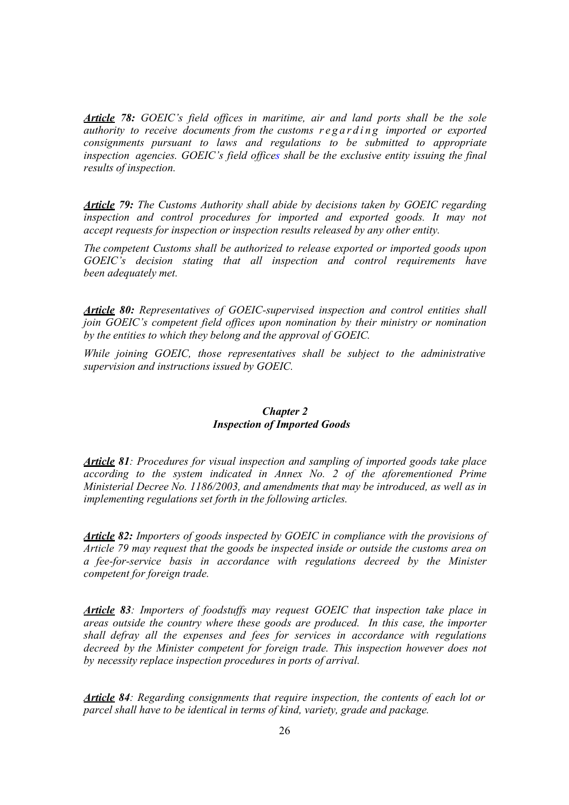*Article 78: GOEIC's field offices in maritime, air and land ports shall be the sole authority to receive documents from the customs regarding imported or exported consignments pursuant to laws and regulations to be submitted to appropriate inspection agencies. GOEIC's field offices shall be the exclusive entity issuing the final results of inspection.* 

*Article 79: The Customs Authority shall abide by decisions taken by GOEIC regarding*  inspection and control procedures for imported and exported goods. It may not *accept requests for inspection or inspection results released by any other entity.* 

*The competent Customs shall be authorized to release exported or imported goods upon GOEIC's decision stating that all inspection and control requirements have been adequately met.* 

*Article 80: Representatives of GOEIC-supervised inspection and control entities shall join GOEIC's competent field offices upon nomination by their ministry or nomination by the entities to which they belong and the approval of GOEIC.* 

*While joining GOEIC, those representatives shall be subject to the administrative supervision and instructions issued by GOEIC.* 

#### *Chapter 2 Inspection of Imported Goods*

*Article 81: Procedures for visual inspection and sampling of imported goods take place according to the system indicated in Annex No. 2 of the aforementioned Prime Ministerial Decree No. 1186/2003, and amendments that may be introduced, as well as in implementing regulations set forth in the following articles.* 

*Article 82: Importers of goods inspected by GOEIC in compliance with the provisions of Article 79 may request that the goods be inspected inside or outside the customs area on a fee-for-service basis in accordance with regulations decreed by the Minister competent for foreign trade.* 

*Article 83: Importers of foodstuffs may request GOEIC that inspection take place in areas outside the country where these goods are produced. In this case, the importer shall defray all the expenses and fees for services in accordance with regulations decreed by the Minister competent for foreign trade. This inspection however does not by necessity replace inspection procedures in ports of arrival.* 

*Article 84: Regarding consignments that require inspection, the contents of each lot or parcel shall have to be identical in terms of kind, variety, grade and package.*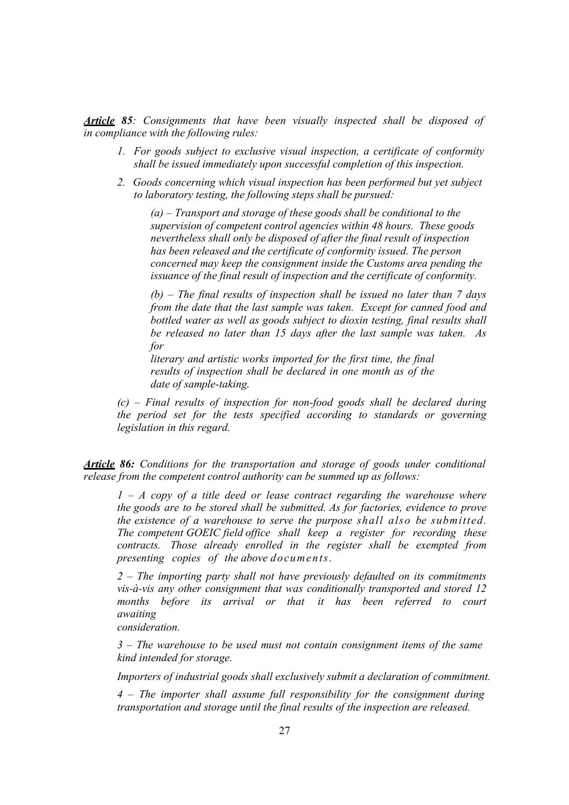*Article 85: Consignments that have been visually inspected shall be disposed of in compliance with the following rules:* 

- *1. For goods subject to exclusive visual inspection, a certificate of conformity shall be issued immediately upon successful completion of this inspection.*
- *2. Goods concerning which visual inspection has been performed but yet subject to laboratory testing, the following steps shall be pursued:*

*(a) – Transport and storage of these goods shall be conditional to the supervision of competent control agencies within 48 hours. These goods nevertheless shall only be disposed of after the final result of inspection has been released and the certificate of conformity issued. The person concerned may keep the consignment inside the Customs area pending the issuance of the final result of inspection and the certificate of conformity.* 

*(b) – The final results of inspection shall be issued no later than 7 days from the date that the last sample was taken. Except for canned food and bottled water as well as goods subject to dioxin testing, final results shall be released no later than 15 days after the last sample was taken. As for* 

*literary and artistic works imported for the first time, the final results of inspection shall be declared in one month as of the date of sample-taking.* 

*(c) – Final results of inspection for non-food goods shall be declared during the period set for the tests specified according to standards or governing legislation in this regard.* 

*Article 86: Conditions for the transportation and storage of goods under conditional release from the competent control authority can be summed up as follows:* 

*1 – A copy of a title deed or lease contract regarding the warehouse where the goods are to be stored shall be submitted. As for factories, evidence to prove the existence of a warehouse to serve the purpose shall also be submitted. The competent GOEIC field office shall keep a register for recording these contracts. Those already enrolled in the register shall be exempted from presenting copies of the above documents.* 

*2 – The importing party shall not have previously defaulted on its commitments vis-à-vis any other consignment that was conditionally transported and stored 12 months before its arrival or that it has been referred to court awaiting* 

 *consideration.* 

*3 – The warehouse to be used must not contain consignment items of the same kind intended for storage.* 

*Importers of industrial goods shall exclusively submit a declaration of commitment.* 

*4 – The importer shall assume full responsibility for the consignment during transportation and storage until the final results of the inspection are released.*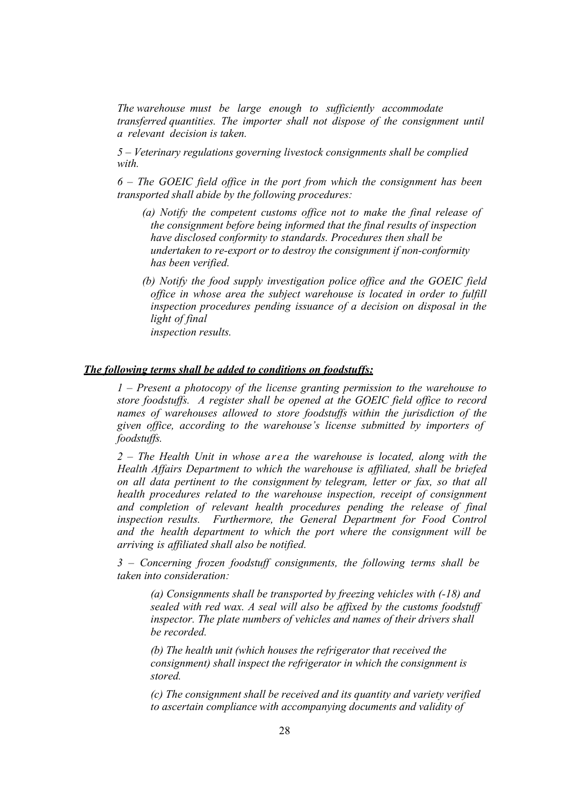*The warehouse must be large enough to sufficiently accommodate transferred quantities. The importer shall not dispose of the consignment until a relevant decision is taken.* 

*5 – Veterinary regulations governing livestock consignments shall be complied with.* 

*6 – The GOEIC field office in the port from which the consignment has been transported shall abide by the following procedures:* 

- *(a) Notify the competent customs office not to make the final release of the consignment before being informed that the final results of inspection have disclosed conformity to standards. Procedures then shall be undertaken to re-export or to destroy the consignment if non-conformity has been verified.*
- *(b) Notify the food supply investigation police office and the GOEIC field office in whose area the subject warehouse is located in order to fulfill inspection procedures pending issuance of a decision on disposal in the light of final inspection results.*

#### *The following terms shall be added to conditions on foodstuffs:*

*1 – Present a photocopy of the license granting permission to the warehouse to store foodstuffs. A register shall be opened at the GOEIC field office to record names of warehouses allowed to store foodstuffs within the jurisdiction of the given office, according to the warehouse's license submitted by importers of foodstuffs.* 

*2 – The Health Unit in whose area the warehouse is located, along with the Health Affairs Department to which the warehouse is affiliated, shall be briefed on all data pertinent to the consignment by telegram, letter or fax, so that all health procedures related to the warehouse inspection, receipt of consignment and completion of relevant health procedures pending the release of final inspection results. Furthermore, the General Department for Food Control and the health department to which the port where the consignment will be arriving is affiliated shall also be notified.* 

*3 – Concerning frozen foodstuff consignments, the following terms shall be taken into consideration:* 

*(a) Consignments shall be transported by freezing vehicles with (-18) and sealed with red wax. A seal will also be affixed by the customs foodstuff inspector. The plate numbers of vehicles and names of their drivers shall be recorded.* 

*(b) The health unit (which houses the refrigerator that received the consignment) shall inspect the refrigerator in which the consignment is stored.* 

*(c) The consignment shall be received and its quantity and variety verified to ascertain compliance with accompanying documents and validity of*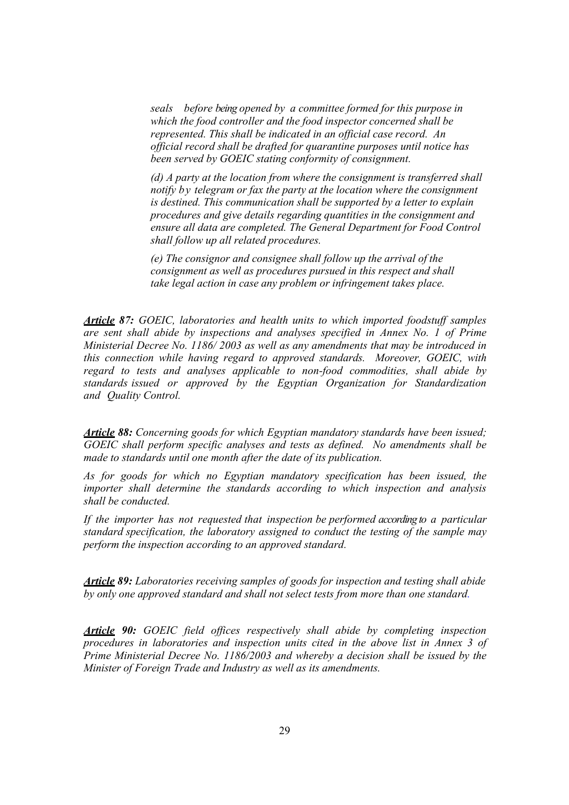*seals before being opened by a committee formed for this purpose in which the food controller and the food inspector concerned shall be represented. This shall be indicated in an official case record. An official record shall be drafted for quarantine purposes until notice has been served by GOEIC stating conformity of consignment.* 

*(d) A party at the location from where the consignment is transferred shall notify by telegram or fax the party at the location where the consignment is destined. This communication shall be supported by a letter to explain procedures and give details regarding quantities in the consignment and ensure all data are completed. The General Department for Food Control shall follow up all related procedures.* 

*(e) The consignor and consignee shall follow up the arrival of the consignment as well as procedures pursued in this respect and shall take legal action in case any problem or infringement takes place.* 

*Article 87: GOEIC, laboratories and health units to which imported foodstuff samples are sent shall abide by inspections and analyses specified in Annex No. 1 of Prime Ministerial Decree No. 1186/ 2003 as well as any amendments that may be introduced in this connection while having regard to approved standards. Moreover, GOEIC, with regard to tests and analyses applicable to non-food commodities, shall abide by standards issued or approved by the Egyptian Organization for Standardization and Quality Control.* 

*Article 88: Concerning goods for which Egyptian mandatory standards have been issued; GOEIC shall perform specific analyses and tests as defined. No amendments shall be made to standards until one month after the date of its publication.* 

*As for goods for which no Egyptian mandatory specification has been issued, the importer shall determine the standards according to which inspection and analysis shall be conducted.* 

*If the importer has not requested that inspection be performed according to a particular standard specification, the laboratory assigned to conduct the testing of the sample may perform the inspection according to an approved standard.* 

*Article 89: Laboratories receiving samples of goods for inspection and testing shall abide by only one approved standard and shall not select tests from more than one standard.* 

*Article 90: GOEIC field offices respectively shall abide by completing inspection procedures in laboratories and inspection units cited in the above list in Annex 3 of Prime Ministerial Decree No. 1186/2003 and whereby a decision shall be issued by the Minister of Foreign Trade and Industry as well as its amendments.*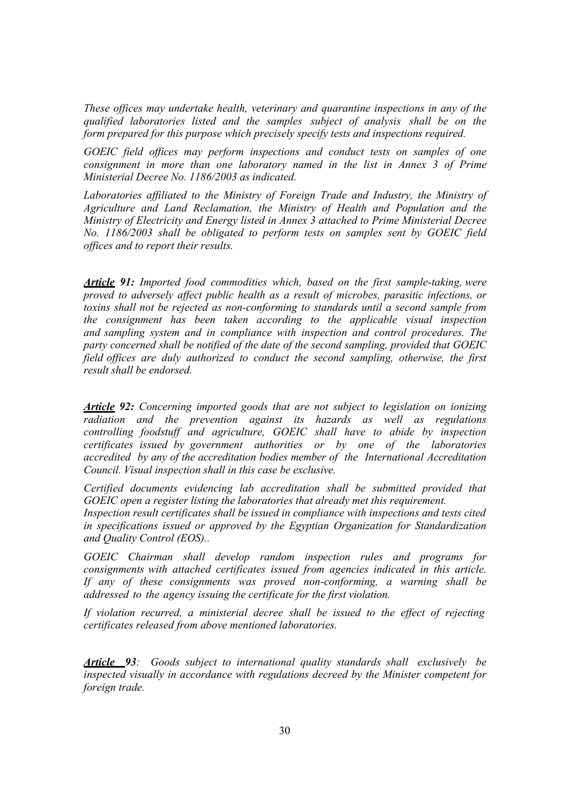*These offices may undertake health, veterinary and quarantine inspections in any of the qualified laboratories listed and the samples subject of analysis shall be on the form prepared for this purpose which precisely specify tests and inspections required.* 

*GOEIC field offices may perform inspections and conduct tests on samples of one consignment in more than one laboratory named in the list in Annex 3 of Prime Ministerial Decree No. 1186/2003 as indicated.* 

*Laboratories affiliated to the Ministry of Foreign Trade and Industry, the Ministry of Agriculture and Land Reclamation, the Ministry of Health and Population and the Ministry of Electricity and Energy listed in Annex 3 attached to Prime Ministerial Decree No. 1186/2003 shall be obligated to perform tests on samples sent by GOEIC field offices and to report their results.* 

*Article 91: Imported food commodities which, based on the first sample-taking, were proved to adversely affect public health as a result of microbes, parasitic infections, or toxins shall not be rejected as non-conforming to standards until a second sample from the consignment has been taken according to the applicable visual inspection and sampling system and in compliance with inspection and control procedures. The party concerned shall be notified of the date of the second sampling, provided that GOEIC field offices are duly authorized to conduct the second sampling, otherwise, the first result shall be endorsed.* 

*Article 92: Concerning imported goods that are not subject to legislation on ionizing radiation and the prevention against its hazards as well as regulations controlling foodstuff and agriculture, GOEIC shall have to abide by inspection certificates issued by government authorities or by one of the laboratories accredited by any of the accreditation bodies member of the International Accreditation Council. Visual inspection shall in this case be exclusive.* 

*Certified documents evidencing lab accreditation shall be submitted provided that GOEIC open a register listing the laboratories that already met this requirement. Inspection result certificates shall be issued in compliance with inspections and tests cited in specifications issued or approved by the Egyptian Organization for Standardization and Quality Control (EOS)..* 

*GOEIC Chairman shall develop random inspection rules and programs for consignments with attached certificates issued from agencies indicated in this article. If any of these consignments was proved non-conforming, a warning shall be addressed to the agency issuing the certificate for the first violation.* 

*If violation recurred, a ministerial decree shall be issued to the effect of rejecting certificates released from above mentioned laboratories.* 

*Article 93: Goods subject to international quality standards shall exclusively be inspected visually in accordance with regulations decreed by the Minister competent for foreign trade.*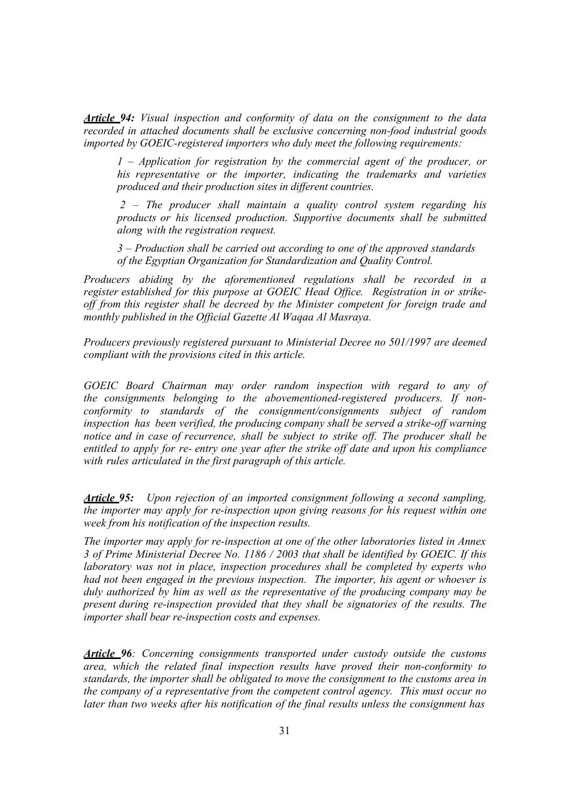*Article 94: Visual inspection and conformity of data on the consignment to the data recorded in attached documents shall be exclusive concerning non-food industrial goods imported by GOEIC-registered importers who duly meet the following requirements:* 

*1 – Application for registration by the commercial agent of the producer, or his representative or the importer, indicating the trademarks and varieties produced and their production sites in different countries.* 

*2 – The producer shall maintain a quality control system regarding his products or his licensed production. Supportive documents shall be submitted along with the registration request.* 

*3 – Production shall be carried out according to one of the approved standards of the Egyptian Organization for Standardization and Quality Control.* 

*Producers abiding by the aforementioned regulations shall be recorded in a register established for this purpose at GOEIC Head Office. Registration in or strikeoff from this register shall be decreed by the Minister competent for foreign trade and monthly published in the Official Gazette Al Waqaa Al Masraya.* 

*Producers previously registered pursuant to Ministerial Decree no 501/1997 are deemed compliant with the provisions cited in this article.* 

*GOEIC Board Chairman may order random inspection with regard to any of the consignments belonging to the abovementioned-registered producers. If nonconformity to standards of the consignment/consignments subject of random inspection has been verified, the producing company shall be served a strike-off warning notice and in case of recurrence, shall be subject to strike off. The producer shall be entitled to apply for re- entry one year after the strike off date and upon his compliance with rules articulated in the first paragraph of this article.* 

*Article 95: Upon rejection of an imported consignment following a second sampling, the importer may apply for re-inspection upon giving reasons for his request within one week from his notification of the inspection results.* 

*The importer may apply for re-inspection at one of the other laboratories listed in Annex 3 of Prime Ministerial Decree No. 1186 / 2003 that shall be identified by GOEIC. If this laboratory was not in place, inspection procedures shall be completed by experts who had not been engaged in the previous inspection. The importer, his agent or whoever is duly authorized by him as well as the representative of the producing company may be present during re-inspection provided that they shall be signatories of the results. The importer shall bear re-inspection costs and expenses.* 

*Article 96: Concerning consignments transported under custody outside the customs area, which the related final inspection results have proved their non-conformity to standards, the importer shall be obligated to move the consignment to the customs area in the company of a representative from the competent control agency. This must occur no later than two weeks after his notification of the final results unless the consignment has*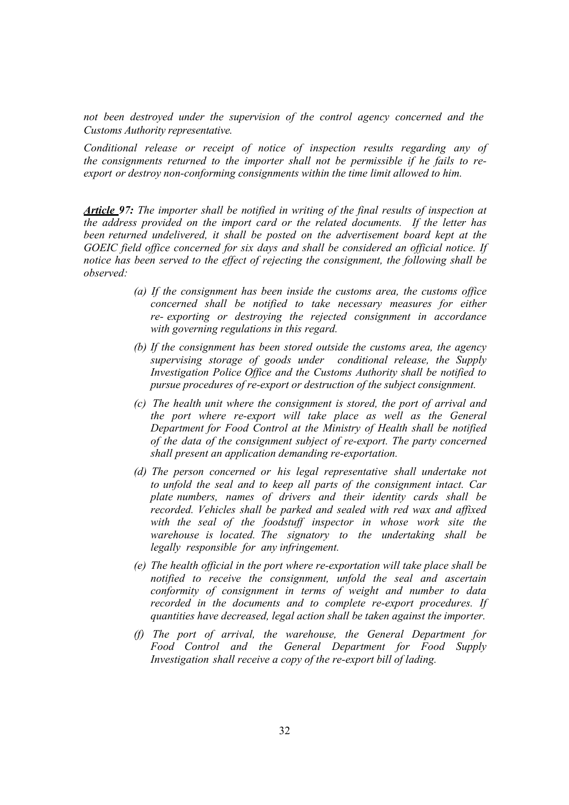*not been destroyed under the supervision of the control agency concerned and the Customs Authority representative.* 

*Conditional release or receipt of notice of inspection results regarding any of the consignments returned to the importer shall not be permissible if he fails to reexport or destroy non-conforming consignments within the time limit allowed to him.* 

*Article 97: The importer shall be notified in writing of the final results of inspection at the address provided on the import card or the related documents. If the letter has been returned undelivered, it shall be posted on the advertisement board kept at the GOEIC field office concerned for six days and shall be considered an official notice. If notice has been served to the effect of rejecting the consignment, the following shall be observed:* 

- *(a) If the consignment has been inside the customs area, the customs office concerned shall be notified to take necessary measures for either re- exporting or destroying the rejected consignment in accordance with governing regulations in this regard.*
- *(b) If the consignment has been stored outside the customs area, the agency supervising storage of goods under conditional release, the Supply Investigation Police Office and the Customs Authority shall be notified to pursue procedures of re-export or destruction of the subject consignment.*
- *(c) The health unit where the consignment is stored, the port of arrival and the port where re-export will take place as well as the General Department for Food Control at the Ministry of Health shall be notified of the data of the consignment subject of re-export. The party concerned shall present an application demanding re-exportation.*
- *(d) The person concerned or his legal representative shall undertake not to unfold the seal and to keep all parts of the consignment intact. Car plate numbers, names of drivers and their identity cards shall be recorded. Vehicles shall be parked and sealed with red wax and affixed*  with the seal of the foodstuff inspector in whose work site the *warehouse is located. The signatory to the undertaking shall be legally responsible for any infringement.*
- *(e) The health official in the port where re-exportation will take place shall be notified to receive the consignment, unfold the seal and ascertain conformity of consignment in terms of weight and number to data recorded in the documents and to complete re-export procedures. If quantities have decreased, legal action shall be taken against the importer.*
- *(f) The port of arrival, the warehouse, the General Department for Food Control and the General Department for Food Supply Investigation shall receive a copy of the re-export bill of lading.*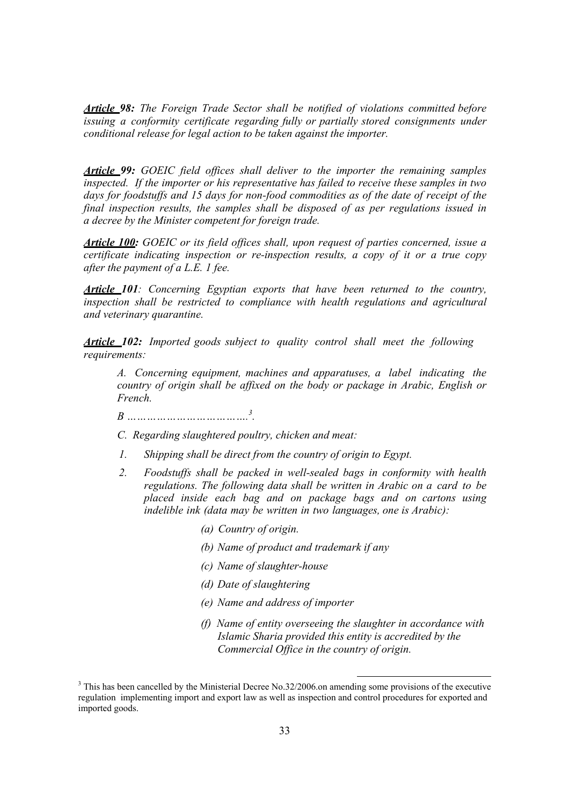*Article 98: The Foreign Trade Sector shall be notified of violations committed before issuing a conformity certificate regarding fully or partially stored consignments under conditional release for legal action to be taken against the importer.* 

*Article 99: GOEIC field offices shall deliver to the importer the remaining samples inspected. If the importer or his representative has failed to receive these samples in two days for foodstuffs and 15 days for non-food commodities as of the date of receipt of the final inspection results, the samples shall be disposed of as per regulations issued in a decree by the Minister competent for foreign trade.* 

*Article 100: GOEIC or its field offices shall, upon request of parties concerned, issue a certificate indicating inspection or re-inspection results, a copy of it or a true copy after the payment of a L.E. 1 fee.* 

*Article 101: Concerning Egyptian exports that have been returned to the country, inspection shall be restricted to compliance with health regulations and agricultural and veterinary quarantine.* 

*Article 102: Imported goods subject to quality control shall meet the following requirements:* 

*A. Concerning equipment, machines and apparatuses, a label indicating the country of origin shall be affixed on the body or package in Arabic, English or French.* 

*B ……………………………….3 .* 

*C. Regarding slaughtered poultry, chicken and meat:* 

- *1. Shipping shall be direct from the country of origin to Egypt.*
- *2. Foodstuffs shall be packed in well-sealed bags in conformity with health regulations. The following data shall be written in Arabic on a card to be placed inside each bag and on package bags and on cartons using indelible ink (data may be written in two languages, one is Arabic):* 
	- *(a) Country of origin.*
	- *(b) Name of product and trademark if any*
	- *(c) Name of slaughter-house*
	- *(d) Date of slaughtering*
	- *(e) Name and address of importer*
	- *(f) Name of entity overseeing the slaughter in accordance with Islamic Sharia provided this entity is accredited by the Commercial Office in the country of origin.*

<sup>&</sup>lt;sup>3</sup> This has been cancelled by the Ministerial Decree No.32/2006.on amending some provisions of the executive regulation implementing import and export law as well as inspection and control procedures for exported and imported goods.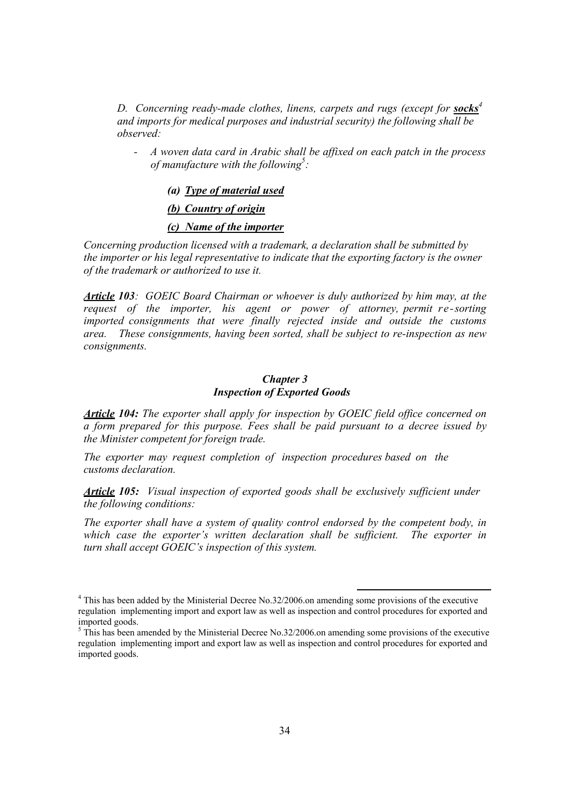*D.* Concerning ready-made clothes, linens, carpets and rugs (except for *socks<sup>4</sup> and imports for medical purposes and industrial security) the following shall be observed:* 

*- A woven data card in Arabic shall be affixed on each patch in the process of manufacture with the following5 :* 

#### *(a) Type of material used*

#### *(b) Country of origin*

#### *(c) Name of the importer*

*Concerning production licensed with a trademark, a declaration shall be submitted by the importer or his legal representative to indicate that the exporting factory is the owner of the trademark or authorized to use it.* 

*Article 103: GOEIC Board Chairman or whoever is duly authorized by him may, at the request of the importer, his agent or power of attorney, permit re-sorting imported consignments that were finally rejected inside and outside the customs area. These consignments, having been sorted, shall be subject to re-inspection as new consignments.* 

#### *Chapter 3 Inspection of Exported Goods*

*Article 104: The exporter shall apply for inspection by GOEIC field office concerned on a form prepared for this purpose. Fees shall be paid pursuant to a decree issued by the Minister competent for foreign trade.* 

*The exporter may request completion of inspection procedures based on the customs declaration.* 

*Article 105: Visual inspection of exported goods shall be exclusively sufficient under the following conditions:* 

*The exporter shall have a system of quality control endorsed by the competent body, in which case the exporter's written declaration shall be sufficient. The exporter in turn shall accept GOEIC's inspection of this system.* 

 <sup>4</sup> This has been added by the Ministerial Decree No.32/2006.on amending some provisions of the executive regulation implementing import and export law as well as inspection and control procedures for exported and imported goods.

 $<sup>5</sup>$  This has been amended by the Ministerial Decree No.32/2006.on amending some provisions of the executive</sup> regulation implementing import and export law as well as inspection and control procedures for exported and imported goods.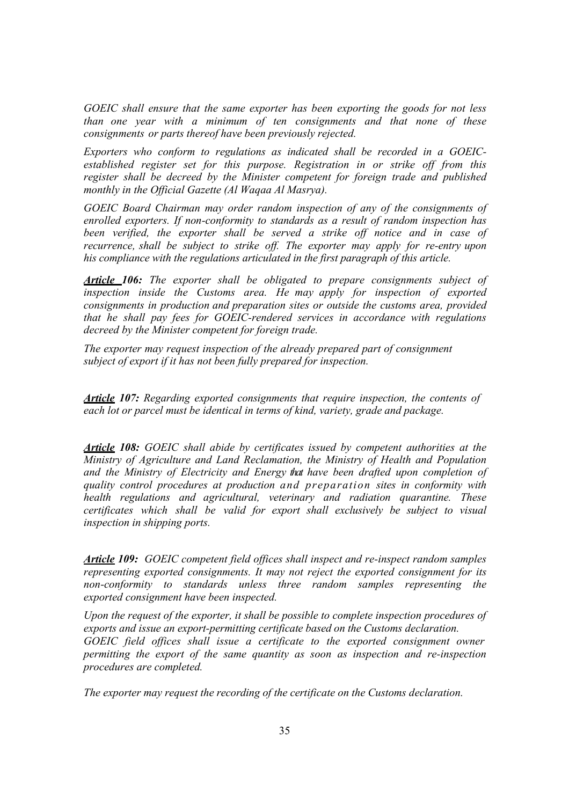*GOEIC shall ensure that the same exporter has been exporting the goods for not less than one year with a minimum of ten consignments and that none of these consignments or parts thereof have been previously rejected.* 

*Exporters who conform to regulations as indicated shall be recorded in a GOEICestablished register set for this purpose. Registration in or strike off from this register shall be decreed by the Minister competent for foreign trade and published monthly in the Official Gazette (Al Waqaa Al Masrya).* 

*GOEIC Board Chairman may order random inspection of any of the consignments of enrolled exporters. If non-conformity to standards as a result of random inspection has been verified, the exporter shall be served a strike off notice and in case of recurrence, shall be subject to strike off. The exporter may apply for re-entry upon his compliance with the regulations articulated in the first paragraph of this article.*

*Article 106: The exporter shall be obligated to prepare consignments subject of inspection inside the Customs area. He may apply for inspection of exported consignments in production and preparation sites or outside the customs area, provided that he shall pay fees for GOEIC-rendered services in accordance with regulations decreed by the Minister competent for foreign trade.* 

*The exporter may request inspection of the already prepared part of consignment subject of export if it has not been fully prepared for inspection.* 

*Article 107: Regarding exported consignments that require inspection, the contents of each lot or parcel must be identical in terms of kind, variety, grade and package.* 

*Article 108: GOEIC shall abide by certificates issued by competent authorities at the Ministry of Agriculture and Land Reclamation, the Ministry of Health and Population and the Ministry of Electricity and Energy that have been drafted upon completion of quality control procedures at production and preparation sites in conformity with health regulations and agricultural, veterinary and radiation quarantine. These certificates which shall be valid for export shall exclusively be subject to visual inspection in shipping ports.* 

*Article 109: GOEIC competent field offices shall inspect and re-inspect random samples representing exported consignments. It may not reject the exported consignment for its non-conformity to standards unless three random samples representing the exported consignment have been inspected.* 

*Upon the request of the exporter, it shall be possible to complete inspection procedures of exports and issue an export-permitting certificate based on the Customs declaration.*  GOEIC field offices shall issue a certificate to the exported consignment owner *permitting the export of the same quantity as soon as inspection and re-inspection procedures are completed.* 

*The exporter may request the recording of the certificate on the Customs declaration.*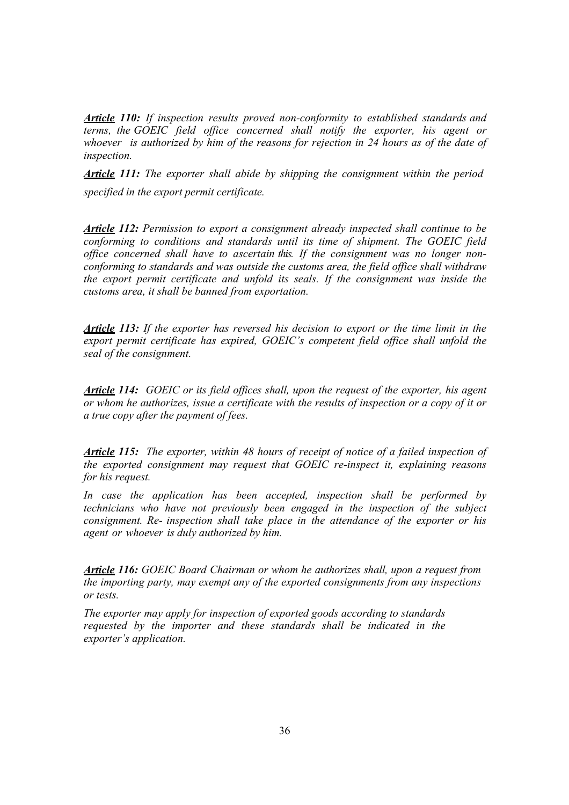*Article 110: If inspection results proved non-conformity to established standards and terms, the GOEIC field office concerned shall notify the exporter, his agent or whoever is authorized by him of the reasons for rejection in 24 hours as of the date of inspection.* 

*Article 111: The exporter shall abide by shipping the consignment within the period specified in the export permit certificate.* 

*Article 112: Permission to export a consignment already inspected shall continue to be conforming to conditions and standards until its time of shipment. The GOEIC field office concerned shall have to ascertain this. If the consignment was no longer nonconforming to standards and was outside the customs area, the field office shall withdraw the export permit certificate and unfold its seals. If the consignment was inside the customs area, it shall be banned from exportation.* 

*Article 113: If the exporter has reversed his decision to export or the time limit in the export permit certificate has expired, GOEIC's competent field office shall unfold the seal of the consignment.* 

*Article 114: GOEIC or its field offices shall, upon the request of the exporter, his agent or whom he authorizes, issue a certificate with the results of inspection or a copy of it or a true copy after the payment of fees.* 

*Article 115: The exporter, within 48 hours of receipt of notice of a failed inspection of the exported consignment may request that GOEIC re-inspect it, explaining reasons for his request.* 

*In case the application has been accepted, inspection shall be performed by technicians who have not previously been engaged in the inspection of the subject consignment. Re- inspection shall take place in the attendance of the exporter or his agent or whoever is duly authorized by him.* 

*Article 116: GOEIC Board Chairman or whom he authorizes shall, upon a request from the importing party, may exempt any of the exported consignments from any inspections or tests.* 

*The exporter may apply for inspection of exported goods according to standards requested by the importer and these standards shall be indicated in the exporter's application.*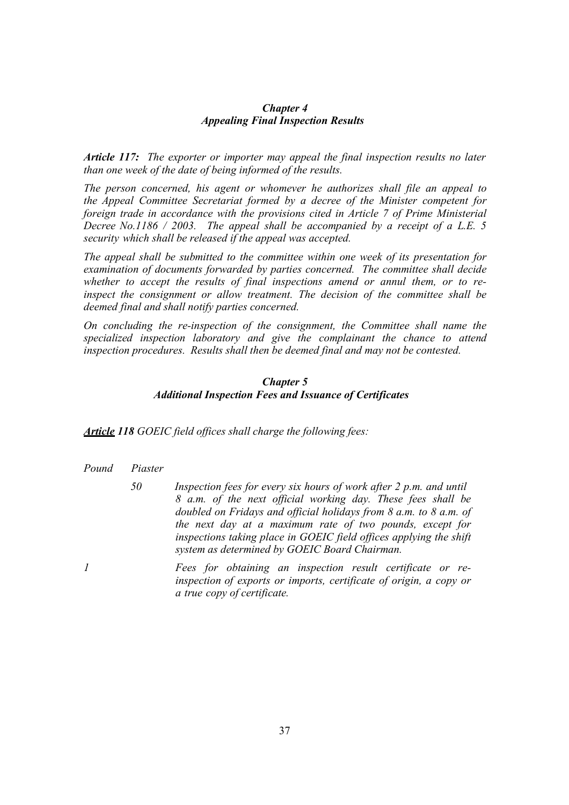#### *Chapter 4 Appealing Final Inspection Results*

*Article 117: The exporter or importer may appeal the final inspection results no later than one week of the date of being informed of the results.* 

*The person concerned, his agent or whomever he authorizes shall file an appeal to the Appeal Committee Secretariat formed by a decree of the Minister competent for foreign trade in accordance with the provisions cited in Article 7 of Prime Ministerial Decree No.1186 / 2003. The appeal shall be accompanied by a receipt of a L.E. 5 security which shall be released if the appeal was accepted.* 

*The appeal shall be submitted to the committee within one week of its presentation for examination of documents forwarded by parties concerned. The committee shall decide whether to accept the results of final inspections amend or annul them, or to reinspect the consignment or allow treatment. The decision of the committee shall be deemed final and shall notify parties concerned.* 

*On concluding the re-inspection of the consignment, the Committee shall name the specialized inspection laboratory and give the complainant the chance to attend inspection procedures. Results shall then be deemed final and may not be contested.* 

#### *Chapter 5*

#### *Additional Inspection Fees and Issuance of Certificates*

*Article 118 GOEIC field offices shall charge the following fees:* 

- *Pound Piaster* 
	- *50 Inspection fees for every six hours of work after 2 p.m. and until 8 a.m. of the next official working day. These fees shall be doubled on Fridays and official holidays from 8 a.m. to 8 a.m. of the next day at a maximum rate of two pounds, except for inspections taking place in GOEIC field offices applying the shift system as determined by GOEIC Board Chairman.*
- *1 Fees for obtaining an inspection result certificate or reinspection of exports or imports, certificate of origin, a copy or a true copy of certificate.*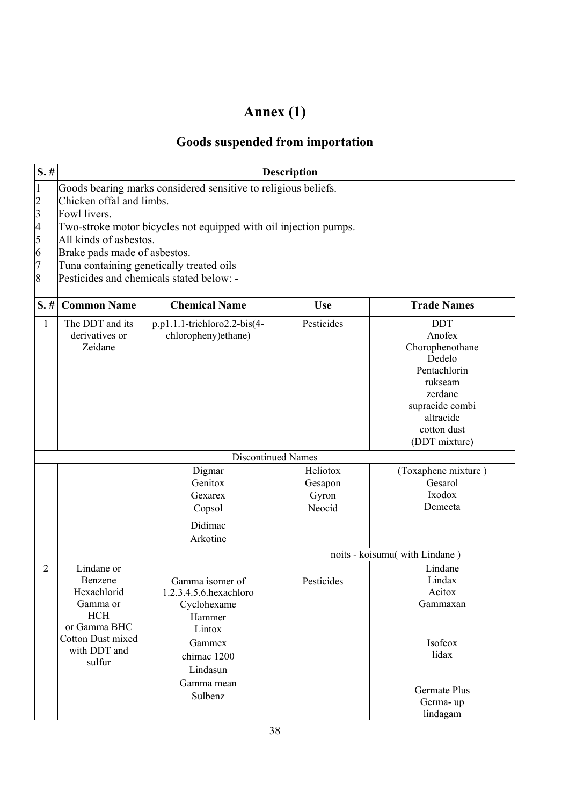# **Annex (1)**

## **Goods suspended from importation**

| $S.$ #                                            | <b>Description</b>                                                             |                                                                                                                                                                                                                                                                                                                  |                                        |                                                                                                                                                         |  |  |  |
|---------------------------------------------------|--------------------------------------------------------------------------------|------------------------------------------------------------------------------------------------------------------------------------------------------------------------------------------------------------------------------------------------------------------------------------------------------------------|----------------------------------------|---------------------------------------------------------------------------------------------------------------------------------------------------------|--|--|--|
| 1<br>$\overline{c}$<br>3<br>4<br>5<br>6<br>7<br>8 | Fowl livers.                                                                   | Goods bearing marks considered sensitive to religious beliefs.<br>Chicken offal and limbs.<br>Two-stroke motor bicycles not equipped with oil injection pumps.<br>All kinds of asbestos.<br>Brake pads made of asbestos.<br>Tuna containing genetically treated oils<br>Pesticides and chemicals stated below: - |                                        |                                                                                                                                                         |  |  |  |
| $S. \#$                                           | <b>Common Name</b>                                                             | <b>Chemical Name</b>                                                                                                                                                                                                                                                                                             | <b>Use</b>                             | <b>Trade Names</b>                                                                                                                                      |  |  |  |
| $\mathbf{1}$                                      | The DDT and its<br>derivatives or<br>Zeidane                                   | p.p1.1.1-trichloro2.2-bis(4-<br>chloropheny)ethane)                                                                                                                                                                                                                                                              | Pesticides                             | <b>DDT</b><br>Anofex<br>Chorophenothane<br>Dedelo<br>Pentachlorin<br>rukseam<br>zerdane<br>supracide combi<br>altracide<br>cotton dust<br>(DDT mixture) |  |  |  |
|                                                   |                                                                                | <b>Discontinued Names</b>                                                                                                                                                                                                                                                                                        |                                        |                                                                                                                                                         |  |  |  |
|                                                   |                                                                                | Digmar<br>Genitox<br>Gexarex<br>Copsol<br>Didimac<br>Arkotine                                                                                                                                                                                                                                                    | Heliotox<br>Gesapon<br>Gyron<br>Neocid | (Toxaphene mixture)<br>Gesarol<br>Ixodox<br>Demecta                                                                                                     |  |  |  |
|                                                   |                                                                                |                                                                                                                                                                                                                                                                                                                  |                                        | noits - koisumu( with Lindane)                                                                                                                          |  |  |  |
| 2                                                 | Lindane or<br>Benzene<br>Hexachlorid<br>Gamma or<br><b>HCH</b><br>or Gamma BHC | Gamma isomer of<br>1.2.3.4.5.6.hexachloro<br>Cyclohexame<br>Hammer<br>Lintox                                                                                                                                                                                                                                     | Pesticides                             | Lindane<br>Lindax<br>Acitox<br>Gammaxan                                                                                                                 |  |  |  |
|                                                   | Cotton Dust mixed<br>with DDT and<br>sulfur                                    | Gammex<br>chimac 1200<br>Lindasun<br>Gamma mean<br>Sulbenz                                                                                                                                                                                                                                                       |                                        | Isofeox<br>lidax<br><b>Germate Plus</b><br>Germa-up<br>lindagam                                                                                         |  |  |  |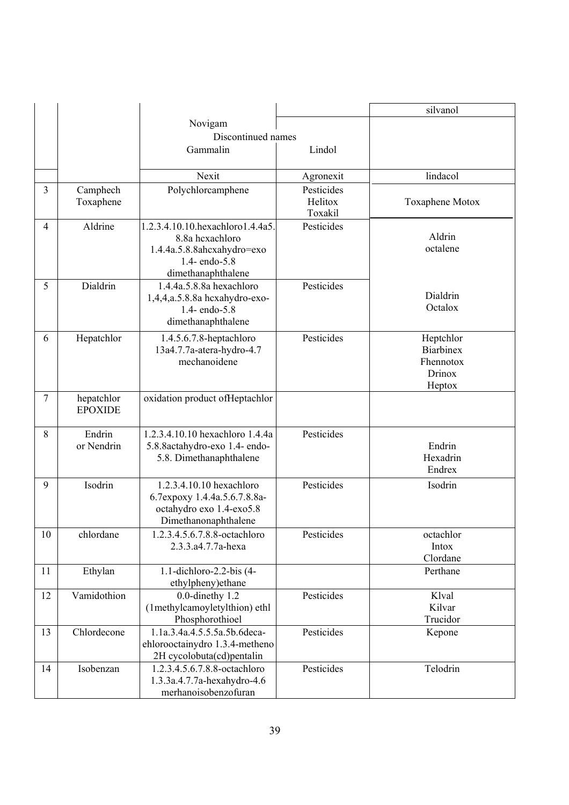|                |                              |                                                                                                                            |                                  | silvanol                                                       |
|----------------|------------------------------|----------------------------------------------------------------------------------------------------------------------------|----------------------------------|----------------------------------------------------------------|
|                |                              | Novigam                                                                                                                    |                                  |                                                                |
|                |                              | Discontinued names                                                                                                         |                                  |                                                                |
|                |                              | Gammalin                                                                                                                   | Lindol                           |                                                                |
|                |                              | Nexit                                                                                                                      | Agronexit                        | lindacol                                                       |
| $\overline{3}$ | Camphech<br>Toxaphene        | Polychlorcamphene                                                                                                          | Pesticides<br>Helitox<br>Toxakil | Toxaphene Motox                                                |
| $\overline{4}$ | Aldrine                      | 1.2.3.4.10.10.hexachloro1.4.4a5<br>8.8a hcxachloro<br>1.4.4a.5.8.8ahcxahydro=exo<br>1.4- endo- $5.8$<br>dimethanaphthalene | Pesticides                       | Aldrin<br>octalene                                             |
| 5              | Dialdrin                     | 1.4.4a.5.8.8a hexachloro<br>1,4,4,a.5.8.8a hcxahydro-exo-<br>1.4- endo-5.8<br>dimethanaphthalene                           | Pesticides                       | Dialdrin<br>Octalox                                            |
| 6              | Hepatchlor                   | 1.4.5.6.7.8-heptachloro<br>13a4.7.7a-atera-hydro-4.7<br>mechanoidene                                                       | Pesticides                       | Heptchlor<br><b>Biarbinex</b><br>Fhennotox<br>Drinox<br>Heptox |
| $\overline{7}$ | hepatchlor<br><b>EPOXIDE</b> | oxidation product of Heptachlor                                                                                            |                                  |                                                                |
| 8              | Endrin<br>or Nendrin         | 1.2.3.4.10.10 hexachloro 1.4.4a<br>5.8.8actahydro-exo 1.4- endo-<br>5.8. Dimethanaphthalene                                | Pesticides                       | Endrin<br>Hexadrin<br>Endrex                                   |
| 9              | Isodrin                      | 1.2.3.4.10.10 hexachloro<br>6.7expoxy 1.4.4a.5.6.7.8.8a-<br>octahydro exo 1.4-exo5.8<br>Dimethanonaphthalene               | Pesticides                       | Isodrin                                                        |
| 10             | chlordane                    | 1.2.3.4.5.6.7.8.8-octachloro<br>2.3.3.a4.7.7a-hexa                                                                         | Pesticides                       | octachlor<br>Intox<br>Clordane                                 |
| 11             | Ethylan                      | 1.1-dichloro-2.2-bis (4-<br>ethylpheny) ethane                                                                             |                                  | Perthane                                                       |
| 12             | Vamidothion                  | $0.0$ -dinethy $1.2$<br>(1methylcamoyletylthion) ethl<br>Phosphorothioel                                                   | Pesticides                       | Klval<br>Kilvar<br>Trucidor                                    |
| 13             | Chlordecone                  | 1.1a.3.4a.4.5.5.5a.5b.6deca-<br>ehlorooctainydro 1.3.4-metheno<br>2H cycolobuta(cd)pentalin                                | Pesticides                       | Kepone                                                         |
| 14             | Isobenzan                    | 1.2.3.4.5.6.7.8.8-octachloro<br>1.3.3a.4.7.7a-hexahydro-4.6<br>merhanoisobenzofuran                                        | Pesticides                       | Telodrin                                                       |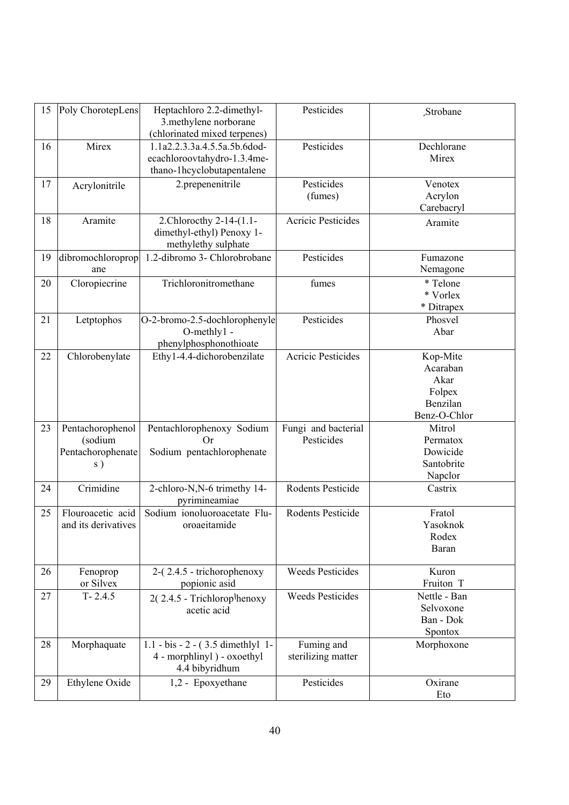| 15 | Poly ChorotepLens                                      | Heptachloro 2.2-dimethyl-<br>3.methylene norborane                                        | Pesticides                        | Strobane                                                           |
|----|--------------------------------------------------------|-------------------------------------------------------------------------------------------|-----------------------------------|--------------------------------------------------------------------|
|    |                                                        | (chlorinated mixed terpenes)                                                              |                                   |                                                                    |
| 16 | Mirex                                                  | 1.1a2.2.3.3a.4.5.5a.5b.6dod-<br>ecachloroovtahydro-1.3.4me-<br>thano-1hcyclobutapentalene | Pesticides                        | Dechlorane<br>Mirex                                                |
| 17 | Acrylonitrile                                          | 2.prepenenitrile                                                                          | Pesticides<br>(fumes)             | Venotex<br>Acrylon<br>Carebacryl                                   |
| 18 | Aramite                                                | 2. Chlorocthy 2-14-(1.1-<br>dimethyl-ethyl) Penoxy 1-<br>methylethy sulphate              | <b>Acricic Pesticides</b>         | Aramite                                                            |
| 19 | dibromochloroprop<br>ane                               | 1.2-dibromo 3- Chlorobrobane                                                              | Pesticides                        | Fumazone<br>Nemagone                                               |
| 20 | Cloropiecrine                                          | Trichloronitromethane                                                                     | fumes                             | * Telone<br>* Vorlex<br>* Ditrapex                                 |
| 21 | Letptophos                                             | O-2-bromo-2.5-dochlorophenyle<br>O-methly1 -<br>phenylphosphonothioate                    | Pesticides                        | Phosvel<br>Abar                                                    |
| 22 | Chlorobenylate                                         | Ethy1-4.4-dichorobenzilate                                                                | <b>Acricic Pesticides</b>         | Kop-Mite<br>Acaraban<br>Akar<br>Folpex<br>Benzilan<br>Benz-O-Chlor |
| 23 | Pentachorophenol<br>(sodium<br>Pentachorophenate<br>s) | Pentachlorophenoxy Sodium<br>Or<br>Sodium pentachlorophenate                              | Fungi and bacterial<br>Pesticides | Mitrol<br>Permatox<br>Dowicide<br>Santobrite<br>Napclor            |
| 24 | Crimidine                                              | 2-chloro-N,N-6 trimethy 14-<br>pyrimineamiae                                              | Rodents Pesticide                 | Castrix                                                            |
| 25 | Flouroacetic acid<br>and its derivatives               | Sodium ionoluoroacetate Flu-<br>oroaeitamide                                              | Rodents Pesticide                 | Fratol<br>Yasoknok<br>Rodex<br>Baran                               |
| 26 | Fenoprop<br>or Silvex                                  | 2-(2.4.5 - trichorophenoxy<br>popionic asid                                               | <b>Weeds Pesticides</b>           | Kuron<br>Fruiton T                                                 |
| 27 | $T - 2.4.5$                                            | $2(2.4.5 - Trichlorop/henoxy)$<br>acetic acid                                             | <b>Weeds Pesticides</b>           | Nettle - Ban<br>Selvoxone<br>Ban - Dok<br>Spontox                  |
| 28 | Morphaquate                                            | $1.1 - bis - 2 - (3.5$ dimethlyl 1-<br>4 - morphlinyl ) - oxoethyl<br>4.4 bibyridhum      | Fuming and<br>sterilizing matter  | Morphoxone                                                         |
| 29 | Ethylene Oxide                                         | 1,2 - Epoxyethane                                                                         | Pesticides                        | Oxirane<br>Eto                                                     |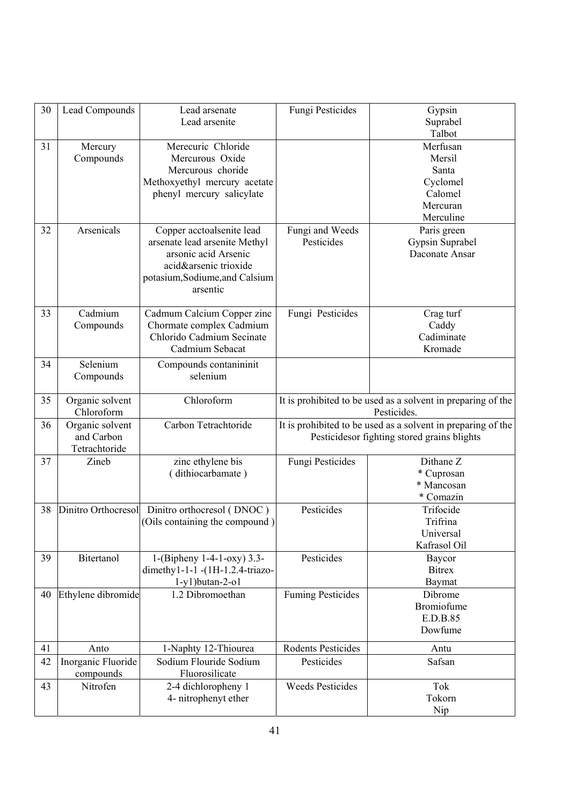| 30 | Lead Compounds                                 | Lead arsenate<br>Lead arsenite                                                                                                                            | Fungi Pesticides                                                                                             | Gypsin<br>Suprabel<br>Talbot                                                |  |
|----|------------------------------------------------|-----------------------------------------------------------------------------------------------------------------------------------------------------------|--------------------------------------------------------------------------------------------------------------|-----------------------------------------------------------------------------|--|
| 31 | Mercury<br>Compounds                           | Merecuric Chloride<br>Mercurous Oxide<br>Mercurous choride<br>Methoxyethyl mercury acetate<br>phenyl mercury salicylate                                   |                                                                                                              | Merfusan<br>Mersil<br>Santa<br>Cyclomel<br>Calomel<br>Mercuran<br>Merculine |  |
| 32 | Arsenicals                                     | Copper acctoalsenite lead<br>arsenate lead arsenite Methyl<br>arsonic acid Arsenic<br>acid&arsenic trioxide<br>potasium, Sodiume, and Calsium<br>arsentic | Fungi and Weeds<br>Pesticides                                                                                | Paris green<br>Gypsin Suprabel<br>Daconate Ansar                            |  |
| 33 | Cadmium<br>Compounds                           | Cadmum Calcium Copper zinc<br>Chormate complex Cadmium<br>Chlorido Cadmium Secinate<br>Cadmium Sebacat                                                    | Fungi Pesticides                                                                                             | Crag turf<br>Caddy<br>Cadiminate<br>Kromade                                 |  |
| 34 | Selenium<br>Compounds                          | Compounds contanininit<br>selenium                                                                                                                        |                                                                                                              |                                                                             |  |
| 35 | Organic solvent<br>Chloroform                  | Chloroform                                                                                                                                                | It is prohibited to be used as a solvent in preparing of the<br>Pesticides.                                  |                                                                             |  |
| 36 | Organic solvent<br>and Carbon<br>Tetrachtoride | Carbon Tetrachtoride                                                                                                                                      | It is prohibited to be used as a solvent in preparing of the<br>Pesticides or fighting stored grains blights |                                                                             |  |
| 37 | Zineb                                          | zinc ethylene bis<br>(dithiocarbamate)                                                                                                                    | Fungi Pesticides                                                                                             | Dithane Z<br>* Cuprosan<br>* Mancosan<br>* Comazin                          |  |
| 38 | Dinitro Orthocresol                            | Dinitro orthocresol (DNOC)<br>(Oils containing the compound)                                                                                              | Pesticides                                                                                                   | Trifocide<br>Trifrina<br>Universal<br>Kafrasol Oil                          |  |
| 39 | Bitertanol                                     | 1-(Bipheny 1-4-1-oxy) $3.3-$<br>dimethy1-1-1-(1H-1.2.4-triazo-<br>$1-y1$ ) butan-2-o1                                                                     | Pesticides                                                                                                   | Baycor<br><b>Bitrex</b><br>Baymat                                           |  |
| 40 | Ethylene dibromide                             | 1.2 Dibromoethan                                                                                                                                          | <b>Fuming Pesticides</b>                                                                                     | Dibrome<br><b>Bromiofume</b><br>E.D.B.85<br>Dowfume                         |  |
| 41 | Anto                                           | 1-Naphty 12-Thiourea                                                                                                                                      | Rodents Pesticides                                                                                           | Antu                                                                        |  |
| 42 | Inorganic Fluoride<br>compounds                | Sodium Flouride Sodium<br>Fluorosilicate                                                                                                                  | Pesticides                                                                                                   | Safsan                                                                      |  |
| 43 | Nitrofen                                       | 2-4 dichloropheny 1<br>4- nitrophenyt ether                                                                                                               | <b>Weeds Pesticides</b>                                                                                      | Tok<br>Tokorn<br>Nip                                                        |  |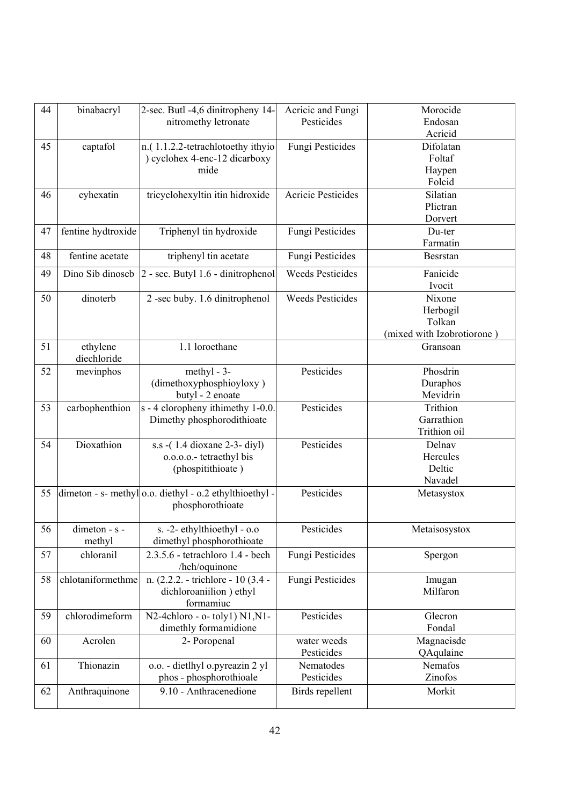| 44 | binabacryl         | 2-sec. Butl -4,6 dinitropheny 14-                       | Acricic and Fungi         | Morocide                   |
|----|--------------------|---------------------------------------------------------|---------------------------|----------------------------|
|    |                    | nitromethy letronate                                    | Pesticides                | Endosan                    |
|    |                    |                                                         |                           | Acricid                    |
| 45 | captafol           | n.(1.1.2.2-tetrachlotoethy ithyio                       | Fungi Pesticides          | Difolatan                  |
|    |                    | ) cyclohex 4-enc-12 dicarboxy                           |                           | Foltaf                     |
|    |                    | mide                                                    |                           | Haypen                     |
|    |                    |                                                         |                           | Folcid                     |
| 46 | cyhexatin          | tricyclohexyltin itin hidroxide                         | <b>Acricic Pesticides</b> | Silatian                   |
|    |                    |                                                         |                           | Plictran                   |
|    |                    |                                                         |                           | Dorvert                    |
| 47 | fentine hydtroxide | Triphenyl tin hydroxide                                 | Fungi Pesticides          | Du-ter                     |
|    |                    |                                                         |                           | Farmatin                   |
| 48 | fentine acetate    | triphenyl tin acetate                                   | Fungi Pesticides          | <b>Besrstan</b>            |
| 49 | Dino Sib dinoseb   | 2 - sec. Butyl 1.6 - dinitrophenol                      | <b>Weeds Pesticides</b>   | Fanicide                   |
|    |                    |                                                         |                           | Ivocit                     |
| 50 | dinoterb           | 2-sec buby. 1.6 dinitrophenol                           | <b>Weeds Pesticides</b>   | Nixone                     |
|    |                    |                                                         |                           | Herbogil                   |
|    |                    |                                                         |                           | Tolkan                     |
|    |                    |                                                         |                           | (mixed with Izobrotiorone) |
| 51 | ethylene           | 1.1 loroethane                                          |                           | Gransoan                   |
|    | diechloride        |                                                         |                           |                            |
| 52 | mevinphos          | methyl - $3-$                                           | Pesticides                | Phosdrin                   |
|    |                    | (dimethoxyphosphioyloxy)                                |                           | Duraphos                   |
|    |                    | butyl - 2 enoate                                        |                           | Mevidrin                   |
| 53 | carbophenthion     | s - 4 cloropheny ithimethy 1-0.0.                       | Pesticides                | Trithion                   |
|    |                    | Dimethy phosphorodithioate                              |                           | Garrathion                 |
|    |                    |                                                         |                           | Trithion oil               |
| 54 | Dioxathion         | s.s -(1.4 dioxane 2-3- diyl)                            | Pesticides                | Delnav                     |
|    |                    | o.o.o.o.- tetraethyl bis                                |                           | Hercules                   |
|    |                    | (phospitithioate)                                       |                           | Deltic                     |
|    |                    |                                                         |                           | Navadel                    |
| 55 |                    | dimeton - s- methylo.o. diethyl - o.2 ethylthioethyl -  | Pesticides                | Metasystox                 |
|    |                    | phosphorothioate                                        |                           |                            |
|    |                    |                                                         |                           |                            |
| 56 | dimeton - s -      | s. $-2$ -ethylthioethyl - $0.0$                         | Pesticides                | Metaisosystox              |
|    | methyl             | dimethyl phosphorothioate                               |                           |                            |
| 57 | chloranil          | 2.3.5.6 - tetrachloro 1.4 - bech                        | Fungi Pesticides          | Spergon                    |
|    |                    | /heh/oquinone                                           |                           |                            |
| 58 | chlotaniformethme  | n. (2.2.2. - trichlore - 10 (3.4 -                      | Fungi Pesticides          | Imugan                     |
|    |                    | dichloroaniilion) ethyl<br>formamiuc                    |                           | Milfaron                   |
|    |                    |                                                         |                           |                            |
| 59 | chlorodimeform     | N2-4chloro - o- toly1) N1, N1-<br>dimethly formamidione | Pesticides                | Glecron<br>Fondal          |
|    |                    |                                                         |                           |                            |
| 60 | Acrolen            | 2- Poropenal                                            | water weeds<br>Pesticides | Magnacisde                 |
|    |                    |                                                         |                           | QAqulaine<br>Nemafos       |
| 61 | Thionazin          | o.o. - dietlhyl o.pyreazin 2 yl                         | Nematodes                 |                            |
|    |                    | phos - phosphorothioale                                 | Pesticides                | Zinofos                    |
| 62 | Anthraquinone      | 9.10 - Anthracenedione                                  | Birds repellent           | Morkit                     |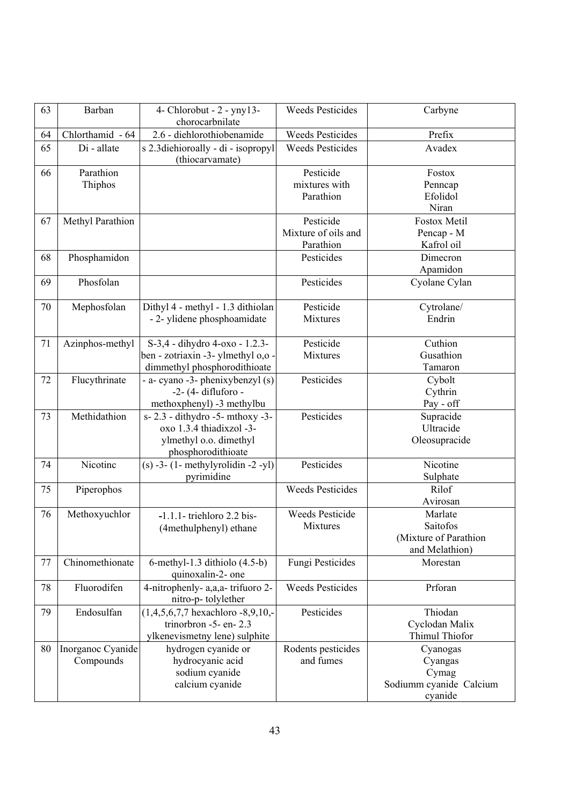| 63 | Barban                         | 4- Chlorobut - $2$ - yny 13-<br>chorocarbnilate                                                             | <b>Weeds Pesticides</b>                       | Carbyne                                                            |
|----|--------------------------------|-------------------------------------------------------------------------------------------------------------|-----------------------------------------------|--------------------------------------------------------------------|
| 64 | Chlorthamid - 64               | 2.6 - diehlorothiobenamide                                                                                  | <b>Weeds Pesticides</b>                       | Prefix                                                             |
| 65 | Di - allate                    | s 2.3diehioroally - di - isopropyl<br>(thiocarvamate)                                                       | <b>Weeds Pesticides</b>                       | Avadex                                                             |
| 66 | Parathion<br>Thiphos           |                                                                                                             | Pesticide<br>mixtures with<br>Parathion       | Fostox<br>Penncap<br>Efolidol<br>Niran                             |
| 67 | Methyl Parathion               |                                                                                                             | Pesticide<br>Mixture of oils and<br>Parathion | Fostox Metil<br>Pencap - M<br>Kafrol oil                           |
| 68 | Phosphamidon                   |                                                                                                             | Pesticides                                    | Dimecron<br>Apamidon                                               |
| 69 | Phosfolan                      |                                                                                                             | Pesticides                                    | Cyolane Cylan                                                      |
| 70 | Mephosfolan                    | Dithyl 4 - methyl - 1.3 dithiolan<br>- 2- ylidene phosphoamidate                                            | Pesticide<br>Mixtures                         | Cytrolane/<br>Endrin                                               |
| 71 | Azinphos-methyl                | S-3,4 - dihydro 4-oxo - 1.2.3-<br>ben - zotriaxin -3- ylmethyl o,o -<br>dimmethyl phosphorodithioate        | Pesticide<br>Mixtures                         | Cuthion<br>Gusathion<br>Tamaron                                    |
| 72 | Flucythrinate                  | - a- cyano -3- phenixybenzyl (s)<br>-2- (4- difluforo -<br>methoxphenyl) -3 methylbu                        | Pesticides                                    | Cybolt<br>Cythrin<br>Pay - off                                     |
| 73 | Methidathion                   | s-2.3 - dithydro -5- mthoxy -3-<br>oxo 1.3.4 thiadixzol -3-<br>ylmethyl o.o. dimethyl<br>phosphorodithioate | Pesticides                                    | Supracide<br>Ultracide<br>Oleosupracide                            |
| 74 | Nicotine                       | $(s)$ -3- $(1$ - methylyrolidin -2 -yl)<br>pyrimidine                                                       | Pesticides                                    | Nicotine<br>Sulphate                                               |
| 75 | Piperophos                     |                                                                                                             | <b>Weeds Pesticides</b>                       | Rilof<br>Avirosan                                                  |
| 76 | Methoxyuchlor                  | $-1.1.1$ - triehloro 2.2 bis-<br>(4methulphenyl) ethane                                                     | <b>Weeds Pesticide</b><br>Mixtures            | Marlate<br>Saitofos<br>(Mixture of Parathion<br>and Melathion)     |
| 77 | Chinomethionate                | 6-methyl-1.3 dithiolo $(4.5-b)$<br>quinoxalin-2- one                                                        | Fungi Pesticides                              | Morestan                                                           |
| 78 | Fluorodifen                    | 4-nitrophenly- a,a,a-trifuoro 2-<br>nitro-p-tolylether                                                      | <b>Weeds Pesticides</b>                       | Prforan                                                            |
| 79 | Endosulfan                     | $(1,4,5,6,7,7$ hexachloro -8,9,10,-<br>trinorbron -5- en-2.3<br>ylkenevismetny lene) sulphite               | Pesticides                                    | Thiodan<br>Cyclodan Malix<br>Thimul Thiofor                        |
| 80 | Inorganoc Cyanide<br>Compounds | hydrogen cyanide or<br>hydrocyanic acid<br>sodium cyanide<br>calcium cyanide                                | Rodents pesticides<br>and fumes               | Cyanogas<br>Cyangas<br>Cymag<br>Sodiumm cyanide Calcium<br>cyanide |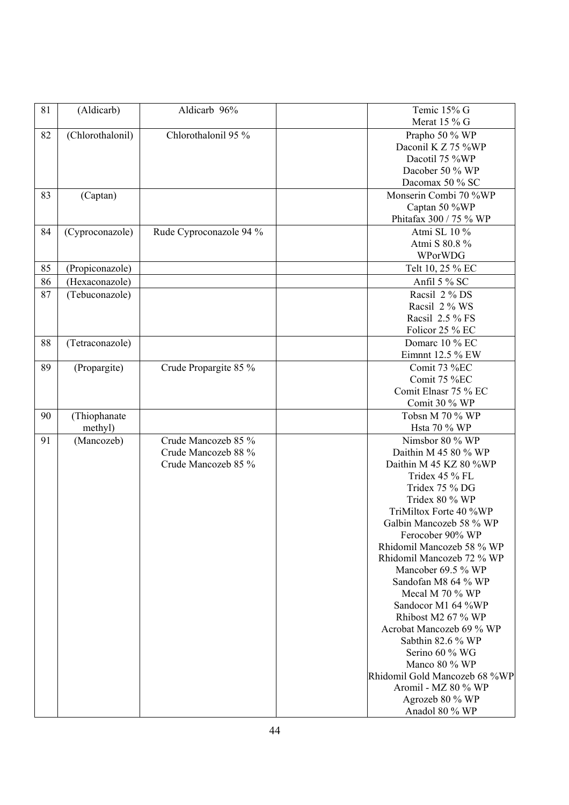| 81 | (Aldicarb)       | Aldicarb 96%            | Temic 15% G<br>Merat 15 % G                   |
|----|------------------|-------------------------|-----------------------------------------------|
| 82 | (Chlorothalonil) | Chlorothalonil 95 %     | Prapho 50 % WP                                |
|    |                  |                         | Daconil K Z 75 %WP                            |
|    |                  |                         | Dacotil 75 %WP                                |
|    |                  |                         | Dacober 50 % WP                               |
|    |                  |                         | Dacomax 50 % SC                               |
| 83 | (Captan)         |                         | Monserin Combi 70 %WP                         |
|    |                  |                         | Captan 50 %WP                                 |
|    |                  |                         | Phitafax 300 / 75 % WP                        |
| 84 | (Cyproconazole)  | Rude Cyproconazole 94 % | Atmi SL 10 %                                  |
|    |                  |                         | Atmi S 80.8 %                                 |
|    |                  |                         | WPorWDG                                       |
| 85 | (Propiconazole)  |                         | Telt 10, 25 % EC                              |
| 86 | (Hexaconazole)   |                         | Anfil 5 % SC                                  |
| 87 | (Tebuconazole)   |                         | Racsil 2 % DS                                 |
|    |                  |                         | Racsil 2 % WS                                 |
|    |                  |                         | Racsil 2.5 % FS                               |
|    |                  |                         | Folicor 25 % EC                               |
| 88 | (Tetraconazole)  |                         | Domarc 10 % EC<br>Eimnnt 12.5 % EW            |
| 89 |                  | Crude Propargite 85 %   | Comit 73 %EC                                  |
|    | (Propargite)     |                         | Comit 75 %EC                                  |
|    |                  |                         | Comit Elnasr 75 % EC                          |
|    |                  |                         | Comit 30 % WP                                 |
| 90 | (Thiophanate     |                         | Tobsn M 70 % WP                               |
|    | methyl)          |                         | Hsta 70 % WP                                  |
| 91 | (Mancozeb)       | Crude Mancozeb 85 %     | Nimsbor 80 % WP                               |
|    |                  | Crude Mancozeb 88 %     | Daithin M 45 80 % WP                          |
|    |                  | Crude Mancozeb 85 %     | Daithin M 45 KZ 80 %WP                        |
|    |                  |                         | Tridex 45 % FL                                |
|    |                  |                         | Tridex 75 % DG                                |
|    |                  |                         | Tridex 80 % WP                                |
|    |                  |                         | TriMiltox Forte 40 %WP                        |
|    |                  |                         | Galbin Mancozeb 58 % WP                       |
|    |                  |                         | Ferocober 90% WP<br>Rhidomil Mancozeb 58 % WP |
|    |                  |                         | Rhidomil Mancozeb 72 % WP                     |
|    |                  |                         | Mancober 69.5 % WP                            |
|    |                  |                         | Sandofan M8 64 % WP                           |
|    |                  |                         | Mecal M 70 % WP                               |
|    |                  |                         | Sandocor M1 64 %WP                            |
|    |                  |                         | Rhibost M2 67 % WP                            |
|    |                  |                         | Acrobat Mancozeb 69 % WP                      |
|    |                  |                         | Sabthin 82.6 % WP                             |
|    |                  |                         | Serino 60 % WG                                |
|    |                  |                         | Manco 80 % WP                                 |
|    |                  |                         | Rhidomil Gold Mancozeb 68 %WP                 |
|    |                  |                         | Aromil - MZ 80 % WP                           |
|    |                  |                         | Agrozeb 80 % WP                               |
|    |                  |                         | Anadol 80 % WP                                |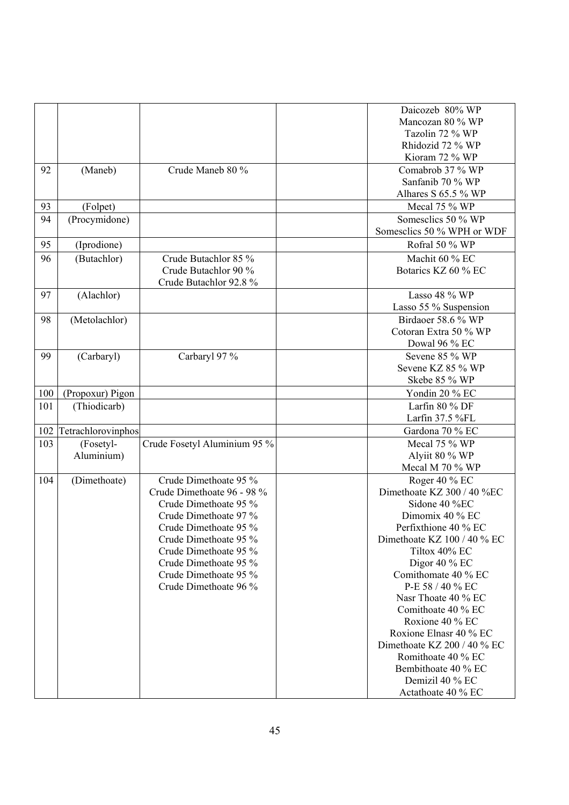|     |                         |                                                                                                                                                                                                                                                             | Daicozeb 80% WP<br>Mancozan 80 % WP<br>Tazolin 72 % WP<br>Rhidozid 72 % WP<br>Kioram 72 % WP                                                                                                                                                                                                                                                                                                                                         |
|-----|-------------------------|-------------------------------------------------------------------------------------------------------------------------------------------------------------------------------------------------------------------------------------------------------------|--------------------------------------------------------------------------------------------------------------------------------------------------------------------------------------------------------------------------------------------------------------------------------------------------------------------------------------------------------------------------------------------------------------------------------------|
| 92  | (Maneb)                 | Crude Maneb 80 %                                                                                                                                                                                                                                            | Comabrob 37 % WP<br>Sanfanib 70 % WP<br>Alhares S 65.5 % WP                                                                                                                                                                                                                                                                                                                                                                          |
| 93  | (Folpet)                |                                                                                                                                                                                                                                                             | Mecal 75 % WP                                                                                                                                                                                                                                                                                                                                                                                                                        |
| 94  | (Procymidone)           |                                                                                                                                                                                                                                                             | Somesclics 50 % WP<br>Somesclics 50 % WPH or WDF                                                                                                                                                                                                                                                                                                                                                                                     |
| 95  | (Iprodione)             |                                                                                                                                                                                                                                                             | Rofral 50 % WP                                                                                                                                                                                                                                                                                                                                                                                                                       |
| 96  | (Butachlor)             | Crude Butachlor 85 %<br>Crude Butachlor 90 %<br>Crude Butachlor 92.8 %                                                                                                                                                                                      | Machit 60 % EC<br>Botarics KZ 60 % EC                                                                                                                                                                                                                                                                                                                                                                                                |
| 97  | (Alachlor)              |                                                                                                                                                                                                                                                             | Lasso 48 % WP<br>Lasso 55 % Suspension                                                                                                                                                                                                                                                                                                                                                                                               |
| 98  | (Metolachlor)           |                                                                                                                                                                                                                                                             | Birdaoer 58.6 % WP<br>Cotoran Extra 50 % WP<br>Dowal 96 % EC                                                                                                                                                                                                                                                                                                                                                                         |
| 99  | (Carbaryl)              | Carbaryl 97 %                                                                                                                                                                                                                                               | Sevene 85 % WP<br>Sevene KZ 85 % WP<br>Skebe 85 % WP                                                                                                                                                                                                                                                                                                                                                                                 |
| 100 | (Propoxur) Pigon        |                                                                                                                                                                                                                                                             | Yondin 20 % EC                                                                                                                                                                                                                                                                                                                                                                                                                       |
| 101 | (Thiodicarb)            |                                                                                                                                                                                                                                                             | Larfin 80 % DF<br>Larfin 37.5 %FL                                                                                                                                                                                                                                                                                                                                                                                                    |
| 102 | Tetrachlorovinphos      |                                                                                                                                                                                                                                                             | Gardona 70 % EC                                                                                                                                                                                                                                                                                                                                                                                                                      |
| 103 | (Fosetyl-<br>Aluminium) | Crude Fosetyl Aluminium 95 %                                                                                                                                                                                                                                | Mecal 75 % WP<br>Alyiit 80 % WP<br>Mecal M 70 % WP                                                                                                                                                                                                                                                                                                                                                                                   |
| 104 | (Dimethoate)            | Crude Dimethoate 95 %<br>Crude Dimethoate 96 - 98 %<br>Crude Dimethoate 95 %<br>Crude Dimethoate 97 %<br>Crude Dimethoate 95 %<br>Crude Dimethoate 95 %<br>Crude Dimethoate 95 %<br>Crude Dimethoate 95 %<br>Crude Dimethoate 95 %<br>Crude Dimethoate 96 % | Roger 40 % EC<br>Dimethoate KZ 300 / 40 %EC<br>Sidone 40 %EC<br>Dimomix 40 % EC<br>Perfixthione 40 % EC<br>Dimethoate KZ 100 / 40 % EC<br>Tiltox 40% EC<br>Digor 40 $%$ EC<br>Comithomate 40 % EC<br>P-E 58 / 40 % EC<br>Nasr Thoate 40 % EC<br>Comithoate 40 % EC<br>Roxione 40 % EC<br>Roxione Elnasr 40 % EC<br>Dimethoate KZ 200 / 40 % EC<br>Romithoate 40 % EC<br>Bembithoate 40 % EC<br>Demizil 40 % EC<br>Actathoate 40 % EC |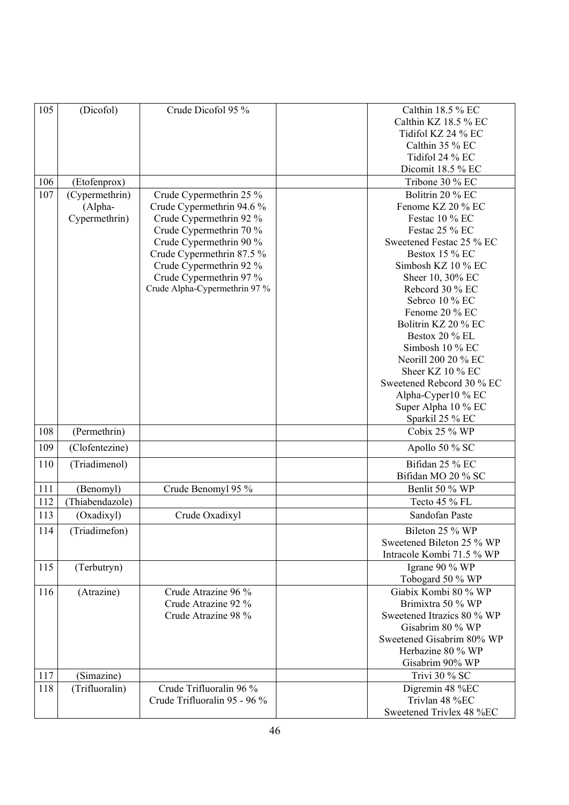| 105 | (Dicofol)       | Crude Dicofol 95 %            | Calthin 18.5 % EC          |
|-----|-----------------|-------------------------------|----------------------------|
|     |                 |                               | Calthin KZ 18.5 % EC       |
|     |                 |                               | Tidifol KZ 24 % EC         |
|     |                 |                               | Calthin 35 % EC            |
|     |                 |                               |                            |
|     |                 |                               | Tidifol 24 % EC            |
|     |                 |                               | Dicomit 18.5 % EC          |
| 106 | (Etofenprox)    |                               | Tribone 30 % EC            |
| 107 | (Cypermethrin)  | Crude Cypermethrin 25 %       | Bolitrin 20 % EC           |
|     | (Alpha-         | Crude Cypermethrin 94.6 %     | Fenome KZ 20 % EC          |
|     | Cypermethrin)   | Crude Cypermethrin 92 %       | Festac 10 % EC             |
|     |                 | Crude Cypermethrin 70 %       | Festac 25 % EC             |
|     |                 | Crude Cypermethrin 90 %       | Sweetened Festac 25 % EC   |
|     |                 | Crude Cypermethrin 87.5 %     | Bestox 15 % EC             |
|     |                 | Crude Cypermethrin 92 %       | Simbosh KZ 10 % EC         |
|     |                 | Crude Cypermethrin 97 %       | Sheer 10, 30% EC           |
|     |                 | Crude Alpha-Cypermethrin 97 % | Rebcord 30 % EC            |
|     |                 |                               | Sebrco 10 % EC             |
|     |                 |                               | Fenome 20 % EC             |
|     |                 |                               | Bolitrin KZ 20 % EC        |
|     |                 |                               | Bestox 20 % EL             |
|     |                 |                               | Simbosh 10 % EC            |
|     |                 |                               | Neorill 200 20 % EC        |
|     |                 |                               | Sheer KZ 10 % EC           |
|     |                 |                               | Sweetened Rebcord 30 % EC  |
|     |                 |                               |                            |
|     |                 |                               | Alpha-Cyper10 % EC         |
|     |                 |                               | Super Alpha 10 % EC        |
|     |                 |                               | Sparkil 25 % EC            |
| 108 | (Permethrin)    |                               | Cobix 25 % WP              |
| 109 | (Clofentezine)  |                               | Apollo 50 % SC             |
| 110 | (Triadimenol)   |                               | Bifidan 25 % EC            |
|     |                 |                               | Bifidan MO 20 % SC         |
| 111 | (Benomyl)       | Crude Benomyl 95 %            | Benlit 50 % WP             |
| 112 | (Thiabendazole) |                               | Tecto 45 % FL              |
| 113 | (Oxadixyl)      | Crude Oxadixyl                | Sandofan Paste             |
| 114 | (Triadimefon)   |                               | Bileton 25 % WP            |
|     |                 |                               | Sweetened Bileton 25 % WP  |
|     |                 |                               | Intracole Kombi 71.5 % WP  |
| 115 | (Terbutryn)     |                               | Igrane 90 % WP             |
|     |                 |                               | Tobogard 50 % WP           |
| 116 | (Atrazine)      | Crude Atrazine 96 %           | Giabix Kombi 80 % WP       |
|     |                 | Crude Atrazine 92 %           | Brimixtra 50 % WP          |
|     |                 |                               |                            |
|     |                 | Crude Atrazine 98 %           | Sweetened Itrazics 80 % WP |
|     |                 |                               | Gisabrim 80 % WP           |
|     |                 |                               | Sweetened Gisabrim 80% WP  |
|     |                 |                               | Herbazine 80 % WP          |
|     |                 |                               | Gisabrim 90% WP            |
| 117 | (Simazine)      |                               | Trivi 30 % SC              |
| 118 | (Trifluoralin)  | Crude Trifluoralin 96 %       | Digremin 48 %EC            |
|     |                 | Crude Trifluoralin 95 - 96 %  | Trivlan 48 %EC             |
|     |                 |                               | Sweetened Trivlex 48 %EC   |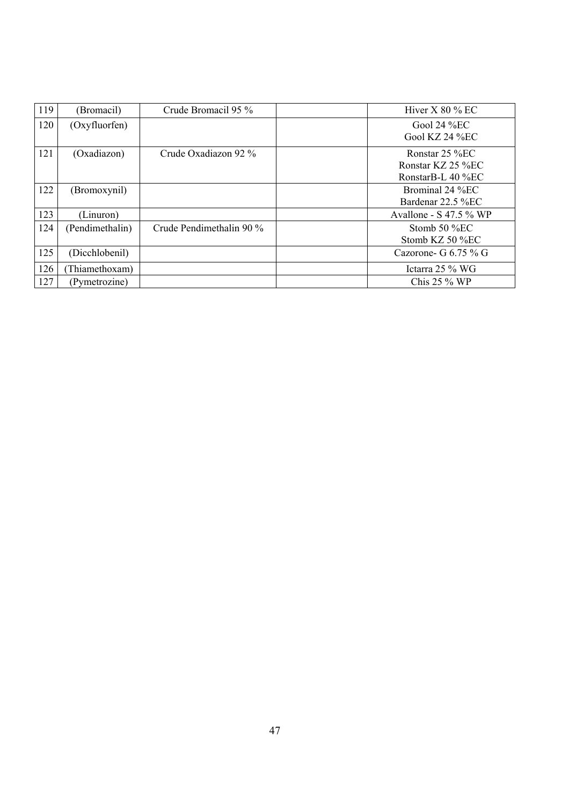| 119 | (Bromacil)      | Crude Bromacil 95 %      | Hiver $X$ 80 % EC        |
|-----|-----------------|--------------------------|--------------------------|
| 120 | (Oxyfluorfen)   |                          | Gool 24 $%EC$            |
|     |                 |                          | Gool KZ 24 $%$ EC        |
| 121 | (Oxadiazon)     | Crude Oxadiazon 92 %     | Ronstar 25 %EC           |
|     |                 |                          | Ronstar KZ 25 %EC        |
|     |                 |                          | RonstarB-L 40 %EC        |
| 122 | (Bromoxynil)    |                          | Brominal 24 %EC          |
|     |                 |                          | Bardenar 22.5 %EC        |
| 123 | (Linuron)       |                          | Avallone - $S$ 47.5 % WP |
| 124 | (Pendimethalin) | Crude Pendimethalin 90 % | Stomb $50\%$ EC          |
|     |                 |                          | Stomb KZ $50\%$ EC       |
| 125 | (Dicchlobenil)  |                          | Cazorone- G $6.75\%$ G   |
| 126 | (Thiamethoxam)  |                          | Ictarra $25\%$ WG        |
| 127 | (Pymetrozine)   |                          | Chis $25\%$ WP           |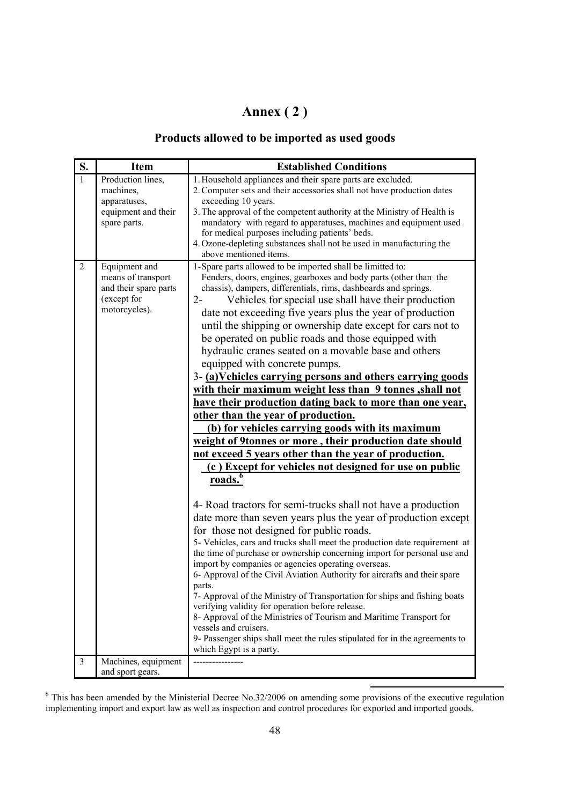## **Annex ( 2 )**

## **Products allowed to be imported as used goods**

| S.             | <b>Item</b>                                                                                  | <b>Established Conditions</b>                                                                                                                                                                                                                                                                                                                                                                                                                                                                                                                                                                                                                                                                                                                                                                                                                                                                                                                                                                                                                                                                                                                                                                                                                                                                                                                                                                                                                                                                                                                                                                                                                                                                                                                                                                                                                                     |
|----------------|----------------------------------------------------------------------------------------------|-------------------------------------------------------------------------------------------------------------------------------------------------------------------------------------------------------------------------------------------------------------------------------------------------------------------------------------------------------------------------------------------------------------------------------------------------------------------------------------------------------------------------------------------------------------------------------------------------------------------------------------------------------------------------------------------------------------------------------------------------------------------------------------------------------------------------------------------------------------------------------------------------------------------------------------------------------------------------------------------------------------------------------------------------------------------------------------------------------------------------------------------------------------------------------------------------------------------------------------------------------------------------------------------------------------------------------------------------------------------------------------------------------------------------------------------------------------------------------------------------------------------------------------------------------------------------------------------------------------------------------------------------------------------------------------------------------------------------------------------------------------------------------------------------------------------------------------------------------------------|
| $\mathbf{1}$   | Production lines,<br>machines,<br>apparatuses,<br>equipment and their<br>spare parts.        | 1. Household appliances and their spare parts are excluded.<br>2. Computer sets and their accessories shall not have production dates<br>exceeding 10 years.<br>3. The approval of the competent authority at the Ministry of Health is<br>mandatory with regard to apparatuses, machines and equipment used<br>for medical purposes including patients' beds.<br>4. Ozone-depleting substances shall not be used in manufacturing the<br>above mentioned items.                                                                                                                                                                                                                                                                                                                                                                                                                                                                                                                                                                                                                                                                                                                                                                                                                                                                                                                                                                                                                                                                                                                                                                                                                                                                                                                                                                                                  |
| $\overline{2}$ | Equipment and<br>means of transport<br>and their spare parts<br>(except for<br>motorcycles). | 1-Spare parts allowed to be imported shall be limitted to:<br>Fenders, doors, engines, gearboxes and body parts (other than the<br>chassis), dampers, differentials, rims, dashboards and springs.<br>$2 -$<br>Vehicles for special use shall have their production<br>date not exceeding five years plus the year of production<br>until the shipping or ownership date except for cars not to<br>be operated on public roads and those equipped with<br>hydraulic cranes seated on a movable base and others<br>equipped with concrete pumps.<br>3-(a)Vehicles carrying persons and others carrying goods<br>with their maximum weight less than 9 tonnes, shall not<br>have their production dating back to more than one year,<br>other than the year of production.<br>(b) for vehicles carrying goods with its maximum<br>weight of 9tonnes or more, their production date should<br>not exceed 5 years other than the year of production.<br>(c) Except for vehicles not designed for use on public<br>roads. <sup>6</sup><br>4- Road tractors for semi-trucks shall not have a production<br>date more than seven years plus the year of production except<br>for those not designed for public roads.<br>5- Vehicles, cars and trucks shall meet the production date requirement at<br>the time of purchase or ownership concerning import for personal use and<br>import by companies or agencies operating overseas.<br>6- Approval of the Civil Aviation Authority for aircrafts and their spare<br>parts.<br>7- Approval of the Ministry of Transportation for ships and fishing boats<br>verifying validity for operation before release.<br>8- Approval of the Ministries of Tourism and Maritime Transport for<br>vessels and cruisers.<br>9- Passenger ships shall meet the rules stipulated for in the agreements to<br>which Egypt is a party. |
| $\overline{3}$ | Machines, equipment                                                                          |                                                                                                                                                                                                                                                                                                                                                                                                                                                                                                                                                                                                                                                                                                                                                                                                                                                                                                                                                                                                                                                                                                                                                                                                                                                                                                                                                                                                                                                                                                                                                                                                                                                                                                                                                                                                                                                                   |
|                | and sport gears.                                                                             |                                                                                                                                                                                                                                                                                                                                                                                                                                                                                                                                                                                                                                                                                                                                                                                                                                                                                                                                                                                                                                                                                                                                                                                                                                                                                                                                                                                                                                                                                                                                                                                                                                                                                                                                                                                                                                                                   |

<sup>6</sup> This has been amended by the Ministerial Decree No.32/2006 on amending some provisions of the executive regulation implementing import and export law as well as inspection and control procedures for exported and imported goods.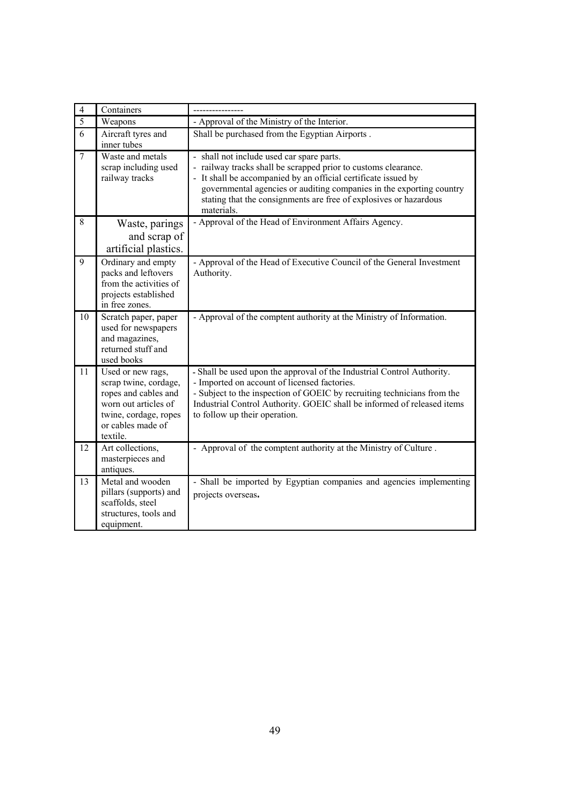| $\overline{4}$ | Containers                                                                                                                                           |                                                                                                                                                                                                                                                                                                                                      |
|----------------|------------------------------------------------------------------------------------------------------------------------------------------------------|--------------------------------------------------------------------------------------------------------------------------------------------------------------------------------------------------------------------------------------------------------------------------------------------------------------------------------------|
| $\overline{5}$ | Weapons                                                                                                                                              | - Approval of the Ministry of the Interior.                                                                                                                                                                                                                                                                                          |
| $\overline{6}$ | Aircraft tyres and<br>inner tubes                                                                                                                    | Shall be purchased from the Egyptian Airports.                                                                                                                                                                                                                                                                                       |
| $\overline{7}$ | Waste and metals<br>scrap including used<br>railway tracks                                                                                           | - shall not include used car spare parts.<br>railway tracks shall be scrapped prior to customs clearance.<br>It shall be accompanied by an official certificate issued by<br>governmental agencies or auditing companies in the exporting country<br>stating that the consignments are free of explosives or hazardous<br>materials. |
| 8              | Waste, parings<br>and scrap of<br>artificial plastics.                                                                                               | - Approval of the Head of Environment Affairs Agency.                                                                                                                                                                                                                                                                                |
| 9              | Ordinary and empty<br>packs and leftovers<br>from the activities of<br>projects established<br>in free zones.                                        | - Approval of the Head of Executive Council of the General Investment<br>Authority.                                                                                                                                                                                                                                                  |
| 10             | Scratch paper, paper<br>used for newspapers<br>and magazines,<br>returned stuff and<br>used books                                                    | - Approval of the comptent authority at the Ministry of Information.                                                                                                                                                                                                                                                                 |
| 11             | Used or new rags,<br>scrap twine, cordage,<br>ropes and cables and<br>worn out articles of<br>twine, cordage, ropes<br>or cables made of<br>textile. | - Shall be used upon the approval of the Industrial Control Authority.<br>- Imported on account of licensed factories.<br>- Subject to the inspection of GOEIC by recruiting technicians from the<br>Industrial Control Authority. GOEIC shall be informed of released items<br>to follow up their operation.                        |
| 12             | Art collections,<br>masterpieces and<br>antiques.                                                                                                    | - Approval of the comptent authority at the Ministry of Culture.                                                                                                                                                                                                                                                                     |
| 13             | Metal and wooden<br>pillars (supports) and<br>scaffolds, steel<br>structures, tools and<br>equipment.                                                | - Shall be imported by Egyptian companies and agencies implementing<br>projects overseas.                                                                                                                                                                                                                                            |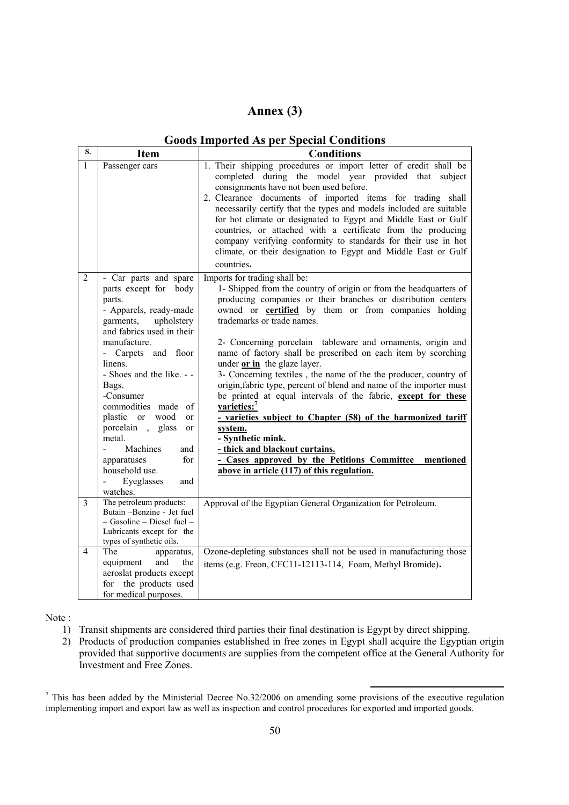## **Annex (3)**

| S.           | <b>Item</b>                                                                                                                                                                                                                                                                                                                                                                                                                                   | <b>Conditions</b>                                                                                                                                                                                                                                                                                                                                                                                                                                                                                                                                                                                                                                                                                                                                                                                                                                                                                                |
|--------------|-----------------------------------------------------------------------------------------------------------------------------------------------------------------------------------------------------------------------------------------------------------------------------------------------------------------------------------------------------------------------------------------------------------------------------------------------|------------------------------------------------------------------------------------------------------------------------------------------------------------------------------------------------------------------------------------------------------------------------------------------------------------------------------------------------------------------------------------------------------------------------------------------------------------------------------------------------------------------------------------------------------------------------------------------------------------------------------------------------------------------------------------------------------------------------------------------------------------------------------------------------------------------------------------------------------------------------------------------------------------------|
| $\mathbf{1}$ | Passenger cars                                                                                                                                                                                                                                                                                                                                                                                                                                | 1. Their shipping procedures or import letter of credit shall be<br>completed during the model year provided that subject<br>consignments have not been used before.<br>2. Clearance documents of imported items for trading shall<br>necessarily certify that the types and models included are suitable<br>for hot climate or designated to Egypt and Middle East or Gulf<br>countries, or attached with a certificate from the producing<br>company verifying conformity to standards for their use in hot<br>climate, or their designation to Egypt and Middle East or Gulf<br>countries.                                                                                                                                                                                                                                                                                                                    |
| 2            | - Car parts and spare<br>parts except for body<br>parts.<br>- Apparels, ready-made<br>garments,<br>upholstery<br>and fabrics used in their<br>manufacture.<br>- Carpets and floor<br>linens.<br>- Shoes and the like. - -<br>Bags.<br>-Consumer<br>commodities made of<br>plastic or<br>wood<br><sub>or</sub><br>porcelain, glass<br>or<br>metal.<br>Machines<br>and<br>apparatuses<br>for<br>household use.<br>Eyeglasses<br>and<br>watches. | Imports for trading shall be:<br>1- Shipped from the country of origin or from the headquarters of<br>producing companies or their branches or distribution centers<br>owned or <b>certified</b> by them or from companies holding<br>trademarks or trade names.<br>2- Concerning porcelain tableware and ornaments, origin and<br>name of factory shall be prescribed on each item by scorching<br>under or in the glaze layer.<br>3- Concerning textiles, the name of the the producer, country of<br>origin, fabric type, percent of blend and name of the importer must<br>be printed at equal intervals of the fabric, except for these<br>varieties: <sup>7</sup><br>- varieties subject to Chapter (58) of the harmonized tariff<br>system.<br>- Synthetic mink.<br>- thick and blackout curtains.<br>- Cases approved by the Petitions Committee mentioned<br>above in article (117) of this regulation. |
| 3            | The petroleum products:<br>Butain -Benzine - Jet fuel<br>- Gasoline - Diesel fuel -<br>Lubricants except for the<br>types of synthetic oils.                                                                                                                                                                                                                                                                                                  | Approval of the Egyptian General Organization for Petroleum.                                                                                                                                                                                                                                                                                                                                                                                                                                                                                                                                                                                                                                                                                                                                                                                                                                                     |
| 4            | The<br>apparatus,<br>and<br>equipment<br>the<br>aeroslat products except<br>for the products used<br>for medical purposes.                                                                                                                                                                                                                                                                                                                    | Ozone-depleting substances shall not be used in manufacturing those<br>items (e.g. Freon, CFC11-12113-114, Foam, Methyl Bromide).                                                                                                                                                                                                                                                                                                                                                                                                                                                                                                                                                                                                                                                                                                                                                                                |

#### **Goods Imported As per Special Conditions**

Note :

- 1) Transit shipments are considered third parties their final destination is Egypt by direct shipping.
- 2) Products of production companies established in free zones in Egypt shall acquire the Egyptian origin provided that supportive documents are supplies from the competent office at the General Authority for Investment and Free Zones.

<sup>7</sup> This has been added by the Ministerial Decree No.32/2006 on amending some provisions of the executive regulation implementing import and export law as well as inspection and control procedures for exported and imported goods.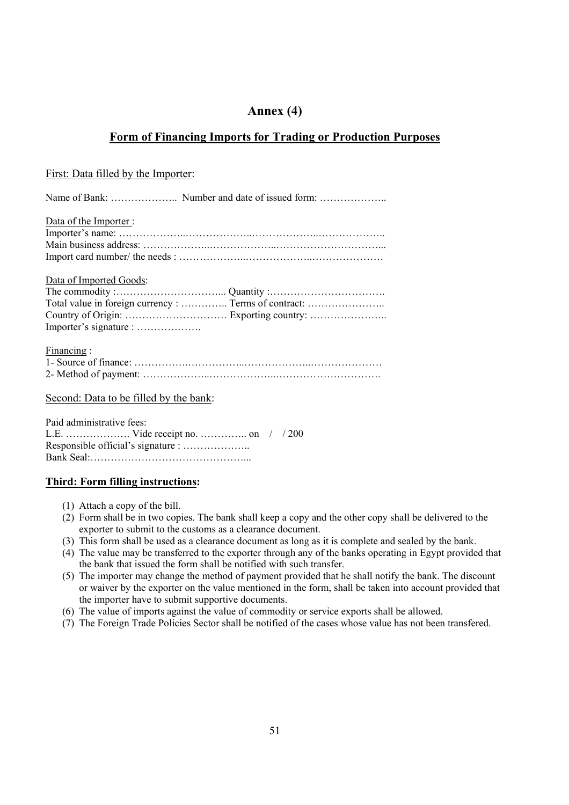### **Annex (4)**

### **Form of Financing Imports for Trading or Production Purposes**

#### First: Data filled by the Importer:

Name of Bank: …………………….. Number and date of issued form: ……………………

| Data of the Importer:                                 |
|-------------------------------------------------------|
|                                                       |
|                                                       |
|                                                       |
|                                                       |
| Data of Imported Goods:                               |
|                                                       |
| Total value in foreign currency :  Terms of contract: |
|                                                       |
| Importer's signature :                                |
|                                                       |
| Financing:                                            |
|                                                       |
|                                                       |
|                                                       |

#### Second: Data to be filled by the bank:

| Paid administrative fees: |  |  |  |  |  |
|---------------------------|--|--|--|--|--|
|                           |  |  |  |  |  |
|                           |  |  |  |  |  |
|                           |  |  |  |  |  |

#### **Third: Form filling instructions:**

- (1) Attach a copy of the bill.
- (2) Form shall be in two copies. The bank shall keep a copy and the other copy shall be delivered to the exporter to submit to the customs as a clearance document.
- (3) This form shall be used as a clearance document as long as it is complete and sealed by the bank.
- (4) The value may be transferred to the exporter through any of the banks operating in Egypt provided that the bank that issued the form shall be notified with such transfer.
- (5) The importer may change the method of payment provided that he shall notify the bank. The discount or waiver by the exporter on the value mentioned in the form, shall be taken into account provided that the importer have to submit supportive documents.
- (6) The value of imports against the value of commodity or service exports shall be allowed.
- (7) The Foreign Trade Policies Sector shall be notified of the cases whose value has not been transfered.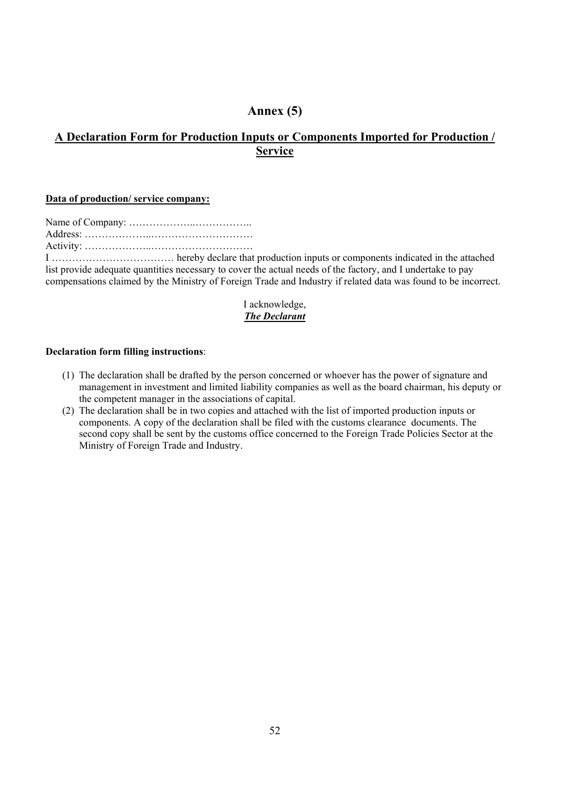## **Annex (5)**

## **A Declaration Form for Production Inputs or Components Imported for Production / Service**

#### **Data of production/ service company:**

| harahy daclara that |
|---------------------|

I ……………………………… hereby declare that production inputs or components indicated in the attached list provide adequate quantities necessary to cover the actual needs of the factory, and I undertake to pay compensations claimed by the Ministry of Foreign Trade and Industry if related data was found to be incorrect.

#### I acknowledge, *The Declarant*

#### **Declaration form filling instructions**:

- (1) The declaration shall be drafted by the person concerned or whoever has the power of signature and management in investment and limited liability companies as well as the board chairman, his deputy or the competent manager in the associations of capital.
- (2) The declaration shall be in two copies and attached with the list of imported production inputs or components. A copy of the declaration shall be filed with the customs clearance documents. The second copy shall be sent by the customs office concerned to the Foreign Trade Policies Sector at the Ministry of Foreign Trade and Industry.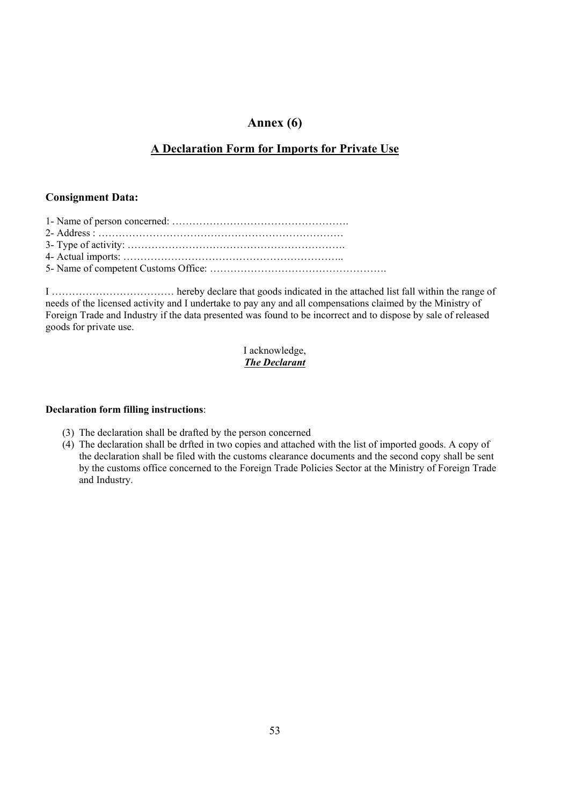### **Annex (6)**

### **A Declaration Form for Imports for Private Use**

#### **Consignment Data:**

5- Name of competent Customs Office: …………………………………………….

I ……………………………… hereby declare that goods indicated in the attached list fall within the range of needs of the licensed activity and I undertake to pay any and all compensations claimed by the Ministry of Foreign Trade and Industry if the data presented was found to be incorrect and to dispose by sale of released goods for private use.

#### I acknowledge, *The Declarant*

#### **Declaration form filling instructions**:

- (3) The declaration shall be drafted by the person concerned
- (4) The declaration shall be drfted in two copies and attached with the list of imported goods. A copy of the declaration shall be filed with the customs clearance documents and the second copy shall be sent by the customs office concerned to the Foreign Trade Policies Sector at the Ministry of Foreign Trade and Industry.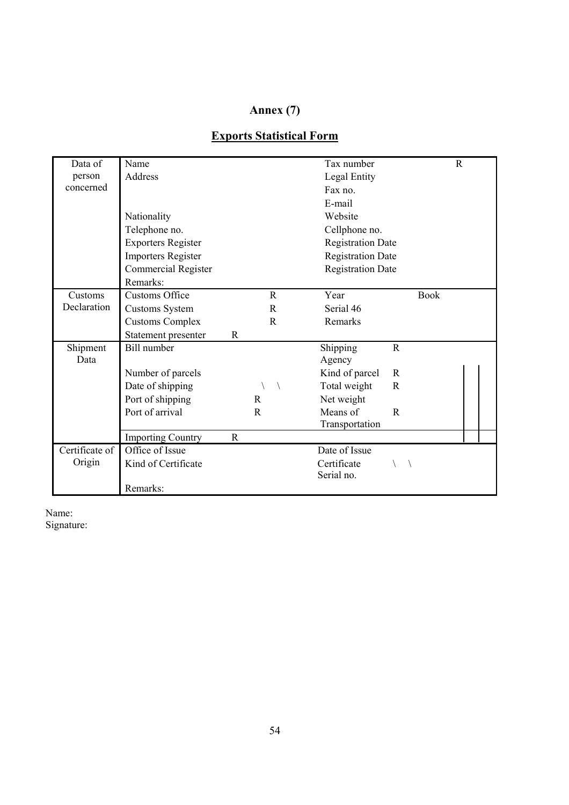## **Annex (7)**

| Data of        | Name                      |              |              | Tax number               |             |             | $\mathbb{R}$ |  |
|----------------|---------------------------|--------------|--------------|--------------------------|-------------|-------------|--------------|--|
| person         | Address                   |              |              | Legal Entity             |             |             |              |  |
| concerned      |                           |              |              | Fax no.                  |             |             |              |  |
|                |                           |              |              | E-mail                   |             |             |              |  |
|                | Nationality               |              |              | Website                  |             |             |              |  |
|                | Telephone no.             |              |              | Cellphone no.            |             |             |              |  |
|                | <b>Exporters Register</b> |              |              | <b>Registration Date</b> |             |             |              |  |
|                | <b>Importers Register</b> |              |              | <b>Registration Date</b> |             |             |              |  |
|                | Commercial Register       |              |              | <b>Registration Date</b> |             |             |              |  |
|                | Remarks:                  |              |              |                          |             |             |              |  |
| Customs        | <b>Customs Office</b>     |              | R            | Year                     |             | <b>Book</b> |              |  |
| Declaration    | Customs System            |              | R            | Serial 46                |             |             |              |  |
|                | <b>Customs Complex</b>    |              | $\mathbb{R}$ | Remarks                  |             |             |              |  |
|                | Statement presenter       | R            |              |                          |             |             |              |  |
| Shipment       | Bill number               |              |              | Shipping                 | $\mathbf R$ |             |              |  |
| Data           |                           |              |              | Agency                   |             |             |              |  |
|                | Number of parcels         |              |              | Kind of parcel           | R           |             |              |  |
|                | Date of shipping          |              |              | Total weight             | R           |             |              |  |
|                | Port of shipping          |              | $\mathbf{R}$ | Net weight               |             |             |              |  |
|                | Port of arrival           |              | $\mathbf R$  | Means of                 | R           |             |              |  |
|                |                           |              |              | Transportation           |             |             |              |  |
|                | <b>Importing Country</b>  | $\mathbb{R}$ |              |                          |             |             |              |  |
| Certificate of | Office of Issue           |              |              | Date of Issue            |             |             |              |  |
| Origin         | Kind of Certificate       |              |              | Certificate              |             |             |              |  |
|                |                           |              |              | Serial no.               |             |             |              |  |
|                | Remarks:                  |              |              |                          |             |             |              |  |

## **Exports Statistical Form**

Name: Signature: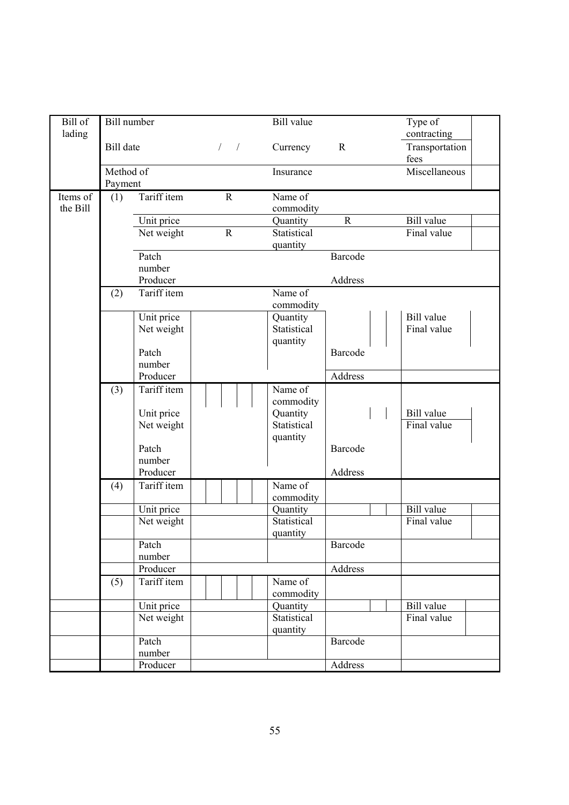| Bill of  | <b>Bill</b> number   |                          |            |             | <b>Bill</b> value       |              | Type of           |  |
|----------|----------------------|--------------------------|------------|-------------|-------------------------|--------------|-------------------|--|
| lading   |                      |                          |            |             |                         |              | contracting       |  |
|          | <b>Bill</b> date     |                          | $\sqrt{2}$ | $\sqrt{2}$  | Currency                | $\mathbb{R}$ | Transportation    |  |
|          |                      |                          |            |             |                         |              | fees              |  |
|          | Method of<br>Payment |                          |            |             | Insurance               |              | Miscellaneous     |  |
| Items of | (1)                  | Tariff item              |            | $\mathbf R$ | Name of                 |              |                   |  |
| the Bill |                      |                          |            |             | commodity               |              |                   |  |
|          |                      | Unit price               |            |             | Quantity                | $\mathbf R$  | <b>Bill</b> value |  |
|          |                      | Net weight               |            | $\mathbf R$ | Statistical             |              | Final value       |  |
|          |                      |                          |            |             | quantity                |              |                   |  |
|          |                      | Patch                    |            |             |                         | Barcode      |                   |  |
|          |                      | number                   |            |             |                         |              |                   |  |
|          |                      | Producer                 |            |             |                         | Address      |                   |  |
|          | (2)                  | Tariff item              |            |             | Name of                 |              |                   |  |
|          |                      |                          |            |             | commodity               |              | <b>Bill</b> value |  |
|          |                      | Unit price<br>Net weight |            |             | Quantity<br>Statistical |              | Final value       |  |
|          |                      |                          |            |             | quantity                |              |                   |  |
|          |                      | Patch                    |            |             |                         | Barcode      |                   |  |
|          |                      | number                   |            |             |                         |              |                   |  |
|          |                      | Producer                 |            |             |                         | Address      |                   |  |
|          | (3)                  | Tariff item              |            |             | Name $\overline{of}$    |              |                   |  |
|          |                      |                          |            |             | commodity               |              |                   |  |
|          |                      | Unit price               |            |             | Quantity                |              | <b>Bill</b> value |  |
|          |                      | Net weight               |            |             | Statistical             |              | Final value       |  |
|          |                      | Patch                    |            |             | quantity                | Barcode      |                   |  |
|          |                      | number                   |            |             |                         |              |                   |  |
|          |                      | Producer                 |            |             |                         | Address      |                   |  |
|          | (4)                  | Tariff item              |            |             | Name $\overline{of}$    |              |                   |  |
|          |                      |                          |            |             | commodity               |              |                   |  |
|          |                      | Unit price               |            |             | Quantity                |              | <b>Bill</b> value |  |
|          |                      | Net weight               |            |             | Statistical             |              | Final value       |  |
|          |                      |                          |            |             | quantity                |              |                   |  |
|          |                      | Patch<br>number          |            |             |                         | Barcode      |                   |  |
|          |                      | Producer                 |            |             |                         | Address      |                   |  |
|          | (5)                  | Tariff item              |            |             | Name of                 |              |                   |  |
|          |                      |                          |            |             | commodity               |              |                   |  |
|          |                      | Unit price               |            |             | Quantity                |              | <b>Bill</b> value |  |
|          |                      | Net weight               |            |             | Statistical             |              | Final value       |  |
|          |                      |                          |            |             | quantity                |              |                   |  |
|          |                      | Patch                    |            |             |                         | Barcode      |                   |  |
|          |                      | number                   |            |             |                         |              |                   |  |
|          |                      | Producer                 |            |             |                         | Address      |                   |  |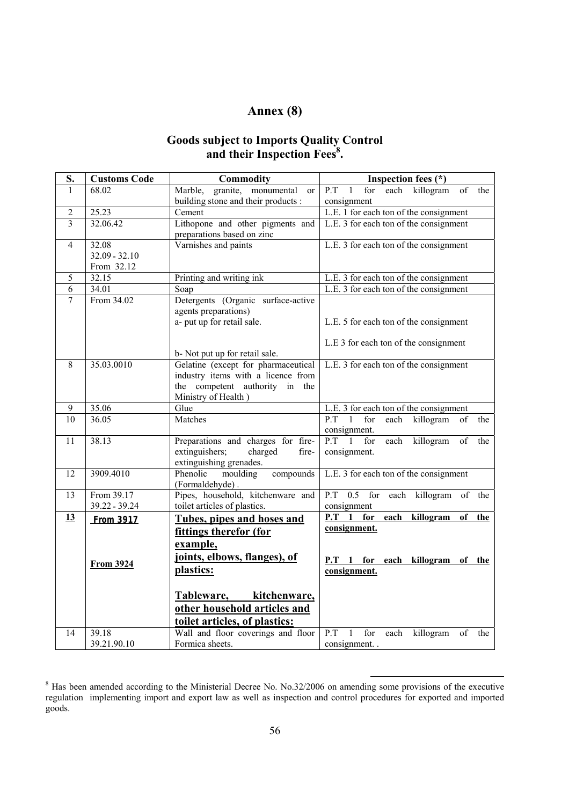## **Annex (8)**

#### **Goods subject to Imports Quality Control**  and their Inspection Fees<sup>8</sup>.

| S.              | <b>Customs Code</b> | Commodity                                       | Inspection fees (*)                                            |
|-----------------|---------------------|-------------------------------------------------|----------------------------------------------------------------|
| $\mathbf{1}$    | 68.02               | Marble,<br>granite, monumental<br><sub>or</sub> | P.T<br>each killogram of<br>for<br>1<br>the                    |
|                 |                     | building stone and their products :             | consignment                                                    |
| $\overline{2}$  | 25.23               | Cement                                          | L.E. 1 for each ton of the consignment                         |
| $\overline{3}$  | 32.06.42            | Lithopone and other pigments and                | L.E. 3 for each ton of the consignment                         |
|                 |                     | preparations based on zinc                      |                                                                |
| 4               | 32.08               | Varnishes and paints                            | L.E. 3 for each ton of the consignment                         |
|                 | $32.09 - 32.10$     |                                                 |                                                                |
|                 | From 32.12          |                                                 |                                                                |
| 5               | 32.15               | Printing and writing ink                        | L.E. 3 for each ton of the consignment                         |
| $\overline{6}$  | 34.01               | Soap                                            | L.E. 3 for each ton of the consignment                         |
| $\overline{7}$  | From 34.02          | Detergents (Organic surface-active              |                                                                |
|                 |                     | agents preparations)                            |                                                                |
|                 |                     | a- put up for retail sale.                      | L.E. 5 for each ton of the consignment                         |
|                 |                     |                                                 |                                                                |
|                 |                     |                                                 | L.E 3 for each ton of the consignment                          |
|                 |                     | b- Not put up for retail sale.                  |                                                                |
| 8               | 35.03.0010          | Gelatine (except for pharmaceutical             | L.E. 3 for each ton of the consignment                         |
|                 |                     | industry items with a licence from              |                                                                |
|                 |                     | the competent authority in the                  |                                                                |
| 9               | 35.06               | Ministry of Health)<br>Glue                     | L.E. 3 for each ton of the consignment                         |
| $\overline{10}$ | 36.05               | Matches                                         | P.T<br>$\overline{1}$<br>for<br>each<br>killogram<br>of<br>the |
|                 |                     |                                                 | consignment.                                                   |
| 11              | 38.13               | Preparations and charges for fire-              | $\overline{P.T}$ 1<br>for<br>each<br>killogram<br>of<br>the    |
|                 |                     | extinguishers;<br>charged<br>fire-              | consignment.                                                   |
|                 |                     | extinguishing grenades.                         |                                                                |
| $\overline{12}$ | 3909.4010           | Phenolic<br>moulding<br>compounds               | L.E. 3 for each ton of the consignment                         |
|                 |                     | (Formaldehyde).                                 |                                                                |
| 13              | From 39.17          | Pipes, household, kitchenware and               | P.T 0.5 for each killogram of the                              |
|                 | 39.22 - 39.24       | toilet articles of plastics.                    | consignment                                                    |
| 13              | From 3917           | Tubes, pipes and hoses and                      | $P.T$ 1 for<br>each<br>killogram<br>of<br>the                  |
|                 |                     | fittings therefor (for                          | consignment.                                                   |
|                 |                     | example,                                        |                                                                |
|                 |                     | joints, elbows, flanges), of                    |                                                                |
|                 | <b>From 3924</b>    |                                                 | P.T 1 for each killogram of the                                |
|                 |                     | plastics:                                       | consignment.                                                   |
|                 |                     |                                                 |                                                                |
|                 |                     | kitchenware,<br>Tableware,                      |                                                                |
|                 |                     | other household articles and                    |                                                                |
|                 |                     | toilet articles, of plastics:                   |                                                                |
| 14              | 39.18               | Wall and floor coverings and floor              | P.T<br>$\mathbf{1}$<br>for<br>each<br>killogram<br>of<br>the   |
|                 | 39.21.90.10         | Formica sheets.                                 | consignment                                                    |

<sup>&</sup>lt;sup>8</sup> Has been amended according to the Ministerial Decree No. No.32/2006 on amending some provisions of the executive regulation implementing import and export law as well as inspection and control procedures for exported and imported goods.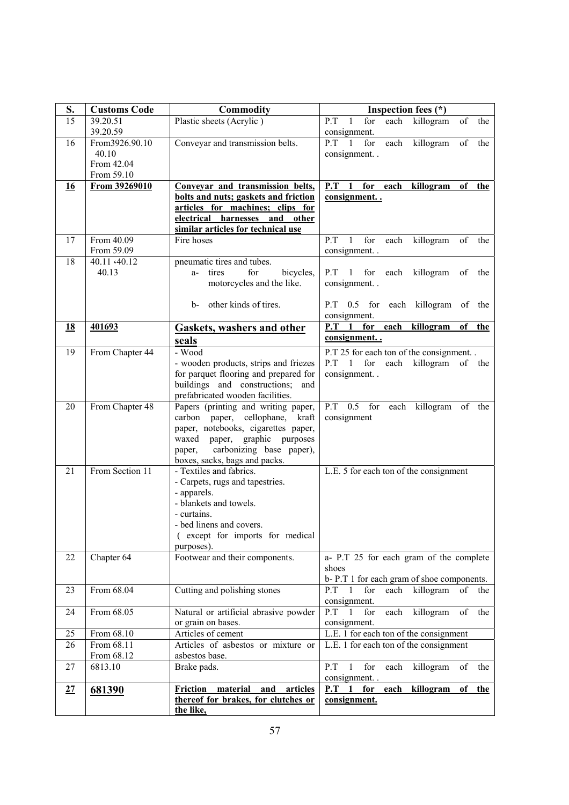| S. | <b>Customs Code</b> | <b>Commodity</b>                                                          | Inspection fees $(*)$                                          |
|----|---------------------|---------------------------------------------------------------------------|----------------------------------------------------------------|
| 15 | 39.20.51            | Plastic sheets (Acrylic)                                                  | each<br>of<br>P.T<br>$\mathbf{1}$<br>for<br>killogram<br>the   |
|    | 39.20.59            |                                                                           | consignment.                                                   |
| 16 | From 3926.90.10     | Conveyar and transmission belts.                                          | killogram<br>P.T<br>for<br>of<br>the<br>each<br>1              |
|    | 40.10               |                                                                           | consignment. .                                                 |
|    | From 42.04          |                                                                           |                                                                |
|    | From 59.10          |                                                                           |                                                                |
| 16 | From 39269010       | Conveyar and transmission belts,                                          | P.T<br>1<br>for<br>each<br>killogram<br>of<br>the              |
|    |                     | bolts and nuts; gaskets and friction                                      | consignment                                                    |
|    |                     | articles for machines; clips for                                          |                                                                |
|    |                     | electrical harnesses<br>and<br>other                                      |                                                                |
|    |                     | similar articles for technical use                                        |                                                                |
| 17 | From 40.09          | Fire hoses                                                                | killogram<br>P.T<br>$\mathbf{1}$<br>for<br>each<br>of<br>the   |
|    | From 59.09          |                                                                           | consignment                                                    |
| 18 | 40.11 <40.12        | pneumatic tires and tubes.                                                |                                                                |
|    | 40.13               | a- tires<br>for<br>bicycles,                                              | $P.T$ 1<br>for<br>each<br>killogram<br>of<br>the               |
|    |                     | motorcycles and the like.                                                 | consignment                                                    |
|    |                     | other kinds of tires.<br>b-                                               | $P.T$ 0.5 for<br>each killogram of the                         |
|    |                     |                                                                           | consignment.                                                   |
| 18 | 401693              |                                                                           | for<br>P.T<br>$\blacksquare$<br>each<br>killogram<br>of<br>the |
|    |                     | <b>Gaskets, washers and other</b>                                         | consignment                                                    |
|    |                     | seals                                                                     |                                                                |
| 19 | From Chapter 44     | - Wood                                                                    | P.T 25 for each ton of the consignment                         |
|    |                     | - wooden products, strips and friezes                                     | P.T 1 for each killogram of the                                |
|    |                     | for parquet flooring and prepared for<br>buildings and constructions; and | consignment                                                    |
|    |                     | prefabricated wooden facilities.                                          |                                                                |
| 20 | From Chapter 48     | Papers (printing and writing paper,                                       | P.T<br>$0.5$ for<br>each killogram<br>of the                   |
|    |                     | carbon paper,<br>cellophane,<br>kraft                                     | consignment                                                    |
|    |                     | paper, notebooks, cigarettes paper,                                       |                                                                |
|    |                     | waxed paper, graphic purposes                                             |                                                                |
|    |                     | carbonizing base paper),<br>paper,                                        |                                                                |
|    |                     | boxes, sacks, bags and packs.                                             |                                                                |
| 21 | From Section 11     | - Textiles and fabrics.                                                   | L.E. 5 for each ton of the consignment                         |
|    |                     | - Carpets, rugs and tapestries.                                           |                                                                |
|    |                     | - apparels.                                                               |                                                                |
|    |                     | - blankets and towels.                                                    |                                                                |
|    |                     | - curtains.                                                               |                                                                |
|    |                     | - bed linens and covers.                                                  |                                                                |
|    |                     | (except for imports for medical                                           |                                                                |
|    |                     | purposes).                                                                |                                                                |
| 22 | Chapter 64          | Footwear and their components.                                            | a- P.T 25 for each gram of the complete                        |
|    |                     |                                                                           | shoes                                                          |
|    |                     |                                                                           | b-P.T 1 for each gram of shoe components.                      |
| 23 | From 68.04          | Cutting and polishing stones                                              | $P.T$ 1<br>killogram<br>for<br>each<br>of<br>the               |
|    | From 68.05          | Natural or artificial abrasive powder                                     | consignment.<br>P.T<br>for<br>killogram                        |
| 24 |                     |                                                                           | each<br>$\mathbf{1}$<br>of<br>the                              |
| 25 | From 68.10          | or grain on bases.<br>Articles of cement                                  | consignment.<br>L.E. 1 for each ton of the consignment         |
| 26 | From 68.11          | Articles of asbestos or mixture or                                        | L.E. 1 for each ton of the consignment                         |
|    | From 68.12          | asbestos base.                                                            |                                                                |
| 27 | 6813.10             | Brake pads.                                                               | P.T<br>$\mathbf{1}$<br>for<br>each<br>killogram<br>of<br>the   |
|    |                     |                                                                           | consignment. .                                                 |
| 27 | 681390              | Friction<br>material<br>articles<br>and                                   | each<br>killogram<br>$P.T$ 1<br>for<br>of<br>the               |
|    |                     | thereof for brakes, for clutches or                                       | consignment.                                                   |
|    |                     | the like,                                                                 |                                                                |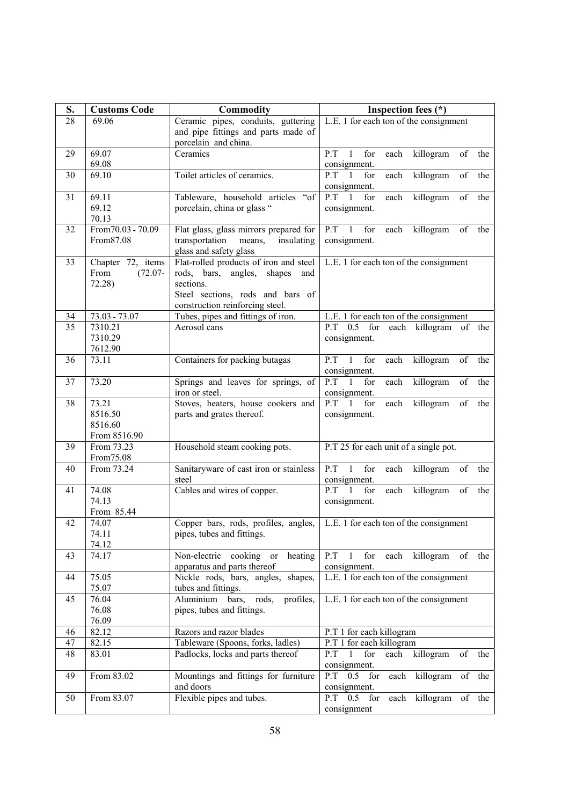| S.                    | <b>Customs Code</b>        | Commodity                                                        | Inspection fees (*)                                                                             |
|-----------------------|----------------------------|------------------------------------------------------------------|-------------------------------------------------------------------------------------------------|
| $\overline{28}$       | 69.06                      | Ceramic pipes, conduits, guttering                               | L.E. 1 for each ton of the consignment                                                          |
|                       |                            | and pipe fittings and parts made of                              |                                                                                                 |
|                       |                            | porcelain and china.                                             |                                                                                                 |
| 29                    | 69.07                      | Ceramics                                                         | for<br>each<br>killogram<br>P.T<br>$\mathbf{1}$<br>of<br>the                                    |
|                       | 69.08                      |                                                                  | consignment.                                                                                    |
| 30                    | 69.10                      | Toilet articles of ceramics.                                     | $\overline{P.T}$<br>$\overline{1}$<br>for<br>$\overline{\text{each}}$<br>killogram<br>of<br>the |
|                       |                            |                                                                  | consignment.<br>$P.T$ 1<br>for                                                                  |
| 31                    | 69.11<br>69.12             | Tableware, household articles "of<br>porcelain, china or glass " | each<br>killogram<br>of<br>the<br>consignment.                                                  |
|                       | 70.13                      |                                                                  |                                                                                                 |
| 32                    | From 70.03 - 70.09         | Flat glass, glass mirrors prepared for                           | P.T<br>$\mathbf{1}$<br>for<br>killogram<br>each<br>of<br>the                                    |
|                       | From87.08                  | transportation<br>insulating<br>means,                           | consignment.                                                                                    |
|                       |                            | glass and safety glass                                           |                                                                                                 |
| 33                    | Chapter 72, items          | Flat-rolled products of iron and steel                           | L.E. 1 for each ton of the consignment                                                          |
|                       | $(72.07 -$<br>From         | rods, bars, angles,<br>shapes<br>and                             |                                                                                                 |
|                       | $72.28$ )                  | sections.                                                        |                                                                                                 |
|                       |                            | Steel sections, rods and bars of                                 |                                                                                                 |
|                       |                            | construction reinforcing steel.                                  |                                                                                                 |
| 34<br>$\overline{35}$ | 73.03 - 73.07<br>7310.21   | Tubes, pipes and fittings of iron.<br>Aerosol cans               | L.E. 1 for each ton of the consignment<br>$P.T$ 0.5 for<br>each killogram<br>of the             |
|                       | 7310.29                    |                                                                  | consignment.                                                                                    |
|                       | 7612.90                    |                                                                  |                                                                                                 |
| 36                    | 73.11                      | Containers for packing butagas                                   | $P.T$ 1<br>for<br>each<br>killogram<br>of<br>the                                                |
|                       |                            |                                                                  | consignment.                                                                                    |
| 37                    | 73.20                      | Springs and leaves for springs, of                               | $P.T$ 1<br>for<br>each<br>killogram<br>of<br>the                                                |
|                       |                            | iron or steel.                                                   | consignment.                                                                                    |
| 38                    | 73.21                      | Stoves, heaters, house cookers and                               | $P.T$ 1<br>for<br>each<br>killogram<br>of<br>the                                                |
|                       | 8516.50                    | parts and grates thereof.                                        | consignment.                                                                                    |
|                       | 8516.60                    |                                                                  |                                                                                                 |
| 39                    | From 8516.90<br>From 73.23 | Household steam cooking pots.                                    | P.T 25 for each unit of a single pot.                                                           |
|                       | From 75.08                 |                                                                  |                                                                                                 |
| 40                    | From 73.24                 | Sanitaryware of cast iron or stainless                           | $P.T$ 1<br>for<br>each<br>killogram<br>of<br>the                                                |
|                       |                            | steel                                                            | consignment.                                                                                    |
| 41                    | 74.08                      | Cables and wires of copper.                                      | $P.T$ 1<br>for<br>each<br>killogram<br>of<br>the                                                |
|                       | 74.13                      |                                                                  | consignment.                                                                                    |
|                       | From 85.44                 |                                                                  |                                                                                                 |
| 42                    | 74.07                      | Copper bars, rods, profiles, angles,                             | L.E. 1 for each ton of the consignment                                                          |
|                       | 74.11<br>74.12             | pipes, tubes and fittings.                                       |                                                                                                 |
| 43                    | 74.17                      | Non-electric cooking<br>heating<br>or                            | killogram<br>P.T<br>$\mathbf{1}$<br>for<br>each<br>of<br>the                                    |
|                       |                            | apparatus and parts thereof                                      | consignment.                                                                                    |
| 44                    | 75.05                      | Nickle rods, bars, angles, shapes,                               | L.E. 1 for each ton of the consignment                                                          |
|                       | 75.07                      | tubes and fittings.                                              |                                                                                                 |
| 45                    | 76.04                      | profiles,<br>Aluminium bars,<br>rods,                            | L.E. 1 for each ton of the consignment                                                          |
|                       | 76.08                      | pipes, tubes and fittings.                                       |                                                                                                 |
|                       | 76.09                      |                                                                  |                                                                                                 |
| 46                    | 82.12                      | Razors and razor blades                                          | P.T 1 for each killogram                                                                        |
| 47                    | 82.15                      | Tableware (Spoons, forks, ladles)                                | P.T 1 for each killogram                                                                        |
| 48                    | 83.01                      | Padlocks, locks and parts thereof                                | killogram<br>of<br>P.T<br>$\mathbf{1}$<br>each<br>for<br>the                                    |
| 49                    | From 83.02                 |                                                                  | consignment.<br>each killogram<br>P.T<br>$0.5$ for                                              |
|                       |                            | Mountings and fittings for furniture<br>and doors                | of the<br>consignment.                                                                          |
| 50                    | From 83.07                 | Flexible pipes and tubes.                                        | each killogram of the<br>$P.T$ 0.5 for                                                          |
|                       |                            |                                                                  | consignment                                                                                     |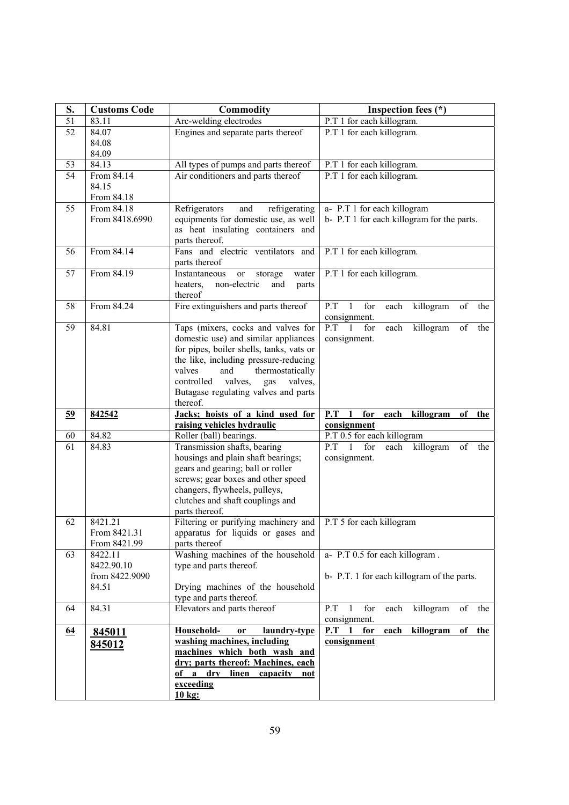| S.               | <b>Customs Code</b>      | <b>Commodity</b>                                                                  | Inspection fees (*)                                                       |
|------------------|--------------------------|-----------------------------------------------------------------------------------|---------------------------------------------------------------------------|
| 51               | 83.11                    | Arc-welding electrodes                                                            | P.T 1 for each killogram.                                                 |
| $\overline{52}$  | 84.07                    | Engines and separate parts thereof                                                | P.T 1 for each killogram.                                                 |
|                  | 84.08                    |                                                                                   |                                                                           |
|                  | 84.09                    |                                                                                   |                                                                           |
| 53               | 84.13                    | All types of pumps and parts thereof                                              | P.T 1 for each killogram.                                                 |
| 54               | From 84.14               | Air conditioners and parts thereof                                                | P.T 1 for each killogram.                                                 |
|                  | 84.15                    |                                                                                   |                                                                           |
|                  | From 84.18<br>From 84.18 |                                                                                   |                                                                           |
| 55               | From 8418.6990           | Refrigerators<br>and<br>refrigerating<br>equipments for domestic use, as well     | a- P.T 1 for each killogram<br>b- P.T 1 for each killogram for the parts. |
|                  |                          | as heat insulating containers and                                                 |                                                                           |
|                  |                          | parts thereof.                                                                    |                                                                           |
| 56               | From 84.14               | Fans and electric ventilators and                                                 | P.T 1 for each killogram.                                                 |
|                  |                          | parts thereof                                                                     |                                                                           |
| 57               | From 84.19               | Instantaneous<br>storage<br>water<br>or                                           | P.T 1 for each killogram.                                                 |
|                  |                          | non-electric<br>heaters,<br>and<br>parts                                          |                                                                           |
|                  |                          | thereof                                                                           |                                                                           |
| 58               | From 84.24               | Fire extinguishers and parts thereof                                              | P.T<br>$\mathbf{1}$<br>for<br>each<br>killogram<br>of<br>the              |
|                  |                          |                                                                                   | consignment.                                                              |
| 59               | 84.81                    | Taps (mixers, cocks and valves for                                                | $P.T$ 1<br>killogram<br>for<br>each<br>of<br>the                          |
|                  |                          | domestic use) and similar appliances                                              | consignment.                                                              |
|                  |                          | for pipes, boiler shells, tanks, vats or<br>the like, including pressure-reducing |                                                                           |
|                  |                          | valves<br>and<br>thermostatically                                                 |                                                                           |
|                  |                          | controlled<br>valves,<br>valves,<br>gas                                           |                                                                           |
|                  |                          | Butagase regulating valves and parts                                              |                                                                           |
|                  |                          | thereof.                                                                          |                                                                           |
| 59               | 842542                   | Jacks; hoists of a kind used for                                                  | for<br>$P.T$ 1<br>each<br>killogram<br>of<br>the                          |
|                  |                          | raising vehicles hydraulic                                                        | consignment                                                               |
| 60               | 84.82                    | Roller (ball) bearings.                                                           | P.T 0.5 for each killogram                                                |
| 61               | 84.83                    | Transmission shafts, bearing                                                      | P.T<br>$\mathbf{1}$<br>for<br>killogram<br>of<br>the<br>each              |
|                  |                          | housings and plain shaft bearings;                                                | consignment.                                                              |
|                  |                          | gears and gearing; ball or roller<br>screws; gear boxes and other speed           |                                                                           |
|                  |                          | changers, flywheels, pulleys,                                                     |                                                                           |
|                  |                          | clutches and shaft couplings and                                                  |                                                                           |
|                  |                          | parts thereof.                                                                    |                                                                           |
| 62               | 8421.21                  | Filtering or purifying machinery and                                              | P.T 5 for each killogram                                                  |
|                  | From 8421.31             | apparatus for liquids or gases and                                                |                                                                           |
|                  | From 8421.99             | parts thereof                                                                     |                                                                           |
| 63               | 8422.11                  | Washing machines of the household                                                 | a- P.T 0.5 for each killogram.                                            |
|                  | 8422.90.10               | type and parts thereof.                                                           |                                                                           |
|                  | from 8422.9090           |                                                                                   | b- P.T. 1 for each killogram of the parts.                                |
|                  | 84.51                    | Drying machines of the household<br>type and parts thereof.                       |                                                                           |
| 64               | 84.31                    | Elevators and parts thereof                                                       | for<br>killogram<br>of<br>P.T<br>-1<br>each<br>the                        |
|                  |                          |                                                                                   | consignment.                                                              |
| $\underline{64}$ | 845011                   | Household-<br>laundry-type<br><b>or</b>                                           | P.T<br>for<br>killogram<br>$\mathbf{1}$<br>each<br>of<br>the              |
|                  | 845012                   | washing machines, including                                                       | consignment                                                               |
|                  |                          | machines which both wash and                                                      |                                                                           |
|                  |                          | dry; parts thereof: Machines, each                                                |                                                                           |
|                  |                          | of a dry<br>linen<br>capacity<br>not                                              |                                                                           |
|                  |                          | exceeding                                                                         |                                                                           |
|                  |                          | $10$ kg:                                                                          |                                                                           |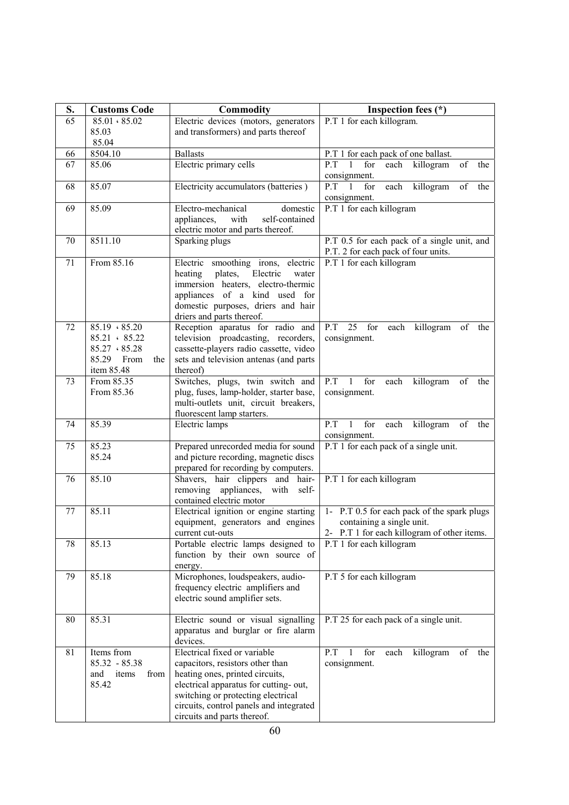| S. | <b>Customs Code</b>  | <b>Commodity</b>                                                    | Inspection fees (*)                                          |
|----|----------------------|---------------------------------------------------------------------|--------------------------------------------------------------|
| 65 | $85.01 \cdot 85.02$  | Electric devices (motors, generators                                | P.T 1 for each killogram.                                    |
|    | 85.03                | and transformers) and parts thereof                                 |                                                              |
|    | 85.04                |                                                                     |                                                              |
| 66 | 8504.10              | <b>Ballasts</b>                                                     | P.T 1 for each pack of one ballast.                          |
| 67 | 85.06                | Electric primary cells                                              | $\mathbf{1}$<br>P.T<br>for<br>of<br>each killogram<br>the    |
|    |                      |                                                                     | consignment.                                                 |
| 68 | 85.07                | Electricity accumulators (batteries)                                | $P.T$ 1<br>for<br>killogram<br>each<br>of<br>the             |
|    |                      |                                                                     | consignment.                                                 |
| 69 | 85.09                | Electro-mechanical<br>domestic                                      | P.T 1 for each killogram                                     |
|    |                      | with<br>self-contained<br>appliances,                               |                                                              |
|    |                      | electric motor and parts thereof.                                   |                                                              |
| 70 | 8511.10              | Sparking plugs                                                      | P.T 0.5 for each pack of a single unit, and                  |
|    |                      |                                                                     | P.T. 2 for each pack of four units.                          |
| 71 | From 85.16           | Electric smoothing irons, electric                                  | P.T 1 for each killogram                                     |
|    |                      | plates, Electric<br>heating<br>water                                |                                                              |
|    |                      | immersion heaters, electro-thermic                                  |                                                              |
|    |                      | appliances of a kind used for<br>domestic purposes, driers and hair |                                                              |
|    |                      |                                                                     |                                                              |
| 72 | $85.19 \cdot 85.20$  | driers and parts thereof.<br>Reception aparatus for radio and       | P.T<br>$25$ for<br>each killogram<br>of the                  |
|    | 85.21 . 85.22        | television proadcasting, recorders,                                 | consignment.                                                 |
|    | $85.27 \cdot 85.28$  | cassette-players radio cassette, video                              |                                                              |
|    | 85.29 From<br>the    | sets and television antenas (and parts                              |                                                              |
|    | item 85.48           | thereof)                                                            |                                                              |
| 73 | From 85.35           | Switches, plugs, twin switch and                                    | $P.T$ 1<br>for<br>each<br>killogram<br>of<br>the             |
|    | From 85.36           | plug, fuses, lamp-holder, starter base,                             | consignment.                                                 |
|    |                      | multi-outlets unit, circuit breakers,                               |                                                              |
|    |                      | fluorescent lamp starters.                                          |                                                              |
| 74 | 85.39                | Electric lamps                                                      | P.T<br>killogram<br>$\mathbf{1}$<br>for<br>each<br>of<br>the |
|    |                      |                                                                     | consignment.                                                 |
| 75 | 85.23                | Prepared unrecorded media for sound                                 | P.T 1 for each pack of a single unit.                        |
|    | 85.24                | and picture recording, magnetic discs                               |                                                              |
|    |                      | prepared for recording by computers.                                |                                                              |
| 76 | 85.10                | Shavers, hair clippers and hair-                                    | P.T 1 for each killogram                                     |
|    |                      | removing appliances, with self-                                     |                                                              |
|    |                      | contained electric motor                                            |                                                              |
| 77 | 85.11                | Electrical ignition or engine starting                              | 1- P.T 0.5 for each pack of the spark plugs                  |
|    |                      | equipment, generators and engines                                   | containing a single unit.                                    |
|    |                      | current cut-outs                                                    | 2- P.T 1 for each killogram of other items.                  |
| 78 | 85.13                | Portable electric lamps designed to                                 | P.T 1 for each killogram                                     |
|    |                      | function by their own source of                                     |                                                              |
|    |                      | energy.                                                             |                                                              |
| 79 | 85.18                | Microphones, loudspeakers, audio-                                   | P.T 5 for each killogram                                     |
|    |                      | frequency electric amplifiers and                                   |                                                              |
|    |                      | electric sound amplifier sets.                                      |                                                              |
|    |                      |                                                                     |                                                              |
| 80 | 85.31                | Electric sound or visual signalling                                 | P.T 25 for each pack of a single unit.                       |
|    |                      | apparatus and burglar or fire alarm<br>devices.                     |                                                              |
| 81 | Items from           | Electrical fixed or variable                                        | $P.T$ 1<br>for<br>killogram<br>of<br>each<br>the             |
|    | $85.32 - 85.38$      | capacitors, resistors other than                                    | consignment.                                                 |
|    | items<br>and<br>from | heating ones, printed circuits,                                     |                                                              |
|    | 85.42                | electrical apparatus for cutting-out,                               |                                                              |
|    |                      | switching or protecting electrical                                  |                                                              |
|    |                      | circuits, control panels and integrated                             |                                                              |
|    |                      | circuits and parts thereof.                                         |                                                              |